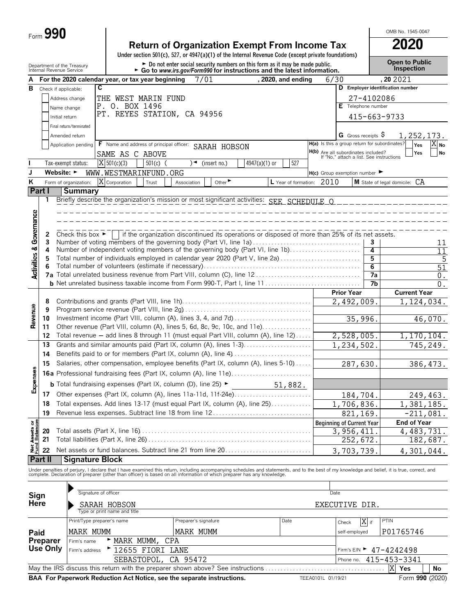|                                    | Form 990                                               |                            |                                                                                                                                                                                                                                   |                               |                                                                                                                                                           |                               |      |                                                                                 |                 | OMB No. 1545-0047                          |
|------------------------------------|--------------------------------------------------------|----------------------------|-----------------------------------------------------------------------------------------------------------------------------------------------------------------------------------------------------------------------------------|-------------------------------|-----------------------------------------------------------------------------------------------------------------------------------------------------------|-------------------------------|------|---------------------------------------------------------------------------------|-----------------|--------------------------------------------|
|                                    |                                                        |                            |                                                                                                                                                                                                                                   |                               | <b>Return of Organization Exempt From Income Tax</b>                                                                                                      |                               |      |                                                                                 |                 | <b>2020</b>                                |
|                                    |                                                        |                            |                                                                                                                                                                                                                                   |                               | Under section 501(c), 527, or 4947(a)(1) of the Internal Revenue Code (except private foundations)                                                        |                               |      |                                                                                 |                 |                                            |
|                                    | Department of the Treasury<br>Internal Revenue Service |                            |                                                                                                                                                                                                                                   |                               | ► Do not enter social security numbers on this form as it may be made public.<br>► Go to www.irs.gov/Form990 for instructions and the latest information. |                               |      |                                                                                 |                 | <b>Open to Public</b><br><b>Inspection</b> |
|                                    |                                                        |                            | For the 2020 calendar year, or tax year beginning                                                                                                                                                                                 | 7/01                          |                                                                                                                                                           | , 2020, and ending            | 6/30 |                                                                                 |                 | , 20 20 21                                 |
| в                                  | Check if applicable:                                   | C                          |                                                                                                                                                                                                                                   |                               |                                                                                                                                                           |                               |      |                                                                                 |                 | D Employer identification number           |
|                                    |                                                        | Address change             | THE WEST MARIN FUND                                                                                                                                                                                                               |                               |                                                                                                                                                           |                               |      | 27-4102086                                                                      |                 |                                            |
|                                    |                                                        | Name change                | P. O. BOX 1496<br>PT. REYES STATION, CA 94956                                                                                                                                                                                     |                               |                                                                                                                                                           |                               |      | Telephone number                                                                |                 |                                            |
|                                    | Initial return                                         |                            |                                                                                                                                                                                                                                   |                               |                                                                                                                                                           |                               |      |                                                                                 |                 | 415-663-9733                               |
|                                    |                                                        | Final return/terminated    |                                                                                                                                                                                                                                   |                               |                                                                                                                                                           |                               |      |                                                                                 |                 |                                            |
|                                    |                                                        | Amended return             |                                                                                                                                                                                                                                   |                               |                                                                                                                                                           |                               |      | G Gross receipts S<br>H(a) Is this a group return for subordinates?             |                 | 1,252,173.<br>$X_{N0}$                     |
|                                    |                                                        | Application pending        | F Name and address of principal officer: SARAH HOBSON<br>SAME AS C ABOVE                                                                                                                                                          |                               |                                                                                                                                                           |                               |      |                                                                                 |                 | Yes<br>Yes<br>No                           |
|                                    |                                                        | Tax-exempt status:         | $X$ 501(c)(3)<br>$501(c)$ (                                                                                                                                                                                                       | $\sqrt{\bullet}$ (insert no.) | 4947(a)(1) or                                                                                                                                             | 527                           |      | H(b) Are all subordinates included?<br>If "No," attach a list. See instructions |                 |                                            |
|                                    | Website: $\blacktriangleright$                         |                            | WWW.WESTMARINFUND.ORG                                                                                                                                                                                                             |                               |                                                                                                                                                           |                               |      | $H(c)$ Group exemption number                                                   |                 |                                            |
| K                                  |                                                        | Form of organization:      | X Corporation<br>Trust                                                                                                                                                                                                            | Association                   | Other $\blacktriangleright$                                                                                                                               | $L$ Year of formation: $2010$ |      |                                                                                 |                 | M State of legal domicile: CA              |
|                                    | Part I                                                 | <b>Summary</b>             |                                                                                                                                                                                                                                   |                               |                                                                                                                                                           |                               |      |                                                                                 |                 |                                            |
|                                    | 1                                                      |                            | Briefly describe the organization's mission or most significant activities: SEE_SCHEDULE_O                                                                                                                                        |                               |                                                                                                                                                           |                               |      |                                                                                 |                 |                                            |
|                                    |                                                        |                            |                                                                                                                                                                                                                                   |                               |                                                                                                                                                           |                               |      |                                                                                 |                 |                                            |
|                                    |                                                        |                            |                                                                                                                                                                                                                                   |                               |                                                                                                                                                           |                               |      |                                                                                 |                 |                                            |
|                                    |                                                        |                            |                                                                                                                                                                                                                                   |                               |                                                                                                                                                           |                               |      |                                                                                 |                 |                                            |
|                                    | 2<br>3                                                 |                            | Check this box $\blacktriangleright$   if the organization discontinued its operations or disposed of more than 25% of its net assets.<br>Number of voting members of the governing body (Part VI, line 1a)                       |                               |                                                                                                                                                           |                               |      |                                                                                 | 3               | 11                                         |
|                                    | 4                                                      |                            | Number of independent voting members of the governing body (Part VI, line 1b)                                                                                                                                                     |                               |                                                                                                                                                           |                               |      |                                                                                 | 4               | $\overline{11}$                            |
|                                    | 5                                                      |                            | Total number of individuals employed in calendar year 2020 (Part V, line 2a)                                                                                                                                                      |                               |                                                                                                                                                           |                               |      |                                                                                 | 5               | 5                                          |
| <b>Activities &amp; Governance</b> | 6                                                      |                            |                                                                                                                                                                                                                                   |                               |                                                                                                                                                           |                               |      |                                                                                 | $6\overline{6}$ | 51                                         |
|                                    |                                                        |                            |                                                                                                                                                                                                                                   |                               |                                                                                                                                                           |                               |      |                                                                                 | $\overline{7a}$ | $\boldsymbol{0}$ .                         |
|                                    |                                                        |                            |                                                                                                                                                                                                                                   |                               |                                                                                                                                                           |                               |      |                                                                                 | 7b              | 0.                                         |
|                                    | 8                                                      |                            |                                                                                                                                                                                                                                   |                               |                                                                                                                                                           |                               |      | <b>Prior Year</b><br>$\overline{2,492,009}$ .                                   |                 | <b>Current Year</b><br>1,124,034.          |
|                                    | 9                                                      |                            |                                                                                                                                                                                                                                   |                               |                                                                                                                                                           |                               |      |                                                                                 |                 |                                            |
| Revenue                            | 10                                                     |                            |                                                                                                                                                                                                                                   |                               |                                                                                                                                                           |                               |      | 35,996.                                                                         |                 | 46,070.                                    |
|                                    | 11                                                     |                            | Other revenue (Part VIII, column (A), lines 5, 6d, 8c, 9c, 10c, and 11e)                                                                                                                                                          |                               |                                                                                                                                                           |                               |      |                                                                                 |                 |                                            |
|                                    | 12                                                     |                            | Total revenue - add lines 8 through 11 (must equal Part VIII, column (A), line 12)                                                                                                                                                |                               |                                                                                                                                                           |                               |      | 2,528,005.                                                                      |                 | 1, 170, 104.                               |
|                                    | 13                                                     |                            | Grants and similar amounts paid (Part IX, column (A), lines 1-3)                                                                                                                                                                  |                               |                                                                                                                                                           |                               |      | 1,234,502.                                                                      |                 | 745,249.                                   |
|                                    | 14                                                     |                            | Benefits paid to or for members (Part IX, column (A), line 4)                                                                                                                                                                     |                               |                                                                                                                                                           |                               |      |                                                                                 |                 |                                            |
| 89                                 | 15                                                     |                            | Salaries, other compensation, employee benefits (Part IX, column (A), lines 5-10)                                                                                                                                                 |                               |                                                                                                                                                           |                               |      | 287,630.                                                                        |                 | 386, 473.                                  |
|                                    |                                                        |                            | 16a Professional fundraising fees (Part IX, column (A), line 11e)                                                                                                                                                                 |                               |                                                                                                                                                           |                               |      |                                                                                 |                 |                                            |
| Expense                            |                                                        |                            | <b>b</b> Total fundraising expenses (Part IX, column (D), line 25) $\blacktriangleright$                                                                                                                                          |                               |                                                                                                                                                           | 51,882.                       |      |                                                                                 |                 |                                            |
|                                    | 17                                                     |                            | Other expenses (Part IX, column (A), lines 11a-11d, 11f-24e)                                                                                                                                                                      |                               |                                                                                                                                                           |                               |      | 184,704.                                                                        |                 | 249,463.                                   |
|                                    | 18                                                     |                            | Total expenses. Add lines 13-17 (must equal Part IX, column (A), line 25)                                                                                                                                                         |                               |                                                                                                                                                           |                               |      | 1,706,836.                                                                      |                 | 1,381,185.                                 |
|                                    | 19                                                     |                            | Revenue less expenses. Subtract line 18 from line 12                                                                                                                                                                              |                               |                                                                                                                                                           |                               |      | 821,169.                                                                        |                 | $-211,081.$<br><b>End of Year</b>          |
| Net Assets or<br>Fund Balances     | 20                                                     |                            |                                                                                                                                                                                                                                   |                               |                                                                                                                                                           |                               |      | <b>Beginning of Current Year</b><br>3,956,411                                   |                 | 4, 483, 731.                               |
|                                    | 21                                                     |                            |                                                                                                                                                                                                                                   |                               |                                                                                                                                                           |                               |      | 252,672.                                                                        |                 | 182,687.                                   |
|                                    | 22                                                     |                            | Net assets or fund balances. Subtract line 21 from line 20                                                                                                                                                                        |                               |                                                                                                                                                           |                               |      | 3,703,739.                                                                      |                 | 4,301,044.                                 |
|                                    | Part II                                                | <b>Signature Block</b>     |                                                                                                                                                                                                                                   |                               |                                                                                                                                                           |                               |      |                                                                                 |                 |                                            |
|                                    |                                                        |                            |                                                                                                                                                                                                                                   |                               |                                                                                                                                                           |                               |      |                                                                                 |                 |                                            |
|                                    |                                                        |                            | Under penalties of perjury, I declare that I have examined this return, including accompanying schedules and statements, and to the best of my knowledge and belief, it is true, correct, and<br>complete. Declaration of prepare |                               |                                                                                                                                                           |                               |      |                                                                                 |                 |                                            |
|                                    |                                                        |                            |                                                                                                                                                                                                                                   |                               |                                                                                                                                                           |                               |      |                                                                                 |                 |                                            |
| Sign                               |                                                        | Signature of officer       |                                                                                                                                                                                                                                   |                               |                                                                                                                                                           |                               |      | Date                                                                            |                 |                                            |
| Here                               |                                                        |                            | SARAH HOBSON                                                                                                                                                                                                                      |                               |                                                                                                                                                           |                               |      | EXECUTIVE DIR.                                                                  |                 |                                            |
|                                    |                                                        | Print/Type preparer's name | Type or print name and title                                                                                                                                                                                                      | Preparer's signature          |                                                                                                                                                           | Date                          |      |                                                                                 |                 | PTIN                                       |
|                                    |                                                        |                            |                                                                                                                                                                                                                                   |                               |                                                                                                                                                           |                               |      | Check                                                                           | X if            |                                            |
| Paid                               |                                                        | MARK MUMM                  |                                                                                                                                                                                                                                   | MARK MUMM                     |                                                                                                                                                           |                               |      | self-employed                                                                   |                 | P01765746                                  |

| <b>Preparer</b> Firm's name                                                                                     |  | ► MARK MUMM, CPA                                         |  |                                        |  |  |  |
|-----------------------------------------------------------------------------------------------------------------|--|----------------------------------------------------------|--|----------------------------------------|--|--|--|
|                                                                                                                 |  | Use Only $\vert$ Firm's address $\vert$ 12655 FIORI LANE |  | Firm's EIN $\triangleright$ 47-4242498 |  |  |  |
|                                                                                                                 |  | SEBASTOPOL, CA 95472                                     |  | Phone no. $415 - 453 - 3341$           |  |  |  |
| <u>IXI</u><br>May the IRS discuss this return with the preparer shown above? See instructions<br>Yes<br>' No    |  |                                                          |  |                                        |  |  |  |
| BAA For Paperwork Reduction Act Notice, see the separate instructions.<br>Form 990 (2020)<br>TEEA0101L 01/19/21 |  |                                                          |  |                                        |  |  |  |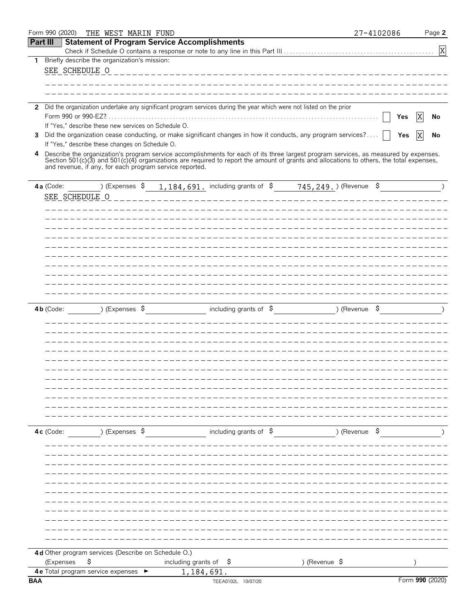|                 | Form 990 (2020)                                         | THE WEST MARIN FUND                                 |                                   |                                                                                                                                                                                                                                                                                  |               | 27-4102086    | Page 2          |
|-----------------|---------------------------------------------------------|-----------------------------------------------------|-----------------------------------|----------------------------------------------------------------------------------------------------------------------------------------------------------------------------------------------------------------------------------------------------------------------------------|---------------|---------------|-----------------|
| <b>Part III</b> |                                                         | <b>Statement of Program Service Accomplishments</b> |                                   |                                                                                                                                                                                                                                                                                  |               |               |                 |
|                 |                                                         |                                                     |                                   |                                                                                                                                                                                                                                                                                  |               |               | $\mathbf X$     |
| 1               | Briefly describe the organization's mission:            |                                                     |                                   |                                                                                                                                                                                                                                                                                  |               |               |                 |
|                 | SEE SCHEDULE O                                          |                                                     |                                   | _________________________________                                                                                                                                                                                                                                                |               |               |                 |
|                 |                                                         |                                                     |                                   |                                                                                                                                                                                                                                                                                  |               |               |                 |
|                 |                                                         |                                                     |                                   |                                                                                                                                                                                                                                                                                  |               |               |                 |
|                 |                                                         |                                                     |                                   | 2 Did the organization undertake any significant program services during the year which were not listed on the prior                                                                                                                                                             |               |               |                 |
|                 |                                                         |                                                     |                                   |                                                                                                                                                                                                                                                                                  |               |               | X<br>Yes<br>No  |
|                 | If "Yes," describe these new services on Schedule O.    |                                                     |                                   |                                                                                                                                                                                                                                                                                  |               |               |                 |
|                 |                                                         |                                                     |                                   | 3 Did the organization cease conducting, or make significant changes in how it conducts, any program services?                                                                                                                                                                   |               |               | ΙX<br>Yes<br>No |
|                 | If "Yes," describe these changes on Schedule O.         |                                                     |                                   |                                                                                                                                                                                                                                                                                  |               |               |                 |
| 4               |                                                         |                                                     |                                   | Describe the organization's program service accomplishments for each of its three largest program services, as measured by expenses.<br>Section 501(c)(3) and 501(c)(4) organizations are required to report the amount of grants and allocations to others, the total expenses, |               |               |                 |
|                 | and revenue, if any, for each program service reported. |                                                     |                                   |                                                                                                                                                                                                                                                                                  |               |               |                 |
|                 |                                                         |                                                     |                                   |                                                                                                                                                                                                                                                                                  |               |               |                 |
|                 | 4a (Code:                                               |                                                     |                                   | ) (Expenses $\frac{1}{2}$ , 184, 691. including grants of $\frac{2}{5}$ 745, 249. ) (Revenue $\frac{2}{5}$                                                                                                                                                                       |               |               |                 |
|                 | SEE SCHEDULE O                                          |                                                     |                                   |                                                                                                                                                                                                                                                                                  |               |               |                 |
|                 |                                                         |                                                     |                                   |                                                                                                                                                                                                                                                                                  |               |               |                 |
|                 |                                                         |                                                     |                                   |                                                                                                                                                                                                                                                                                  |               |               |                 |
|                 |                                                         |                                                     |                                   |                                                                                                                                                                                                                                                                                  |               |               |                 |
|                 |                                                         |                                                     |                                   |                                                                                                                                                                                                                                                                                  |               |               |                 |
|                 |                                                         |                                                     |                                   |                                                                                                                                                                                                                                                                                  |               |               |                 |
|                 |                                                         |                                                     |                                   |                                                                                                                                                                                                                                                                                  |               |               |                 |
|                 |                                                         |                                                     |                                   |                                                                                                                                                                                                                                                                                  |               |               |                 |
|                 |                                                         |                                                     |                                   |                                                                                                                                                                                                                                                                                  |               |               |                 |
|                 |                                                         |                                                     |                                   |                                                                                                                                                                                                                                                                                  |               |               |                 |
|                 |                                                         |                                                     |                                   |                                                                                                                                                                                                                                                                                  |               |               |                 |
|                 | $4b$ (Code:                                             | ) (Expenses \$                                      |                                   | including grants of $\frac{1}{5}$                                                                                                                                                                                                                                                |               | ) (Revenue \$ |                 |
|                 |                                                         |                                                     |                                   |                                                                                                                                                                                                                                                                                  |               |               |                 |
|                 |                                                         |                                                     |                                   |                                                                                                                                                                                                                                                                                  |               |               |                 |
|                 |                                                         |                                                     |                                   |                                                                                                                                                                                                                                                                                  |               |               |                 |
|                 |                                                         |                                                     |                                   |                                                                                                                                                                                                                                                                                  |               |               |                 |
|                 |                                                         |                                                     |                                   |                                                                                                                                                                                                                                                                                  |               |               |                 |
|                 |                                                         |                                                     |                                   |                                                                                                                                                                                                                                                                                  |               |               |                 |
|                 |                                                         |                                                     |                                   |                                                                                                                                                                                                                                                                                  |               |               |                 |
|                 |                                                         |                                                     |                                   |                                                                                                                                                                                                                                                                                  |               |               |                 |
|                 |                                                         |                                                     |                                   |                                                                                                                                                                                                                                                                                  |               |               |                 |
|                 |                                                         |                                                     |                                   |                                                                                                                                                                                                                                                                                  |               |               |                 |
|                 |                                                         |                                                     |                                   |                                                                                                                                                                                                                                                                                  |               |               |                 |
|                 |                                                         |                                                     |                                   |                                                                                                                                                                                                                                                                                  |               |               |                 |
|                 | 4c (Code:                                               | ) (Expenses \$                                      |                                   | including grants of $\phi$                                                                                                                                                                                                                                                       |               | ) (Revenue \$ |                 |
|                 |                                                         |                                                     |                                   |                                                                                                                                                                                                                                                                                  |               |               |                 |
|                 |                                                         |                                                     |                                   |                                                                                                                                                                                                                                                                                  |               |               |                 |
|                 |                                                         |                                                     |                                   |                                                                                                                                                                                                                                                                                  |               |               |                 |
|                 |                                                         |                                                     |                                   |                                                                                                                                                                                                                                                                                  |               |               |                 |
|                 |                                                         |                                                     |                                   |                                                                                                                                                                                                                                                                                  |               |               |                 |
|                 |                                                         |                                                     |                                   |                                                                                                                                                                                                                                                                                  |               |               |                 |
|                 |                                                         |                                                     |                                   |                                                                                                                                                                                                                                                                                  |               |               |                 |
|                 |                                                         |                                                     |                                   |                                                                                                                                                                                                                                                                                  |               |               |                 |
|                 |                                                         |                                                     |                                   |                                                                                                                                                                                                                                                                                  |               |               |                 |
|                 |                                                         |                                                     |                                   |                                                                                                                                                                                                                                                                                  |               |               |                 |
|                 |                                                         |                                                     |                                   |                                                                                                                                                                                                                                                                                  |               |               |                 |
|                 | 4d Other program services (Describe on Schedule O.)     |                                                     |                                   |                                                                                                                                                                                                                                                                                  |               |               |                 |
|                 | \$<br>(Expenses                                         |                                                     | including grants of $\frac{1}{2}$ |                                                                                                                                                                                                                                                                                  | ) (Revenue \$ |               |                 |
|                 | 4 e Total program service expenses ►                    |                                                     | 1,184,691.                        |                                                                                                                                                                                                                                                                                  |               |               |                 |
| <b>BAA</b>      |                                                         |                                                     |                                   | TEEA0102L 10/07/20                                                                                                                                                                                                                                                               |               |               | Form 990 (2020) |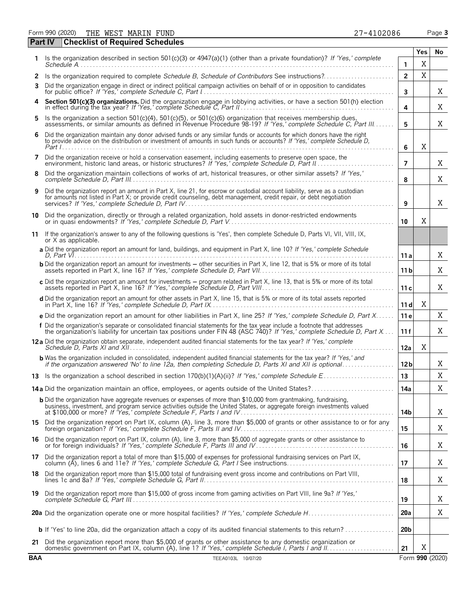| <b>Checklist of Required Schedules</b><br>Part IV |                                                                                                                                                                                                                                                                                                                           |                 |             |                 |  |  |
|---------------------------------------------------|---------------------------------------------------------------------------------------------------------------------------------------------------------------------------------------------------------------------------------------------------------------------------------------------------------------------------|-----------------|-------------|-----------------|--|--|
|                                                   | Is the organization described in section 501(c)(3) or 4947(a)(1) (other than a private foundation)? If 'Yes,' complete                                                                                                                                                                                                    |                 | Yes         | No              |  |  |
|                                                   |                                                                                                                                                                                                                                                                                                                           | $\mathbf{1}$    | X           |                 |  |  |
| 2                                                 | Is the organization required to complete Schedule B, Schedule of Contributors See instructions?                                                                                                                                                                                                                           | $\overline{2}$  | $\mathbf X$ |                 |  |  |
| 3                                                 | Did the organization engage in direct or indirect political campaign activities on behalf of or in opposition to candidates                                                                                                                                                                                               | 3               |             | Χ               |  |  |
|                                                   | Section 501(c)(3) organizations. Did the organization engage in lobbying activities, or have a section 501(h) election in effect during the tax year? If 'Yes,' complete Schedule C, Part II.                                                                                                                             | 4               |             | Χ               |  |  |
| 5.                                                | Is the organization a section 501(c)(4), 501(c)(5), or 501(c)(6) organization that receives membership dues, assessments, or similar amounts as defined in Revenue Procedure 98-19? If 'Yes,' complete Schedule C, Part III                                                                                               | 5               |             | Χ               |  |  |
| 6                                                 | Did the organization maintain any donor advised funds or any similar funds or accounts for which donors have the right<br>to provide advice on the distribution or investment of amounts in such funds or accounts? If 'Yes,' complete Schedule D,                                                                        | 6               | X           |                 |  |  |
| 7                                                 | Did the organization receive or hold a conservation easement, including easements to preserve open space, the                                                                                                                                                                                                             | $\overline{7}$  |             | Χ               |  |  |
| 8                                                 | Did the organization maintain collections of works of art, historical treasures, or other similar assets? If 'Yes,'                                                                                                                                                                                                       | 8               |             | X               |  |  |
| 9                                                 | Did the organization report an amount in Part X, line 21, for escrow or custodial account liability, serve as a custodian<br>for amounts not listed in Part X; or provide credit counseling, debt management, credit repair, or debt negotiation                                                                          | 9               |             | X               |  |  |
| 10                                                | Did the organization, directly or through a related organization, hold assets in donor-restricted endowments                                                                                                                                                                                                              | 10              | X           |                 |  |  |
| 11                                                | If the organization's answer to any of the following questions is 'Yes', then complete Schedule D, Parts VI, VII, VIII, IX,                                                                                                                                                                                               |                 |             |                 |  |  |
|                                                   | or X as applicable.<br>a Did the organization report an amount for land, buildings, and equipment in Part X, line 10? If 'Yes,' complete Schedule                                                                                                                                                                         | 11a             |             | Χ               |  |  |
|                                                   | <b>b</b> Did the organization report an amount for investments – other securities in Part X, line 12, that is 5% or more of its total                                                                                                                                                                                     | 11 <sub>b</sub> |             | X               |  |  |
|                                                   | c Did the organization report an amount for investments - program related in Part X, line 13, that is 5% or more of its total                                                                                                                                                                                             | 11c             |             | Χ               |  |  |
|                                                   | d Did the organization report an amount for other assets in Part X, line 15, that is 5% or more of its total assets reported                                                                                                                                                                                              | 11d             | Χ           |                 |  |  |
|                                                   | e Did the organization report an amount for other liabilities in Part X, line 25? If 'Yes,' complete Schedule D, Part X                                                                                                                                                                                                   | 11 e            |             | X               |  |  |
|                                                   | f Did the organization's separate or consolidated financial statements for the tax year include a footnote that addresses<br>the organization's liability for uncertain tax positions under FIN 48 (ASC 740)? If 'Yes,' complete Schedule D, Part X                                                                       | 11 f            |             | Χ               |  |  |
|                                                   | 12 a Did the organization obtain separate, independent audited financial statements for the tax year? If 'Yes,' complete                                                                                                                                                                                                  | 12a             | X           |                 |  |  |
|                                                   | <b>b</b> Was the organization included in consolidated, independent audited financial statements for the tax year? If 'Yes,' and<br>if the organization answered 'No' to line 12a, then completing Schedule D, Parts XI and XII is optional                                                                               | 12 <sub>b</sub> |             | Χ               |  |  |
|                                                   |                                                                                                                                                                                                                                                                                                                           | 13              |             | X               |  |  |
|                                                   | 14a Did the organization maintain an office, employees, or agents outside of the United States?                                                                                                                                                                                                                           | 14a             |             | X               |  |  |
|                                                   | <b>b</b> Did the organization have aggregate revenues or expenses of more than \$10,000 from grantmaking, fundraising,<br>business, investment, and program service activities outside the United States, or aggregate foreign investments valued<br>at \$100,000 or more? If 'Yes,' complete Schedule F, Parts I and IV. | 14b             |             | X               |  |  |
|                                                   | 15 Did the organization report on Part IX, column (A), line 3, more than \$5,000 of grants or other assistance to or for any foreign organization? If 'Yes,' complete Schedule F, Parts II and IV                                                                                                                         | 15              |             | Χ               |  |  |
|                                                   | 16 Did the organization report on Part IX, column (A), line 3, more than \$5,000 of aggregate grants or other assistance to<br>or for foreign individuals? If 'Yes,' complete Schedule F, Parts III and IV                                                                                                                | 16              |             | Χ               |  |  |
|                                                   | 17 Did the organization report a total of more than \$15,000 of expenses for professional fundraising services on Part IX,<br>column (A), lines 6 and 11e? If 'Yes,' complete Schedule G, Part I See instructions                                                                                                         | 17              |             | Χ               |  |  |
|                                                   | 18 Did the organization report more than \$15,000 total of fundraising event gross income and contributions on Part VIII,                                                                                                                                                                                                 | 18              |             | X               |  |  |
|                                                   | 19 Did the organization report more than \$15,000 of gross income from gaming activities on Part VIII, line 9a? If 'Yes,'                                                                                                                                                                                                 | 19              |             | Χ               |  |  |
|                                                   |                                                                                                                                                                                                                                                                                                                           | 20a             |             | Χ               |  |  |
|                                                   | <b>b</b> If 'Yes' to line 20a, did the organization attach a copy of its audited financial statements to this return?                                                                                                                                                                                                     | 20 <sub>b</sub> |             |                 |  |  |
|                                                   | 21 Did the organization report more than \$5,000 of grants or other assistance to any domestic organization or                                                                                                                                                                                                            | 21              | Χ           |                 |  |  |
| <b>BAA</b>                                        | TEEA0103L 10/07/20                                                                                                                                                                                                                                                                                                        |                 |             | Form 990 (2020) |  |  |

| Form 990 (2020) | THE WEST MARIN<br>FUND | 27-4102086 | $P$ aqe $\sim$ |
|-----------------|------------------------|------------|----------------|
|-----------------|------------------------|------------|----------------|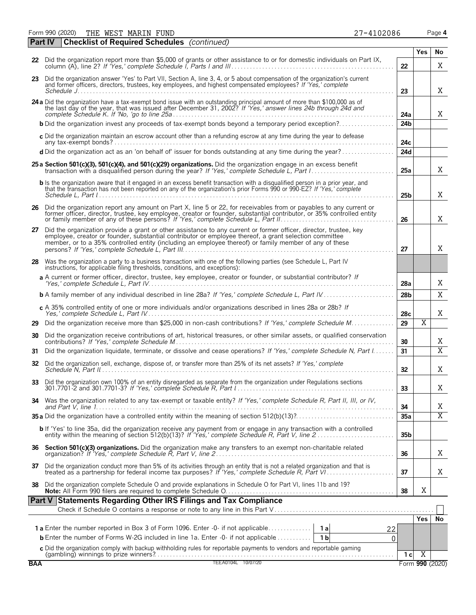Form 990 (2020) Page **4** THE WEST MARIN FUND 20086

| 27-4102086 |  |  |
|------------|--|--|

|    | <b>Checklist of Required Schedules</b> (continued)<br><b>Part IV</b>                                                                                                                                                                                                                                                                  |                 |                       |                |
|----|---------------------------------------------------------------------------------------------------------------------------------------------------------------------------------------------------------------------------------------------------------------------------------------------------------------------------------------|-----------------|-----------------------|----------------|
|    |                                                                                                                                                                                                                                                                                                                                       |                 | Yes                   | No             |
|    | 22 Did the organization report more than \$5,000 of grants or other assistance to or for domestic individuals on Part IX,                                                                                                                                                                                                             | 22              |                       | X              |
|    | 23 Did the organization answer 'Yes' to Part VII, Section A, line 3, 4, or 5 about compensation of the organization's current<br>and former officers, directors, trustees, key employees, and highest compensated employees? If 'Yes,' complete                                                                                       | 23              |                       | Χ              |
|    | 24 a Did the organization have a tax-exempt bond issue with an outstanding principal amount of more than \$100,000 as of the last day of the year, that was issued after December 31, 2002? If 'Yes,' answer lines 24b through                                                                                                        | 24a             |                       | X              |
|    | <b>b</b> Did the organization invest any proceeds of tax-exempt bonds beyond a temporary period exception?                                                                                                                                                                                                                            | 24 <sub>b</sub> |                       |                |
|    | c Did the organization maintain an escrow account other than a refunding escrow at any time during the year to defease                                                                                                                                                                                                                | 24с             |                       |                |
|    | d Did the organization act as an 'on behalf of' issuer for bonds outstanding at any time during the year?                                                                                                                                                                                                                             | 24d             |                       |                |
|    | 25 a Section 501(c)(3), 501(c)(4), and 501(c)(29) organizations. Did the organization engage in an excess benefit                                                                                                                                                                                                                     | 25a             |                       | X              |
|    | <b>b</b> Is the organization aware that it engaged in an excess benefit transaction with a disqualified person in a prior year, and<br>that the transaction has not been reported on any of the organization's prior Forms 990 or 990-EZ? If 'Yes,' complete                                                                          | 25b             |                       | X              |
|    | 26 Did the organization report any amount on Part X, line 5 or 22, for receivables from or payables to any current or<br>former officer, director, trustee, key employee, creator or founder, substantial contributor, or 35% controlled entity<br>or family member of any of these persons? If 'Yes,' complete Schedule L, Part II   | 26              |                       | X              |
| 27 | Did the organization provide a grant or other assistance to any current or former officer, director, trustee, key<br>employee, creator or founder, substantial contributor or employee thereof, a grant selection committee<br>member, or to a 35% controlled entity (including an employee thereof) or family member of any of these | 27              |                       | Χ              |
|    | 28 Was the organization a party to a business transaction with one of the following parties (see Schedule L, Part IV<br>instructions, for applicable filing thresholds, conditions, and exceptions):                                                                                                                                  |                 |                       |                |
|    | a A current or former officer, director, trustee, key employee, creator or founder, or substantial contributor? If                                                                                                                                                                                                                    | 28a             |                       | Χ              |
|    |                                                                                                                                                                                                                                                                                                                                       | 28 <sub>b</sub> |                       | X              |
|    | c A 35% controlled entity of one or more individuals and/or organizations described in lines 28a or 28b? If                                                                                                                                                                                                                           | 28 <sub>c</sub> |                       | Χ              |
| 29 | Did the organization receive more than \$25,000 in non-cash contributions? If 'Yes,' complete Schedule M                                                                                                                                                                                                                              | 29              | $\overline{\text{X}}$ |                |
| 30 | Did the organization receive contributions of art, historical treasures, or other similar assets, or qualified conservation                                                                                                                                                                                                           | 30              |                       | Χ              |
| 31 | Did the organization liquidate, terminate, or dissolve and cease operations? If 'Yes,' complete Schedule N, Part I                                                                                                                                                                                                                    | 31              |                       | $\overline{X}$ |
|    | 32 Did the organization sell, exchange, dispose of, or transfer more than 25% of its net assets? If 'Yes,' complete                                                                                                                                                                                                                   | 32 <sub>2</sub> |                       | Χ              |
| 33 | Did the organization own 100% of an entity disregarded as separate from the organization under Regulations sections                                                                                                                                                                                                                   | 33              |                       | Χ              |
|    | 34 Was the organization related to any tax-exempt or taxable entity? If 'Yes,' complete Schedule R, Part II, III, or IV,                                                                                                                                                                                                              | 34              |                       | Χ              |
|    |                                                                                                                                                                                                                                                                                                                                       | 35a             |                       | $\overline{X}$ |
|    | <b>b</b> If 'Yes' to line 35a, did the organization receive any payment from or engage in any transaction with a controlled entity within the meaning of section 512(b)(13)? If 'Yes,' complete Schedule R, Part V, line 2                                                                                                            | 35 <sub>b</sub> |                       |                |
|    |                                                                                                                                                                                                                                                                                                                                       | 36              |                       | Χ              |
|    | 37 Did the organization conduct more than 5% of its activities through an entity that is not a related organization and that is treated as a partnership for federal income tax purposes? If 'Yes,' complete Schedule R, Part                                                                                                         | 37              |                       | Χ              |
|    | 38 Did the organization complete Schedule O and provide explanations in Schedule O for Part VI, lines 11b and 19?                                                                                                                                                                                                                     | 38              | X                     |                |
|    | Part V Statements Regarding Other IRS Filings and Tax Compliance                                                                                                                                                                                                                                                                      |                 |                       |                |
|    |                                                                                                                                                                                                                                                                                                                                       |                 | <b>Yes</b>            | No             |
|    | 22                                                                                                                                                                                                                                                                                                                                    |                 |                       |                |
|    | <b>b</b> Enter the number of Forms W-2G included in line 1a. Enter -0- if not applicable<br>1 <sub>b</sub><br>$\Omega$                                                                                                                                                                                                                |                 |                       |                |
|    | c Did the organization comply with backup withholding rules for reportable payments to vendors and reportable qaminq<br>Combling) winnings to prize winners?<br>Combling) winnings to prize winners?                                                                                                                                  | 1 <sub>c</sub>  | X                     |                |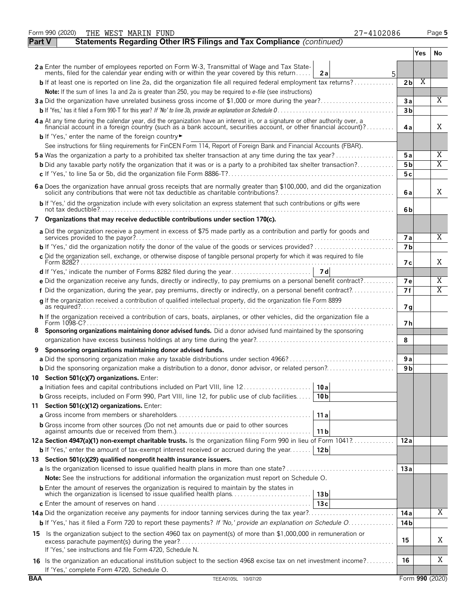|               | Form 990 (2020)<br>THE WEST MARIN FUND<br>27-4102086                                                                                                                                                                           |                 |     | Page 5 |
|---------------|--------------------------------------------------------------------------------------------------------------------------------------------------------------------------------------------------------------------------------|-----------------|-----|--------|
| <b>Part V</b> | Statements Regarding Other IRS Filings and Tax Compliance (continued)                                                                                                                                                          |                 |     |        |
|               |                                                                                                                                                                                                                                |                 | Yes | No.    |
|               | 2a Enter the number of employees reported on Form W-3, Transmittal of Wage and Tax State-<br>ments, filed for the calendar year ending with or within the year covered by this return<br>2a<br>5                               |                 |     |        |
|               | <b>b</b> If at least one is reported on line 2a, did the organization file all required federal employment tax returns?                                                                                                        | 2 <sub>b</sub>  | Χ   |        |
|               | Note: If the sum of lines 1a and 2a is greater than 250, you may be required to e-file (see instructions)                                                                                                                      |                 |     |        |
|               | 3a Did the organization have unrelated business gross income of \$1,000 or more during the year?                                                                                                                               | 3a              |     | X      |
|               |                                                                                                                                                                                                                                | 3 <sub>b</sub>  |     |        |
|               | 4 a At any time during the calendar year, did the organization have an interest in, or a signature or other authority over, a financial account in a foreign country (such as a bank account, securities account, or other fin | 4a              |     | X      |
|               | <b>b</b> If 'Yes,' enter the name of the foreign country                                                                                                                                                                       |                 |     |        |
|               | See instructions for filing requirements for FinCEN Form 114, Report of Foreign Bank and Financial Accounts (FBAR).                                                                                                            |                 |     |        |
|               | <b>5a</b> Was the organization a party to a prohibited tax shelter transaction at any time during the tax year?                                                                                                                | 5a              |     | Χ      |
|               | <b>b</b> Did any taxable party notify the organization that it was or is a party to a prohibited tax shelter transaction?                                                                                                      | 5 b             |     | X      |
|               |                                                                                                                                                                                                                                | 5 c             |     |        |
|               | 6 a Does the organization have annual gross receipts that are normally greater than \$100,000, and did the organization solicit any contributions that were not tax deductible as charitable contributions?                    | 6a              |     | X      |
|               | b If 'Yes,' did the organization include with every solicitation an express statement that such contributions or gifts were                                                                                                    | 6b              |     |        |
|               | 7 Organizations that may receive deductible contributions under section 170(c).                                                                                                                                                |                 |     |        |
|               | a Did the organization receive a payment in excess of \$75 made partly as a contribution and partly for goods and                                                                                                              | <b>7a</b>       |     | X      |
|               |                                                                                                                                                                                                                                | 7 <sub>b</sub>  |     |        |
|               | c Did the organization sell, exchange, or otherwise dispose of tangible personal property for which it was required to file                                                                                                    | 7 с             |     | X      |
|               |                                                                                                                                                                                                                                |                 |     |        |
|               | e Did the organization receive any funds, directly or indirectly, to pay premiums on a personal benefit contract?                                                                                                              | <b>7e</b>       |     | Χ      |
|               | f Did the organization, during the year, pay premiums, directly or indirectly, on a personal benefit contract?                                                                                                                 | 7f              |     | Χ      |
|               | g If the organization received a contribution of qualified intellectual property, did the organization file Form 8899                                                                                                          | 7 <sub>q</sub>  |     |        |
|               | h If the organization received a contribution of cars, boats, airplanes, or other vehicles, did the organization file a                                                                                                        | 7 h             |     |        |
| 8.            | Sponsoring organizations maintaining donor advised funds. Did a donor advised fund maintained by the sponsoring                                                                                                                | 8               |     |        |
| 9             | Sponsoring organizations maintaining donor advised funds.                                                                                                                                                                      |                 |     |        |
|               | a Did the sponsoring organization make any taxable distributions under section 4966?                                                                                                                                           | 9a              |     |        |
|               | <b>b</b> Did the sponsoring organization make a distribution to a donor, donor advisor, or related person?                                                                                                                     | 9 b             |     |        |
|               | 10 Section 501(c)(7) organizations. Enter:                                                                                                                                                                                     |                 |     |        |
|               | a Initiation fees and capital contributions included on Part VIII, line 12<br>10a                                                                                                                                              |                 |     |        |
|               | <b>b</b> Gross receipts, included on Form 990, Part VIII, line 12, for public use of club facilities<br>10 <sub>b</sub>                                                                                                        |                 |     |        |
|               | 11 Section 501(c)(12) organizations. Enter:                                                                                                                                                                                    |                 |     |        |
|               | 11a                                                                                                                                                                                                                            |                 |     |        |
|               | <b>b</b> Gross income from other sources (Do not net amounts due or paid to other sources<br>11 b                                                                                                                              |                 |     |        |
|               | 12a Section 4947(a)(1) non-exempt charitable trusts. Is the organization filing Form 990 in lieu of Form 1041?                                                                                                                 | 12a             |     |        |
|               | <b>b</b> If 'Yes,' enter the amount of tax-exempt interest received or accrued during the year<br>12 <sub>b</sub>                                                                                                              |                 |     |        |
|               | 13 Section 501(c)(29) qualified nonprofit health insurance issuers.                                                                                                                                                            |                 |     |        |
|               |                                                                                                                                                                                                                                | 13a             |     |        |
|               | <b>Note:</b> See the instructions for additional information the organization must report on Schedule O.                                                                                                                       |                 |     |        |
|               | <b>b</b> Enter the amount of reserves the organization is required to maintain by the states in<br>13 <sub>b</sub>                                                                                                             |                 |     |        |
|               | 13c                                                                                                                                                                                                                            | 14 a            |     | Χ      |
|               | b If 'Yes,' has it filed a Form 720 to report these payments? If 'No,' provide an explanation on Schedule O                                                                                                                    | 14 b            |     |        |
|               |                                                                                                                                                                                                                                |                 |     |        |
|               | 15 Is the organization subject to the section 4960 tax on payment(s) of more than \$1,000,000 in remuneration or<br>If 'Yes,' see instructions and file Form 4720, Schedule N.                                                 | 15              |     | Χ      |
|               | 16 Is the organization an educational institution subject to the section 4968 excise tax on net investment income?                                                                                                             | 16              |     | Χ      |
|               | If 'Yes,' complete Form 4720, Schedule O.                                                                                                                                                                                      |                 |     |        |
| <b>BAA</b>    | TEEA0105L 10/07/20                                                                                                                                                                                                             | Form 990 (2020) |     |        |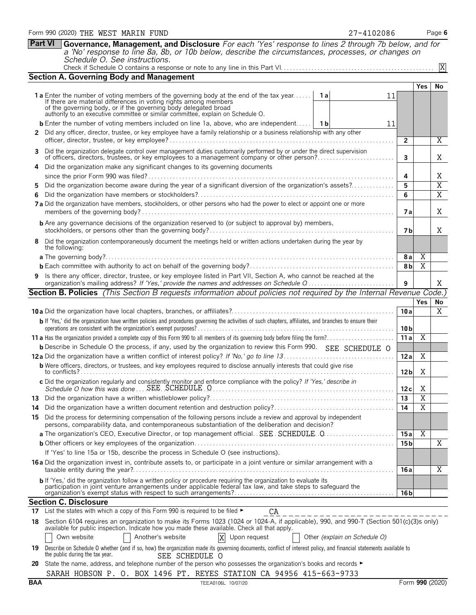**Part VI Governance, Management, and Disclosure** *For each 'Yes' response to lines 2 through 7b below, and for a 'No' response to line 8a, 8b, or 10b below, describe the circumstances, processes, or changes on Schedule O. See instructions.* X

|--|--|

|        | <b>Section A. Governing Body and Management</b>                                                                                                                                                                                                |    |                 |                |                                  |
|--------|------------------------------------------------------------------------------------------------------------------------------------------------------------------------------------------------------------------------------------------------|----|-----------------|----------------|----------------------------------|
|        |                                                                                                                                                                                                                                                |    |                 | <b>Yes</b>     | No                               |
|        | <b>1a</b> Enter the number of voting members of the governing body at the end of the tax year <b>1a</b><br>If there are material differences in voting rights among members<br>of the governing body, or if the governing body delegated broad | 11 |                 |                |                                  |
|        | authority to an executive committee or similar committee, explain on Schedule O.                                                                                                                                                               |    |                 |                |                                  |
|        | <b>b</b> Enter the number of voting members included on line 1a, above, who are independent   1b                                                                                                                                               | 11 |                 |                |                                  |
| 2      | Did any officer, director, trustee, or key employee have a family relationship or a business relationship with any other                                                                                                                       |    |                 |                |                                  |
|        |                                                                                                                                                                                                                                                |    | $\overline{2}$  |                | Χ                                |
| 3      | Did the organization delegate control over management duties customarily performed by or under the direct supervision<br>of officers, directors, trustees, or key employees to a management company or other person?                           |    | 3               |                | Χ                                |
| 4      | Did the organization make any significant changes to its governing documents                                                                                                                                                                   |    |                 |                |                                  |
|        |                                                                                                                                                                                                                                                |    | 4               |                | Χ                                |
| 5<br>6 | Did the organization become aware during the year of a significant diversion of the organization's assets?                                                                                                                                     |    | 5<br>6          |                | $\overline{X}$<br>$\overline{X}$ |
|        | 7 a Did the organization have members, stockholders, or other persons who had the power to elect or appoint one or more                                                                                                                        |    | 7 a             |                | Χ                                |
|        | <b>b</b> Are any governance decisions of the organization reserved to (or subject to approval by) members,                                                                                                                                     |    | 7 b             |                | Χ                                |
|        | Did the organization contemporaneously document the meetings held or written actions undertaken during the year by<br>the following:                                                                                                           |    |                 |                |                                  |
|        |                                                                                                                                                                                                                                                |    | 8a              | $\overline{X}$ |                                  |
|        |                                                                                                                                                                                                                                                |    | 8 <sub>b</sub>  | $\overline{X}$ |                                  |
| 9      | Is there any officer, director, trustee, or key employee listed in Part VII, Section A, who cannot be reached at the<br>organization's mailing address? If 'Yes,' provide the names and addresses on Schedule Q                                |    | 9               |                | Χ                                |
|        | Section B. Policies (This Section B requests information about policies not required by the Internal Revenue Code.)                                                                                                                            |    |                 |                |                                  |
|        |                                                                                                                                                                                                                                                |    |                 | Yes            | No                               |
|        |                                                                                                                                                                                                                                                |    | 10a             |                | X                                |
|        | b If 'Yes,' did the organization have written policies and procedures governing the activities of such chapters, affiliates, and branches to ensure their                                                                                      |    | 10 <sub>b</sub> |                |                                  |
|        |                                                                                                                                                                                                                                                |    | 11a             | $\overline{X}$ |                                  |
|        | <b>b</b> Describe in Schedule O the process, if any, used by the organization to review this Form 990. SEE SCHEDULE O                                                                                                                          |    |                 |                |                                  |
|        |                                                                                                                                                                                                                                                |    | 12a             | Χ              |                                  |
|        | <b>b</b> Were officers, directors, or trustees, and key employees required to disclose annually interests that could give rise                                                                                                                 |    | 12 <sub>b</sub> | Χ              |                                  |
|        | c Did the organization regularly and consistently monitor and enforce compliance with the policy? If 'Yes,' describe in                                                                                                                        |    | 12c             | Χ              |                                  |
|        |                                                                                                                                                                                                                                                |    | 13              | $\overline{X}$ |                                  |
| 14     |                                                                                                                                                                                                                                                |    | 14              | $\overline{X}$ |                                  |
| 15     | Did the process for determining compensation of the following persons include a review and approval by independent<br>persons, comparability data, and contemporaneous substantiation of the deliberation and decision?                        |    |                 |                |                                  |
|        |                                                                                                                                                                                                                                                |    | 15a             | $\overline{X}$ |                                  |
|        |                                                                                                                                                                                                                                                |    | 15 <sub>b</sub> |                | X                                |
|        | If 'Yes' to line 15a or 15b, describe the process in Schedule O (see instructions).                                                                                                                                                            |    |                 |                |                                  |
|        | 16 a Did the organization invest in, contribute assets to, or participate in a joint venture or similar arrangement with a                                                                                                                     |    | 16 a            |                | Χ                                |
|        | b If 'Yes,' did the organization follow a written policy or procedure requiring the organization to evaluate its<br>participation in joint venture arrangements under applicable federal tax law, and take steps to safeguard the              |    |                 |                |                                  |
|        | <b>Section C. Disclosure</b>                                                                                                                                                                                                                   |    | 16 <sub>b</sub> |                |                                  |
| 17     | List the states with which a copy of this Form 990 is required to be filed ►<br>CA                                                                                                                                                             |    |                 |                |                                  |
| 18     | --------------------------<br>Section 6104 requires an organization to make its Forms 1023 (1024 or 1024-A, if applicable), 990, and 990-T (Section 501(c)(3)s only)                                                                           |    |                 |                |                                  |
|        | available for public inspection. Indicate how you made these available. Check all that apply.                                                                                                                                                  |    |                 |                |                                  |
|        | Another's website<br>X<br>Own website<br>Upon request<br>Other (explain on Schedule O)                                                                                                                                                         |    |                 |                |                                  |
| 19     | Describe on Schedule O whether (and if so, how) the organization made its governing documents, conflict of interest policy, and financial statements available to<br>the public during the tax year.<br>SEE SCHEDULE O                         |    |                 |                |                                  |

**20** State the name, address, and telephone number of the person who possesses the organization's books and records ► SARAH HOBSON P. O. BOX 1496 PT. REYES STATION CA 94956 415-663-9733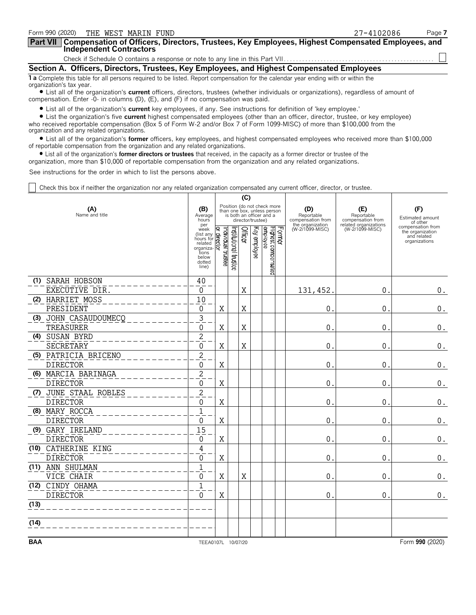| Form 990 (2020) THE WEST MARIN FUND                                                                                                                            | 27-4102086 | Page 7 |  |  |  |
|----------------------------------------------------------------------------------------------------------------------------------------------------------------|------------|--------|--|--|--|
| Part VII   Compensation of Officers, Directors, Trustees, Key Employees, Highest Compensated Employees, and<br><b>Independent Contractors</b>                  |            |        |  |  |  |
|                                                                                                                                                                |            |        |  |  |  |
| Section A. Officers, Directors, Trustees, Key Employees, and Highest Compensated Employees                                                                     |            |        |  |  |  |
| 1 a Complete this table for all persons required to be listed. Report compensation for the calendar year ending with or within the<br>organization's tax year. |            |        |  |  |  |
| • List all of the organization's current officers, directors, trustees (whether individuals or organizations), regardless of amount of                         |            |        |  |  |  |

compensation. Enter -0- in columns (D), (E), and (F) if no compensation was paid.

? List all of the organization's **current** key employees, if any. See instructions for definition of 'key employee.'

? List the organization's five **current** highest compensated employees (other than an officer, director, trustee, or key employee) who received reportable compensation (Box 5 of Form W-2 and/or Box 7 of Form 1099-MISC) of more than \$100,000 from the organization and any related organizations.

? List all of the organization's **former** officers, key employees, and highest compensated employees who received more than \$100,000 of reportable compensation from the organization and any related organizations.

? List all of the organization's **former directors or trustees** that received, in the capacity as a former director or trustee of the

organization, more than \$10,000 of reportable compensation from the organization and any related organizations.

See instructions for the order in which to list the persons above.

Check this box if neither the organization nor any related organization compensated any current officer, director, or trustee.

|                       | (C)                   |                                                                                                                                                              |                         |                      |         |                   |                                                                                        |                                                            |                                                                 |                                                                       |
|-----------------------|-----------------------|--------------------------------------------------------------------------------------------------------------------------------------------------------------|-------------------------|----------------------|---------|-------------------|----------------------------------------------------------------------------------------|------------------------------------------------------------|-----------------------------------------------------------------|-----------------------------------------------------------------------|
| (A)<br>Name and title |                       | (B)<br>Average<br>hours<br>per                                                                                                                               |                         |                      |         | director/trustee) | Position (do not check more<br>than one box, unless person<br>is both an officer and a | (D)<br>Reportable<br>compensation from<br>the organization | (E)<br>Reportable<br>compensation from<br>related organizations | (F)<br>Estimated amount<br>of other                                   |
|                       |                       | week<br>$\frac{1}{\text{m}}$ (list any $\frac{1}{\text{m}}$ )<br>hours for $\frac{1}{\text{m}}$<br>related<br>organiza-<br>tions<br>below<br>dotted<br>line) | ndividual trustee<br>ହି | nstitutional trustee | Officer |                   | Former<br>Highest compensated<br>Key employee                                          | (W-2/1099-MISC)                                            | (W-2/1099-MISC)                                                 | compensation from<br>the organization<br>and related<br>organizations |
|                       | (1) SARAH HOBSON      | 40                                                                                                                                                           |                         |                      |         |                   |                                                                                        |                                                            |                                                                 |                                                                       |
|                       | EXECUTIVE DIR.        | $\Omega$                                                                                                                                                     |                         |                      | X       |                   |                                                                                        | 131,452                                                    | 0.                                                              | 0.                                                                    |
|                       | (2) HARRIET MOSS      | 10                                                                                                                                                           |                         |                      |         |                   |                                                                                        |                                                            |                                                                 |                                                                       |
|                       | PRESIDENT             | 0                                                                                                                                                            | Χ                       |                      | Χ       |                   |                                                                                        | 0                                                          | 0.                                                              | 0.                                                                    |
|                       | (3) JOHN CASAUDOUMECO | $\overline{\mathbf{3}}$                                                                                                                                      |                         |                      |         |                   |                                                                                        |                                                            |                                                                 |                                                                       |
|                       | TREASURER             | $\mathbf{0}$                                                                                                                                                 | X                       |                      | X       |                   |                                                                                        | $\mathbf 0$                                                | 0.                                                              | $\boldsymbol{0}$ .                                                    |
|                       | (4) SUSAN BYRD        | $\overline{2}$                                                                                                                                               |                         |                      |         |                   |                                                                                        |                                                            |                                                                 |                                                                       |
|                       | SECRETARY             | 0                                                                                                                                                            | X                       |                      | X       |                   |                                                                                        | $\mathbf 0$                                                | 0.                                                              | $0$ .                                                                 |
|                       | (5) PATRICIA BRICENO  | $\overline{c}$                                                                                                                                               |                         |                      |         |                   |                                                                                        |                                                            |                                                                 |                                                                       |
|                       | <b>DIRECTOR</b>       | $\mathbf{0}$                                                                                                                                                 | X                       |                      |         |                   |                                                                                        | $\mathbf 0$                                                | 0.                                                              | 0.                                                                    |
|                       | (6) MARCIA BARINAGA   | $\overline{c}$                                                                                                                                               |                         |                      |         |                   |                                                                                        |                                                            |                                                                 |                                                                       |
|                       | <b>DIRECTOR</b>       | $\Omega$                                                                                                                                                     | X                       |                      |         |                   |                                                                                        | $\mathbf 0$                                                | 0.                                                              | $0$ .                                                                 |
|                       | (7) JUNE STAAL ROBLES | $\overline{c}$                                                                                                                                               |                         |                      |         |                   |                                                                                        |                                                            |                                                                 |                                                                       |
|                       | <b>DIRECTOR</b>       | 0                                                                                                                                                            | X                       |                      |         |                   |                                                                                        | $\mathbf 0$                                                | 0.                                                              | 0.                                                                    |
|                       | (8) MARY ROCCA        | $\overline{1}$                                                                                                                                               |                         |                      |         |                   |                                                                                        |                                                            |                                                                 |                                                                       |
|                       | <b>DIRECTOR</b>       | $\Omega$                                                                                                                                                     | X                       |                      |         |                   |                                                                                        | $\mathbf 0$                                                | $0$ .                                                           | $0$ .                                                                 |
|                       | (9) GARY IRELAND      | 15                                                                                                                                                           |                         |                      |         |                   |                                                                                        |                                                            |                                                                 |                                                                       |
|                       | <b>DIRECTOR</b>       | $\overline{0}$                                                                                                                                               | X                       |                      |         |                   |                                                                                        | $\mathbf 0$                                                | $\mathbf{0}$ .                                                  | $\boldsymbol{0}$ .                                                    |
|                       | (10) CATHERINE KING   | 4                                                                                                                                                            |                         |                      |         |                   |                                                                                        |                                                            |                                                                 |                                                                       |
|                       | <b>DIRECTOR</b>       | 0                                                                                                                                                            | X                       |                      |         |                   |                                                                                        | $\mathbf 0$                                                | $0$ .                                                           | $\boldsymbol{0}$ .                                                    |
|                       | (11) ANN SHULMAN      | $\overline{1}$                                                                                                                                               |                         |                      |         |                   |                                                                                        |                                                            |                                                                 |                                                                       |
|                       | VICE CHAIR            | $\overline{0}$                                                                                                                                               | X                       |                      | X       |                   |                                                                                        | $\mathbf{0}$                                               | 0.                                                              | $\boldsymbol{0}$ .                                                    |
| (12)                  | CINDY OHAMA           | $\overline{1}$                                                                                                                                               |                         |                      |         |                   |                                                                                        |                                                            |                                                                 |                                                                       |
|                       | <b>DIRECTOR</b>       | $\overline{0}$                                                                                                                                               | $\rm X$                 |                      |         |                   |                                                                                        | $\mathbf{0}$ .                                             | 0.                                                              | $0$ .                                                                 |
| (13)                  |                       |                                                                                                                                                              |                         |                      |         |                   |                                                                                        |                                                            |                                                                 |                                                                       |
| (14)                  |                       |                                                                                                                                                              |                         |                      |         |                   |                                                                                        |                                                            |                                                                 |                                                                       |
| <b>BAA</b>            |                       |                                                                                                                                                              |                         |                      |         |                   |                                                                                        |                                                            |                                                                 |                                                                       |
|                       |                       | TEEA0107L 10/07/20                                                                                                                                           |                         |                      |         |                   |                                                                                        |                                                            |                                                                 | Form 990 (2020)                                                       |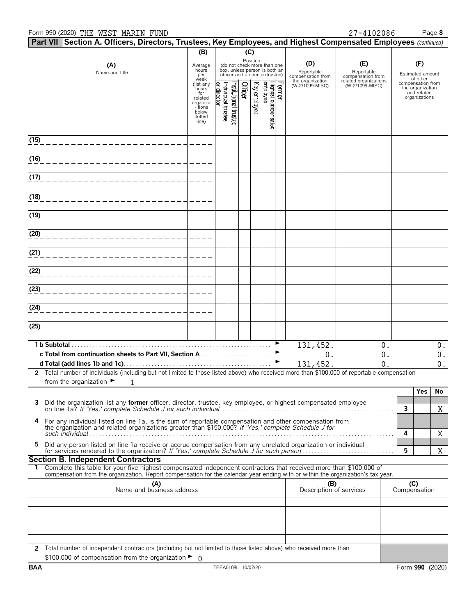### Form 990 (2020) THE WEST MARIN FUND 27-4102086 Page **8**

|                                                                                                                                                | Part VII Section A. Officers, Directors, Trustees, Key Employees, and Highest Compensated Employees (continued)                                                                                              |                           |                   |                      |         |              |                                                              |        |                                                     |                                                          |                                                      |                    |
|------------------------------------------------------------------------------------------------------------------------------------------------|--------------------------------------------------------------------------------------------------------------------------------------------------------------------------------------------------------------|---------------------------|-------------------|----------------------|---------|--------------|--------------------------------------------------------------|--------|-----------------------------------------------------|----------------------------------------------------------|------------------------------------------------------|--------------------|
|                                                                                                                                                |                                                                                                                                                                                                              | (B)                       |                   |                      | (C)     |              |                                                              |        |                                                     |                                                          |                                                      |                    |
|                                                                                                                                                | (A)                                                                                                                                                                                                          | Average<br>hours          |                   |                      |         | Position     | (do not check more than one<br>box, unless person is both an |        | (D)                                                 | (E)                                                      | (F)                                                  |                    |
|                                                                                                                                                | Name and title                                                                                                                                                                                               | per<br>week               |                   |                      |         |              | officer and a director/trustee)                              |        | Reportable<br>compensation from<br>the organization | Reportable<br>compensation from<br>related organizations | Estimated amount<br>of other                         |                    |
|                                                                                                                                                |                                                                                                                                                                                                              | (list any<br>hours<br>for | or director       |                      | Officer |              |                                                              | Former | (W-2/1099-MISC)                                     | (W-2/1099-MISC)                                          | compensation from<br>the organization<br>and related |                    |
|                                                                                                                                                |                                                                                                                                                                                                              | related<br>organiza       |                   |                      |         | Key employee |                                                              |        |                                                     |                                                          | organizations                                        |                    |
|                                                                                                                                                |                                                                                                                                                                                                              | - tions<br>below          | ndividual trustee | nstitutional trustee |         |              |                                                              |        |                                                     |                                                          |                                                      |                    |
|                                                                                                                                                |                                                                                                                                                                                                              | dotted<br>line)           |                   |                      |         |              | Highest compensated<br> employee                             |        |                                                     |                                                          |                                                      |                    |
|                                                                                                                                                |                                                                                                                                                                                                              |                           |                   |                      |         |              |                                                              |        |                                                     |                                                          |                                                      |                    |
| (15)                                                                                                                                           |                                                                                                                                                                                                              |                           |                   |                      |         |              |                                                              |        |                                                     |                                                          |                                                      |                    |
| (16)                                                                                                                                           |                                                                                                                                                                                                              |                           |                   |                      |         |              |                                                              |        |                                                     |                                                          |                                                      |                    |
|                                                                                                                                                |                                                                                                                                                                                                              |                           |                   |                      |         |              |                                                              |        |                                                     |                                                          |                                                      |                    |
| (17)                                                                                                                                           |                                                                                                                                                                                                              |                           |                   |                      |         |              |                                                              |        |                                                     |                                                          |                                                      |                    |
| (18)                                                                                                                                           |                                                                                                                                                                                                              |                           |                   |                      |         |              |                                                              |        |                                                     |                                                          |                                                      |                    |
|                                                                                                                                                |                                                                                                                                                                                                              |                           |                   |                      |         |              |                                                              |        |                                                     |                                                          |                                                      |                    |
| (19)                                                                                                                                           |                                                                                                                                                                                                              |                           |                   |                      |         |              |                                                              |        |                                                     |                                                          |                                                      |                    |
|                                                                                                                                                |                                                                                                                                                                                                              |                           |                   |                      |         |              |                                                              |        |                                                     |                                                          |                                                      |                    |
| (20)                                                                                                                                           |                                                                                                                                                                                                              |                           |                   |                      |         |              |                                                              |        |                                                     |                                                          |                                                      |                    |
| (21)                                                                                                                                           |                                                                                                                                                                                                              |                           |                   |                      |         |              |                                                              |        |                                                     |                                                          |                                                      |                    |
|                                                                                                                                                |                                                                                                                                                                                                              |                           |                   |                      |         |              |                                                              |        |                                                     |                                                          |                                                      |                    |
| (22)                                                                                                                                           |                                                                                                                                                                                                              |                           |                   |                      |         |              |                                                              |        |                                                     |                                                          |                                                      |                    |
| (23)                                                                                                                                           |                                                                                                                                                                                                              |                           |                   |                      |         |              |                                                              |        |                                                     |                                                          |                                                      |                    |
|                                                                                                                                                |                                                                                                                                                                                                              |                           |                   |                      |         |              |                                                              |        |                                                     |                                                          |                                                      |                    |
| (24)                                                                                                                                           |                                                                                                                                                                                                              |                           |                   |                      |         |              |                                                              |        |                                                     |                                                          |                                                      |                    |
|                                                                                                                                                |                                                                                                                                                                                                              |                           |                   |                      |         |              |                                                              |        |                                                     |                                                          |                                                      |                    |
| (25)                                                                                                                                           |                                                                                                                                                                                                              |                           |                   |                      |         |              |                                                              |        |                                                     |                                                          |                                                      |                    |
| 1 b Subtotal                                                                                                                                   |                                                                                                                                                                                                              |                           |                   |                      |         |              |                                                              |        | 131,452.                                            | 0.                                                       |                                                      | $0$ .              |
|                                                                                                                                                |                                                                                                                                                                                                              |                           |                   |                      |         |              |                                                              |        | 0.                                                  | 0.                                                       |                                                      | $\boldsymbol{0}$ . |
|                                                                                                                                                |                                                                                                                                                                                                              |                           |                   |                      |         |              |                                                              |        | 131, 452.                                           | 0.                                                       |                                                      | $0$ .              |
|                                                                                                                                                | 2 Total number of individuals (including but not limited to those listed above) who received more than \$100,000 of reportable compensation<br>from the organization $\blacktriangleright$<br>1              |                           |                   |                      |         |              |                                                              |        |                                                     |                                                          |                                                      |                    |
|                                                                                                                                                |                                                                                                                                                                                                              |                           |                   |                      |         |              |                                                              |        |                                                     |                                                          | Yes                                                  | No                 |
| 3                                                                                                                                              | Did the organization list any former officer, director, trustee, key employee, or highest compensated employee                                                                                               |                           |                   |                      |         |              |                                                              |        |                                                     |                                                          |                                                      |                    |
|                                                                                                                                                |                                                                                                                                                                                                              |                           |                   |                      |         |              |                                                              |        |                                                     |                                                          | 3                                                    | X                  |
| 4                                                                                                                                              | For any individual listed on line 1a, is the sum of reportable compensation and other compensation from the organization and related organizations greater than \$150,000? If 'Yes,' complete Schedule J for |                           |                   |                      |         |              |                                                              |        |                                                     |                                                          |                                                      |                    |
|                                                                                                                                                |                                                                                                                                                                                                              |                           |                   |                      |         |              |                                                              |        |                                                     |                                                          | 4                                                    | Χ                  |
| 5                                                                                                                                              | Did any person listed on line 1a receive or accrue compensation from any unrelated organization or individual<br>for services rendered to the organization? If 'Yes,' complete Schedule J for such person    |                           |                   |                      |         |              |                                                              |        |                                                     |                                                          | 5                                                    | X                  |
|                                                                                                                                                | <b>Section B. Independent Contractors</b>                                                                                                                                                                    |                           |                   |                      |         |              |                                                              |        |                                                     |                                                          |                                                      |                    |
|                                                                                                                                                | Complete this table for your five highest compensated independent contractors that received more than \$100,000 of                                                                                           |                           |                   |                      |         |              |                                                              |        |                                                     |                                                          |                                                      |                    |
| compensation from the organization. Report compensation for the calendar year ending with or within the organization's tax year.<br>(A)<br>(B) |                                                                                                                                                                                                              |                           |                   |                      |         |              |                                                              |        | (C)                                                 |                                                          |                                                      |                    |
|                                                                                                                                                | Name and business address                                                                                                                                                                                    |                           |                   |                      |         |              |                                                              |        | Description of services                             |                                                          | Compensation                                         |                    |
|                                                                                                                                                |                                                                                                                                                                                                              |                           |                   |                      |         |              |                                                              |        |                                                     |                                                          |                                                      |                    |
|                                                                                                                                                |                                                                                                                                                                                                              |                           |                   |                      |         |              |                                                              |        |                                                     |                                                          |                                                      |                    |
|                                                                                                                                                |                                                                                                                                                                                                              |                           |                   |                      |         |              |                                                              |        |                                                     |                                                          |                                                      |                    |
|                                                                                                                                                |                                                                                                                                                                                                              |                           |                   |                      |         |              |                                                              |        |                                                     |                                                          |                                                      |                    |
|                                                                                                                                                | 2 Total number of independent contractors (including but not limited to those listed above) who received more than                                                                                           |                           |                   |                      |         |              |                                                              |        |                                                     |                                                          |                                                      |                    |
|                                                                                                                                                | \$100,000 of compensation from the organization $\blacktriangleright$ 0                                                                                                                                      |                           |                   |                      |         |              |                                                              |        |                                                     |                                                          |                                                      |                    |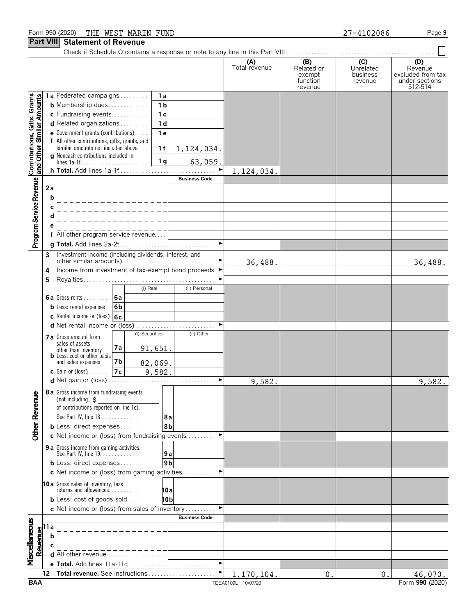### Form 990 (2020) Page **9** THE WEST MARIN FUND 27-4102086

### **Part VIII** Statement of Revenue

|                                                           | 411711                                                    | שוויטווג טו ווטעט                                                       |                |                                    |                      |                      |                                                    |                                         |                                                                  |
|-----------------------------------------------------------|-----------------------------------------------------------|-------------------------------------------------------------------------|----------------|------------------------------------|----------------------|----------------------|----------------------------------------------------|-----------------------------------------|------------------------------------------------------------------|
|                                                           |                                                           |                                                                         |                |                                    |                      | (A)<br>Total revenue | (B)<br>Related or<br>exempt<br>function<br>revenue | (C)<br>Unrelated<br>business<br>revenue | (D)<br>Revenue<br>excluded from tax<br>under sections<br>512-514 |
| Contributions, Cifts, Grants<br>and Other Similar Amounts |                                                           | 1a Federated campaigns                                                  |                | 1a                                 |                      |                      |                                                    |                                         |                                                                  |
|                                                           |                                                           | <b>b</b> Membership dues                                                |                | 1 <sub>b</sub>                     |                      |                      |                                                    |                                         |                                                                  |
|                                                           |                                                           | c Fundraising events<br>d Related organizations                         |                | $\overline{1}$ c<br>1 <sub>d</sub> |                      |                      |                                                    |                                         |                                                                  |
|                                                           |                                                           | e Government grants (contributions)                                     |                | 1 <sub>e</sub>                     |                      |                      |                                                    |                                         |                                                                  |
|                                                           |                                                           | f All other contributions, gifts, grants, and                           |                |                                    |                      |                      |                                                    |                                         |                                                                  |
|                                                           |                                                           | similar amounts not included above                                      |                | 1f                                 | 1, 124, 034.         |                      |                                                    |                                         |                                                                  |
|                                                           |                                                           | g Noncash contributions included in                                     |                | 1 <sub>g</sub>                     | 63,059.              |                      |                                                    |                                         |                                                                  |
|                                                           |                                                           |                                                                         |                |                                    |                      | 1,124,034.           |                                                    |                                         |                                                                  |
|                                                           |                                                           |                                                                         |                |                                    | <b>Business Code</b> |                      |                                                    |                                         |                                                                  |
| Program Service Revenue                                   | 2a                                                        |                                                                         |                |                                    |                      |                      |                                                    |                                         |                                                                  |
|                                                           | b                                                         |                                                                         |                |                                    |                      |                      |                                                    |                                         |                                                                  |
|                                                           | c                                                         |                                                                         |                |                                    |                      |                      |                                                    |                                         |                                                                  |
|                                                           | d                                                         |                                                                         |                |                                    |                      |                      |                                                    |                                         |                                                                  |
|                                                           | е                                                         | $\overline{f}$ All other program service revenue                        |                |                                    |                      |                      |                                                    |                                         |                                                                  |
|                                                           |                                                           |                                                                         |                |                                    |                      |                      |                                                    |                                         |                                                                  |
|                                                           | 3                                                         | Investment income (including dividends, interest, and                   |                |                                    |                      |                      |                                                    |                                         |                                                                  |
|                                                           |                                                           |                                                                         |                |                                    |                      | 36,488.              |                                                    |                                         | 36,488.                                                          |
|                                                           | Income from investment of tax-exempt bond proceeds ▶<br>4 |                                                                         |                |                                    |                      |                      |                                                    |                                         |                                                                  |
|                                                           | 5                                                         |                                                                         |                |                                    |                      |                      |                                                    |                                         |                                                                  |
|                                                           |                                                           |                                                                         | (i) Real       |                                    | (ii) Personal        |                      |                                                    |                                         |                                                                  |
|                                                           |                                                           | 6a<br><b>6a</b> Gross rents<br><b>b</b> Less: rental expenses           | 6b             |                                    |                      |                      |                                                    |                                         |                                                                  |
|                                                           |                                                           | c Rental income or (loss) $6c$                                          |                |                                    |                      |                      |                                                    |                                         |                                                                  |
|                                                           |                                                           |                                                                         |                |                                    |                      |                      |                                                    |                                         |                                                                  |
|                                                           |                                                           | 7 a Gross amount from                                                   | (i) Securities |                                    | (ii) Other           |                      |                                                    |                                         |                                                                  |
|                                                           |                                                           | sales of assets                                                         | 7а             | 91,651.                            |                      |                      |                                                    |                                         |                                                                  |
|                                                           |                                                           | other than inventory<br><b>b</b> Less: cost or other basis              |                |                                    |                      |                      |                                                    |                                         |                                                                  |
|                                                           |                                                           | and sales expenses                                                      | 7b             | 82,069.                            |                      |                      |                                                    |                                         |                                                                  |
|                                                           |                                                           | <b>c</b> Gain or (loss) $\ldots$ .                                      | 7c             | 9,582.                             |                      |                      |                                                    |                                         |                                                                  |
|                                                           |                                                           |                                                                         |                |                                    |                      | 9,582.               |                                                    |                                         | 9,582.                                                           |
|                                                           |                                                           | 8 a Gross income from fundraising events<br>(not including $\zeta$      |                |                                    |                      |                      |                                                    |                                         |                                                                  |
|                                                           |                                                           | of contributions reported on line 1c).                                  |                |                                    |                      |                      |                                                    |                                         |                                                                  |
|                                                           |                                                           | See Part IV, line 18                                                    |                | 8а                                 |                      |                      |                                                    |                                         |                                                                  |
| <b>Other Revenue</b>                                      |                                                           | <b>b</b> Less: direct expenses                                          |                | 8b                                 |                      |                      |                                                    |                                         |                                                                  |
|                                                           |                                                           | c Net income or (loss) from fundraising events                          |                |                                    |                      |                      |                                                    |                                         |                                                                  |
|                                                           |                                                           | <b>9 a</b> Gross income from gaming activities.<br>See Part IV, line 19 |                |                                    |                      |                      |                                                    |                                         |                                                                  |
|                                                           |                                                           | <b>b</b> Less: direct expenses                                          |                | 9а<br>9 <sub>b</sub>               |                      |                      |                                                    |                                         |                                                                  |
|                                                           |                                                           | c Net income or (loss) from gaming activities                           |                |                                    |                      |                      |                                                    |                                         |                                                                  |
|                                                           |                                                           |                                                                         |                |                                    |                      |                      |                                                    |                                         |                                                                  |
|                                                           |                                                           | <b>10a</b> Gross sales of inventory, less<br>returns and allowances     |                | 10a                                |                      |                      |                                                    |                                         |                                                                  |
|                                                           |                                                           | <b>b</b> Less: cost of goods sold                                       |                | 10 b                               |                      |                      |                                                    |                                         |                                                                  |
|                                                           |                                                           | c Net income or (loss) from sales of inventory                          |                |                                    |                      |                      |                                                    |                                         |                                                                  |
|                                                           |                                                           |                                                                         |                |                                    | <b>Business Code</b> |                      |                                                    |                                         |                                                                  |
|                                                           |                                                           |                                                                         |                |                                    |                      |                      |                                                    |                                         |                                                                  |
|                                                           |                                                           |                                                                         |                |                                    |                      |                      |                                                    |                                         |                                                                  |
| Miscellaneous                                             | Revenue<br>$\alpha$ o $\alpha$                            | <b>d</b> All other revenue $\ldots \ldots \ldots \ldots$                |                |                                    |                      |                      |                                                    |                                         |                                                                  |
|                                                           |                                                           | e Total. Add lines 11a-11d                                              |                |                                    | $\blacksquare$       |                      |                                                    |                                         |                                                                  |
|                                                           | 12                                                        | Total revenue. See instructions                                         |                |                                    |                      | 1,170,104.           | $\mathbf{0}$ .                                     | 0.                                      | 46,070.                                                          |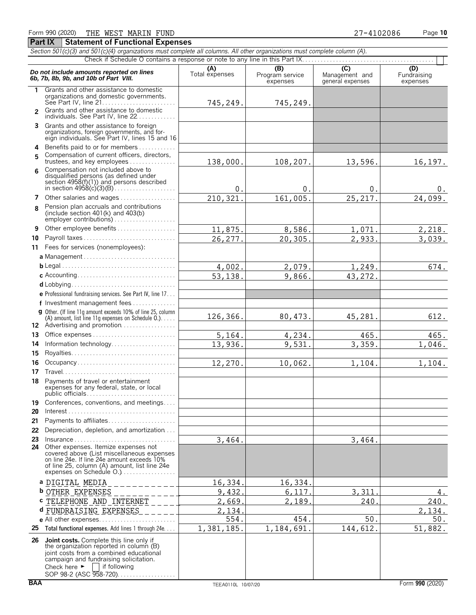| <b>Statement of Functional Expenses</b><br><b>Part IX</b>                                                                  |                       |                                                                             |                                        |
|----------------------------------------------------------------------------------------------------------------------------|-----------------------|-----------------------------------------------------------------------------|----------------------------------------|
| Section 501(c)(3) and 501(c)(4) organizations must complete all columns. All other organizations must complete column (A). |                       |                                                                             |                                        |
|                                                                                                                            |                       | Check if Schedule O contains a response or note to any line in this Part IX |                                        |
| Do not include amounts reported on lines<br>6b, 7b, 8b, 9b, and 10b of Part VIII.                                          | (A)<br>Total expenses | (B)<br>Program service<br>expenses                                          | (C)<br>Management a<br>general expense |
| Grants and other assistance to domestic<br>organizations and domestic governments.<br>See Part IV, line 21                 | 745,249.              | 745,249.                                                                    |                                        |
| <b>2</b> Grants and other assistance to domestic                                                                           |                       |                                                                             |                                        |

The contains a response to a response to any contains a response of  $\begin{array}{|c|c|c|}\n\hline\n\text{7} & \text{C} & \text{D} \\
\hline\n\text{8} & \text{C} & \text{D} \\
\hline\n\text{8} & \text{S} & \text{S} & \text{Fundraising} \\
\text{9} & \text{9} & \text{C} & \text{Fundraising} \\
\hline\n\end{array}$ **(B) (C)**<br>rogram service Management and<br>expenses general expenses 745,249. 745,249.

|    | organizations and domostic governments.<br>See Part IV, line 21                                                                                                                                                                                                  | 745,249.               | 745,249.   |          |                |
|----|------------------------------------------------------------------------------------------------------------------------------------------------------------------------------------------------------------------------------------------------------------------|------------------------|------------|----------|----------------|
|    | 2 Grants and other assistance to domestic<br>individuals. See Part IV, line 22                                                                                                                                                                                   |                        |            |          |                |
| 3  | Grants and other assistance to foreign<br>organizations, foreign governments, and for-<br>eign individuals. See Part IV, lines 15 and 16                                                                                                                         |                        |            |          |                |
| 4  | Benefits paid to or for members                                                                                                                                                                                                                                  |                        |            |          |                |
| 5  | Compensation of current officers, directors,                                                                                                                                                                                                                     |                        |            |          |                |
|    | trustees, and key employees                                                                                                                                                                                                                                      | 138,000.               | 108,207.   | 13,596.  | 16, 197.       |
| 6  | Compensation not included above to<br>disqualified persons (as defined under<br>section $4958(f)(1)$ and persons described                                                                                                                                       | $0$ .                  | 0.         | $0$ .    | 0 <sub>1</sub> |
|    | 7 Other salaries and wages                                                                                                                                                                                                                                       | $\overline{210,321}$ . | 161,005.   | 25, 217. | 24,099.        |
| 8  | Pension plan accruals and contributions<br>(include section 401(k) and 403(b)                                                                                                                                                                                    |                        |            |          |                |
| 9  | Other employee benefits                                                                                                                                                                                                                                          | 11,875.                | 8,586.     | 1,071.   | 2,218.         |
| 10 | Payroll taxes                                                                                                                                                                                                                                                    | 26,277.                | 20,305.    | 2,933.   | 3,039.         |
|    | 11 Fees for services (nonemployees):                                                                                                                                                                                                                             |                        |            |          |                |
|    |                                                                                                                                                                                                                                                                  |                        |            |          |                |
|    |                                                                                                                                                                                                                                                                  | 4,002.                 | 2,079.     | 1,249.   | 674.           |
|    |                                                                                                                                                                                                                                                                  | 53,138.                | 9,866.     | 43,272.  |                |
|    |                                                                                                                                                                                                                                                                  |                        |            |          |                |
|    | e Professional fundraising services. See Part IV, line 17                                                                                                                                                                                                        |                        |            |          |                |
|    | f Investment management fees                                                                                                                                                                                                                                     |                        |            |          |                |
|    | <b>g</b> Other. (If line 11q amount exceeds 10% of line 25, column<br>(A) amount, list line 11g expenses on Schedule $0.$ )<br>12 Advertising and promotion                                                                                                      | 126,366.               | 80, 473.   | 45,281.  | 612.           |
|    | 13 Office expenses                                                                                                                                                                                                                                               | 5,164.                 | 4,234.     | 465.     | 465.           |
|    | 14 Information technology                                                                                                                                                                                                                                        | 13,936.                | 9,531.     | 3,359.   | 1,046.         |
|    |                                                                                                                                                                                                                                                                  |                        |            |          |                |
|    | 16 Occupancy                                                                                                                                                                                                                                                     | 12,270.                | 10,062.    | 1,104.   | 1,104.         |
|    |                                                                                                                                                                                                                                                                  |                        |            |          |                |
|    | 18 Payments of travel or entertainment<br>expenses for any federal, state, or local                                                                                                                                                                              |                        |            |          |                |
| 19 | Conferences, conventions, and meetings                                                                                                                                                                                                                           |                        |            |          |                |
| 20 | $Interest \dots \dots \dots \dots \dots \dots \dots \dots \dots \dots \dots \dots \dots$                                                                                                                                                                         |                        |            |          |                |
| 21 | Payments to affiliates                                                                                                                                                                                                                                           |                        |            |          |                |
|    | 22 Depreciation, depletion, and amortization                                                                                                                                                                                                                     |                        |            |          |                |
|    |                                                                                                                                                                                                                                                                  | 3,464.                 |            | 3,464.   |                |
|    | Other expenses. Itemize expenses not<br>covered above (List miscellaneous expenses<br>on line 24e. If line 24e amount exceeds 10%<br>of line 25, column (A) amount, list line 24e                                                                                |                        |            |          |                |
|    | a DIGITAL MEDIA                                                                                                                                                                                                                                                  | 16,334.                | 16,334.    |          |                |
|    | <b>b</b> OTHER EXPENSES                                                                                                                                                                                                                                          | 9,432.                 | 6,117.     | 3,311    | 4.             |
|    | C TELEPHONE AND INTERNET                                                                                                                                                                                                                                         | 2,669.                 | 2,189.     | 240      | 240.           |
|    | d FUNDRAISING EXPENSES                                                                                                                                                                                                                                           | 2,134.                 |            |          | 2,134.         |
|    |                                                                                                                                                                                                                                                                  | 554.                   | 454.       | 50.      | 50.            |
|    | 25 Total functional expenses. Add lines 1 through 24e                                                                                                                                                                                                            | 1,381,185.             | 1,184,691. | 144,612. | 51,882.        |
| 26 | <b>Joint costs.</b> Complete this line only if<br>the organization reported in column (B)<br>joint costs from a combined educational<br>campaign and fundraising solicitation.<br>Check here $\blacktriangleright$<br>    if following<br>SOP 98-2 (ASC 958-720) |                        |            |          |                |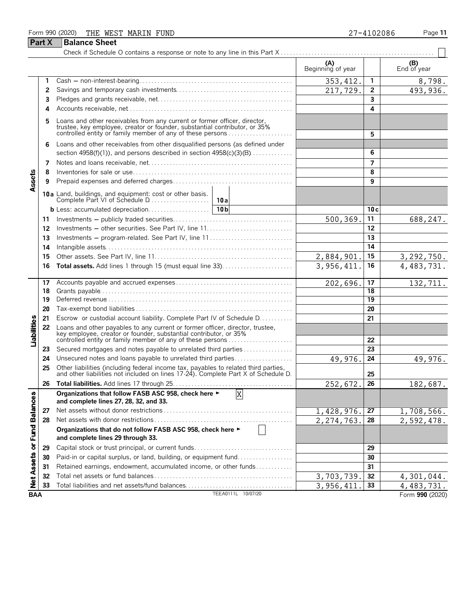#### Form 990 (2020) THE WEST MARIN FUND 27-4102086 Page 11 **Part X Balance Sheet** Check if Schedule O contains a response or note to any line in this Part X L,

| (A)<br>(B)<br>Beginning of year<br>End of year<br>353, 412.<br>1<br>1<br>493,936.<br>217,729.<br>$\mathbf{2}$<br>2<br>3<br>3<br>4<br>4<br>Loans and other receivables from any current or former officer, director, trustee, key employee, creator or founder, substantial contributor, or 35%<br>5<br>controlled entity or family member of any of these persons<br>5<br>Loans and other receivables from other disqualified persons (as defined under<br>6<br>section $4958(f)(1)$ , and persons described in section $4958(c)(3)(B)$<br>6<br>$\overline{ }$<br>7<br>Assets<br>8<br>8<br>9<br>9<br>10a Land, buildings, and equipment: cost or other basis.<br>10c<br>11<br>500,369.<br>688,247.<br>11<br>12<br>12<br>13<br>Investments - program-related. See Part IV, line 11<br>13<br>14<br>14<br>15<br>2,884,901<br>3, 292, 750.<br>15<br>3,956,411.<br>16<br>4,483,731.<br>16<br>17<br>202,696.<br>17 |          |
|--------------------------------------------------------------------------------------------------------------------------------------------------------------------------------------------------------------------------------------------------------------------------------------------------------------------------------------------------------------------------------------------------------------------------------------------------------------------------------------------------------------------------------------------------------------------------------------------------------------------------------------------------------------------------------------------------------------------------------------------------------------------------------------------------------------------------------------------------------------------------------------------------------------|----------|
|                                                                                                                                                                                                                                                                                                                                                                                                                                                                                                                                                                                                                                                                                                                                                                                                                                                                                                              |          |
|                                                                                                                                                                                                                                                                                                                                                                                                                                                                                                                                                                                                                                                                                                                                                                                                                                                                                                              | 8,798.   |
|                                                                                                                                                                                                                                                                                                                                                                                                                                                                                                                                                                                                                                                                                                                                                                                                                                                                                                              |          |
|                                                                                                                                                                                                                                                                                                                                                                                                                                                                                                                                                                                                                                                                                                                                                                                                                                                                                                              |          |
|                                                                                                                                                                                                                                                                                                                                                                                                                                                                                                                                                                                                                                                                                                                                                                                                                                                                                                              |          |
|                                                                                                                                                                                                                                                                                                                                                                                                                                                                                                                                                                                                                                                                                                                                                                                                                                                                                                              |          |
|                                                                                                                                                                                                                                                                                                                                                                                                                                                                                                                                                                                                                                                                                                                                                                                                                                                                                                              |          |
|                                                                                                                                                                                                                                                                                                                                                                                                                                                                                                                                                                                                                                                                                                                                                                                                                                                                                                              |          |
|                                                                                                                                                                                                                                                                                                                                                                                                                                                                                                                                                                                                                                                                                                                                                                                                                                                                                                              |          |
|                                                                                                                                                                                                                                                                                                                                                                                                                                                                                                                                                                                                                                                                                                                                                                                                                                                                                                              |          |
|                                                                                                                                                                                                                                                                                                                                                                                                                                                                                                                                                                                                                                                                                                                                                                                                                                                                                                              |          |
|                                                                                                                                                                                                                                                                                                                                                                                                                                                                                                                                                                                                                                                                                                                                                                                                                                                                                                              |          |
|                                                                                                                                                                                                                                                                                                                                                                                                                                                                                                                                                                                                                                                                                                                                                                                                                                                                                                              |          |
|                                                                                                                                                                                                                                                                                                                                                                                                                                                                                                                                                                                                                                                                                                                                                                                                                                                                                                              |          |
|                                                                                                                                                                                                                                                                                                                                                                                                                                                                                                                                                                                                                                                                                                                                                                                                                                                                                                              |          |
|                                                                                                                                                                                                                                                                                                                                                                                                                                                                                                                                                                                                                                                                                                                                                                                                                                                                                                              |          |
|                                                                                                                                                                                                                                                                                                                                                                                                                                                                                                                                                                                                                                                                                                                                                                                                                                                                                                              |          |
|                                                                                                                                                                                                                                                                                                                                                                                                                                                                                                                                                                                                                                                                                                                                                                                                                                                                                                              |          |
|                                                                                                                                                                                                                                                                                                                                                                                                                                                                                                                                                                                                                                                                                                                                                                                                                                                                                                              |          |
|                                                                                                                                                                                                                                                                                                                                                                                                                                                                                                                                                                                                                                                                                                                                                                                                                                                                                                              | 132,711. |
| 18<br>18                                                                                                                                                                                                                                                                                                                                                                                                                                                                                                                                                                                                                                                                                                                                                                                                                                                                                                     |          |
| 19<br>19                                                                                                                                                                                                                                                                                                                                                                                                                                                                                                                                                                                                                                                                                                                                                                                                                                                                                                     |          |
| 20<br>20                                                                                                                                                                                                                                                                                                                                                                                                                                                                                                                                                                                                                                                                                                                                                                                                                                                                                                     |          |
| Escrow or custodial account liability. Complete Part IV of Schedule D.<br>21<br>21                                                                                                                                                                                                                                                                                                                                                                                                                                                                                                                                                                                                                                                                                                                                                                                                                           |          |
| Liabilities<br>Loans and other payables to any current or former officer, director, trustee,<br>22<br>key employee, creator or founder, substantial contributor, or 35%<br>controlled entity or family member of any of these persons<br>22                                                                                                                                                                                                                                                                                                                                                                                                                                                                                                                                                                                                                                                                  |          |
| Secured mortgages and notes payable to unrelated third parties<br>23<br>23                                                                                                                                                                                                                                                                                                                                                                                                                                                                                                                                                                                                                                                                                                                                                                                                                                   |          |
| Unsecured notes and loans payable to unrelated third parties<br>49,976.<br>24<br>49,976.<br>24                                                                                                                                                                                                                                                                                                                                                                                                                                                                                                                                                                                                                                                                                                                                                                                                               |          |
| Other liabilities (including federal income tax, payables to related third parties, and other liabilities not included on lines 17-24). Complete Part X of Schedule D.<br>25<br>25                                                                                                                                                                                                                                                                                                                                                                                                                                                                                                                                                                                                                                                                                                                           |          |
| 26<br>26<br>252,672.<br>182,687.                                                                                                                                                                                                                                                                                                                                                                                                                                                                                                                                                                                                                                                                                                                                                                                                                                                                             |          |
| Organizations that follow FASB ASC 958, check here $\blacktriangleright$ $\boxed{X}$<br>and complete lines 27, 28, 32, and 33.                                                                                                                                                                                                                                                                                                                                                                                                                                                                                                                                                                                                                                                                                                                                                                               |          |
| 1,428,976.<br>27<br>27<br>1,708,566.                                                                                                                                                                                                                                                                                                                                                                                                                                                                                                                                                                                                                                                                                                                                                                                                                                                                         |          |
| 2,274,763.<br>2,592,478.<br>28<br>28                                                                                                                                                                                                                                                                                                                                                                                                                                                                                                                                                                                                                                                                                                                                                                                                                                                                         |          |
| Net Assets or Fund Balances<br>Organizations that do not follow FASB ASC 958, check here ►<br>and complete lines 29 through 33.                                                                                                                                                                                                                                                                                                                                                                                                                                                                                                                                                                                                                                                                                                                                                                              |          |
| Capital stock or trust principal, or current funds<br>29<br>29                                                                                                                                                                                                                                                                                                                                                                                                                                                                                                                                                                                                                                                                                                                                                                                                                                               |          |
| Paid-in or capital surplus, or land, building, or equipment fund<br>30<br>30                                                                                                                                                                                                                                                                                                                                                                                                                                                                                                                                                                                                                                                                                                                                                                                                                                 |          |
| Retained earnings, endowment, accumulated income, or other funds<br>31<br>31                                                                                                                                                                                                                                                                                                                                                                                                                                                                                                                                                                                                                                                                                                                                                                                                                                 |          |
| 32<br>32<br>3,703,739.<br>4,301,044.                                                                                                                                                                                                                                                                                                                                                                                                                                                                                                                                                                                                                                                                                                                                                                                                                                                                         |          |
| 3,956,411<br>33<br>Total liabilities and net assets/fund balances<br>33<br>4, 483, 731.                                                                                                                                                                                                                                                                                                                                                                                                                                                                                                                                                                                                                                                                                                                                                                                                                      |          |
| TEEA0111L 10/07/20<br><b>BAA</b><br>Form 990 (2020)                                                                                                                                                                                                                                                                                                                                                                                                                                                                                                                                                                                                                                                                                                                                                                                                                                                          |          |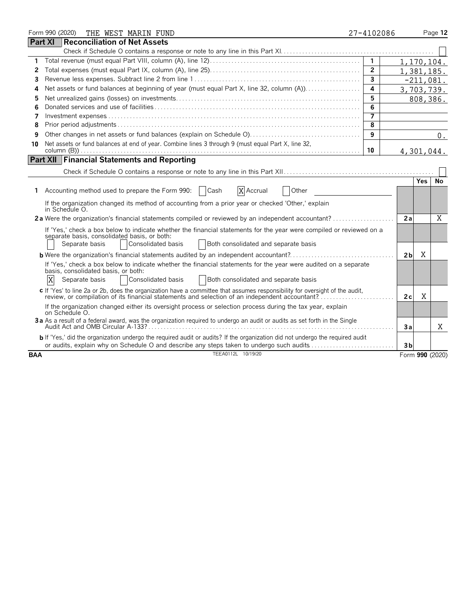|            | Form 990 (2020)<br>THE WEST MARIN FUND                                                                                                                                                                                                               | 27-4102086              |                |            | Page 12         |
|------------|------------------------------------------------------------------------------------------------------------------------------------------------------------------------------------------------------------------------------------------------------|-------------------------|----------------|------------|-----------------|
|            | <b>Part XI</b><br>Reconciliation of Net Assets                                                                                                                                                                                                       |                         |                |            |                 |
|            |                                                                                                                                                                                                                                                      |                         |                |            |                 |
| 1          |                                                                                                                                                                                                                                                      | $\mathbf{1}$            | 1,170,104.     |            |                 |
| 2          |                                                                                                                                                                                                                                                      | $\overline{2}$          | 1, 381, 185.   |            |                 |
| 3          |                                                                                                                                                                                                                                                      | $\overline{\mathbf{3}}$ |                |            | $-211,081.$     |
| 4          | Net assets or fund balances at beginning of year (must equal Part X, line 32, column (A))                                                                                                                                                            | 4                       | 3,703,739.     |            |                 |
| 5          |                                                                                                                                                                                                                                                      | 5                       |                |            | 808,386.        |
| 6          |                                                                                                                                                                                                                                                      | 6                       |                |            |                 |
| 7          |                                                                                                                                                                                                                                                      | $\overline{7}$          |                |            |                 |
| 8          |                                                                                                                                                                                                                                                      | 8                       |                |            |                 |
| 9          |                                                                                                                                                                                                                                                      | 9                       |                |            | 0.              |
| 10         | Net assets or fund balances at end of year. Combine lines 3 through 9 (must equal Part X, line 32,                                                                                                                                                   |                         |                |            |                 |
|            |                                                                                                                                                                                                                                                      | 10                      | 4,301,044.     |            |                 |
|            | <b>Part XII Financial Statements and Reporting</b>                                                                                                                                                                                                   |                         |                |            |                 |
|            |                                                                                                                                                                                                                                                      |                         |                |            |                 |
|            |                                                                                                                                                                                                                                                      |                         |                | <b>Yes</b> | <b>No</b>       |
| 1.         | Accounting method used to prepare the Form 990:<br>  Cash<br>X Accrual<br>Other                                                                                                                                                                      |                         |                |            |                 |
|            | If the organization changed its method of accounting from a prior year or checked 'Other,' explain<br>in Schedule O.                                                                                                                                 |                         |                |            |                 |
|            |                                                                                                                                                                                                                                                      |                         | 2a             |            | X               |
|            | If 'Yes,' check a box below to indicate whether the financial statements for the year were compiled or reviewed on a<br>separate basis, consolidated basis, or both:<br>Separate basis<br>Consolidated basis<br>Both consolidated and separate basis |                         |                |            |                 |
|            | <b>b</b> Were the organization's financial statements audited by an independent accountant?                                                                                                                                                          |                         | 2 <sub>b</sub> | X          |                 |
|            | If 'Yes,' check a box below to indicate whether the financial statements for the year were audited on a separate<br>basis, consolidated basis, or both:<br>X<br>Consolidated basis<br>Both consolidated and separate basis<br>Separate basis         |                         |                |            |                 |
|            | c If 'Yes' to line 2a or 2b, does the organization have a committee that assumes responsibility for oversight of the audit,<br>review, or compilation of its financial statements and selection of an independent accountant?                        |                         | 2c             | X          |                 |
|            | If the organization changed either its oversight process or selection process during the tax year, explain<br>on Schedule O.                                                                                                                         |                         |                |            |                 |
|            | 3a As a result of a federal award, was the organization required to undergo an audit or audits as set forth in the Single                                                                                                                            |                         | Зa             |            | Χ               |
|            | b If 'Yes,' did the organization undergo the required audit or audits? If the organization did not undergo the required audit<br>or audits, explain why on Schedule O and describe any steps taken to undergo such audits                            |                         | 3 <sub>b</sub> |            |                 |
| <b>BAA</b> | TEEA0112L 10/19/20                                                                                                                                                                                                                                   |                         |                |            | Form 990 (2020) |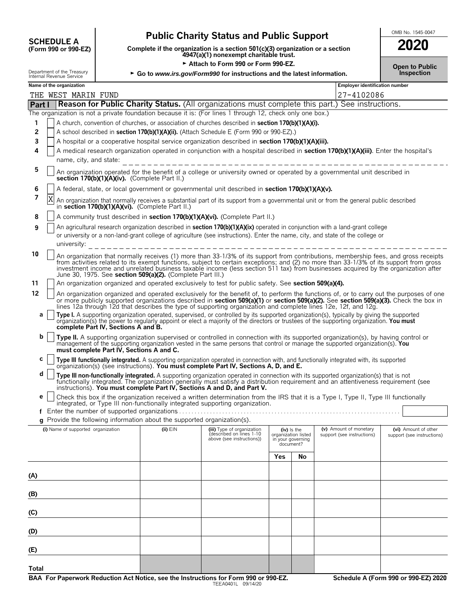# **Public Charity Status and Public Support**<br>
(Form 990 or 990-EZ) Complete if the organization is a section 501(c)(3) organization or a section<br> **2020**

**COMPOSCHEDULE A**<br>(Form 990 or 990-EZ) Complete if the organization is a section 501(c)(3) organization or a section<br>4947(a)(1) nonexempt charitable trust.

Attach to Form 990 or Form 990-EZ.

| <b>2020</b>                                |  |
|--------------------------------------------|--|
| <b>Open to Public</b><br><b>Inspection</b> |  |

|         | Department of the Treasury<br>Inspection<br>► Go to www.irs.gov/Form990 for instructions and the latest information.<br>Internal Revenue Service                                                                                                                                                                                                                                                                                                                                                                                                                                                                                                                           |                                    |                                          |                                                            |                                                                                                                                                                                                                                                                                                                                                                                                                    |     |                                                                        |                                                      |  |                                                    |
|---------|----------------------------------------------------------------------------------------------------------------------------------------------------------------------------------------------------------------------------------------------------------------------------------------------------------------------------------------------------------------------------------------------------------------------------------------------------------------------------------------------------------------------------------------------------------------------------------------------------------------------------------------------------------------------------|------------------------------------|------------------------------------------|------------------------------------------------------------|--------------------------------------------------------------------------------------------------------------------------------------------------------------------------------------------------------------------------------------------------------------------------------------------------------------------------------------------------------------------------------------------------------------------|-----|------------------------------------------------------------------------|------------------------------------------------------|--|----------------------------------------------------|
|         |                                                                                                                                                                                                                                                                                                                                                                                                                                                                                                                                                                                                                                                                            | Name of the organization           |                                          |                                                            |                                                                                                                                                                                                                                                                                                                                                                                                                    |     |                                                                        | <b>Employer identification number</b>                |  |                                                    |
|         |                                                                                                                                                                                                                                                                                                                                                                                                                                                                                                                                                                                                                                                                            | THE WEST MARIN FUND                |                                          |                                                            |                                                                                                                                                                                                                                                                                                                                                                                                                    |     |                                                                        | 27-4102086                                           |  |                                                    |
| Part I  |                                                                                                                                                                                                                                                                                                                                                                                                                                                                                                                                                                                                                                                                            |                                    |                                          |                                                            | <b>Reason for Public Charity Status.</b> (All organizations must complete this part.) See instructions.<br>The organization is not a private foundation because it is: (For lines 1 through 12, check only one box.)                                                                                                                                                                                               |     |                                                                        |                                                      |  |                                                    |
| 1       |                                                                                                                                                                                                                                                                                                                                                                                                                                                                                                                                                                                                                                                                            |                                    |                                          |                                                            | A church, convention of churches, or association of churches described in section 170(b)(1)(A)(i).                                                                                                                                                                                                                                                                                                                 |     |                                                                        |                                                      |  |                                                    |
| 2       |                                                                                                                                                                                                                                                                                                                                                                                                                                                                                                                                                                                                                                                                            |                                    |                                          |                                                            | A school described in section 170(b)(1)(A)(ii). (Attach Schedule E (Form 990 or 990-EZ).)                                                                                                                                                                                                                                                                                                                          |     |                                                                        |                                                      |  |                                                    |
| 3       |                                                                                                                                                                                                                                                                                                                                                                                                                                                                                                                                                                                                                                                                            |                                    |                                          |                                                            | A hospital or a cooperative hospital service organization described in section 170(b)(1)(A)(iii).                                                                                                                                                                                                                                                                                                                  |     |                                                                        |                                                      |  |                                                    |
| 4       |                                                                                                                                                                                                                                                                                                                                                                                                                                                                                                                                                                                                                                                                            |                                    |                                          |                                                            | A medical research organization operated in conjunction with a hospital described in section 170(b)(1)(A)(iii). Enter the hospital's                                                                                                                                                                                                                                                                               |     |                                                                        |                                                      |  |                                                    |
|         |                                                                                                                                                                                                                                                                                                                                                                                                                                                                                                                                                                                                                                                                            | name, city, and state:             |                                          |                                                            | ---------------------------------                                                                                                                                                                                                                                                                                                                                                                                  |     |                                                                        |                                                      |  |                                                    |
| 5       |                                                                                                                                                                                                                                                                                                                                                                                                                                                                                                                                                                                                                                                                            |                                    |                                          | section 170(b)(1)(A)(iv). (Complete Part II.)              | An organization operated for the benefit of a college or university owned or operated by a governmental unit described in                                                                                                                                                                                                                                                                                          |     |                                                                        |                                                      |  |                                                    |
| 6       |                                                                                                                                                                                                                                                                                                                                                                                                                                                                                                                                                                                                                                                                            |                                    |                                          |                                                            | A federal, state, or local government or governmental unit described in section 170(b)(1)(A)(v).                                                                                                                                                                                                                                                                                                                   |     |                                                                        |                                                      |  |                                                    |
| 7       | An organization that normally receives a substantial part of its support from a governmental unit or from the general public described<br>in section 170(b)(1)(A)(vi). (Complete Part II.)                                                                                                                                                                                                                                                                                                                                                                                                                                                                                 |                                    |                                          |                                                            |                                                                                                                                                                                                                                                                                                                                                                                                                    |     |                                                                        |                                                      |  |                                                    |
| 8       |                                                                                                                                                                                                                                                                                                                                                                                                                                                                                                                                                                                                                                                                            |                                    |                                          |                                                            | A community trust described in section 170(b)(1)(A)(vi). (Complete Part II.)                                                                                                                                                                                                                                                                                                                                       |     |                                                                        |                                                      |  |                                                    |
| 9       |                                                                                                                                                                                                                                                                                                                                                                                                                                                                                                                                                                                                                                                                            |                                    |                                          |                                                            | An agricultural research organization described in <b>section 170(b)(1)(A)(ix)</b> operated in conjunction with a land-grant college<br>or university or a non-land-grant college of agriculture (see instructions). Enter the name, city, and state of the college or<br>university: $- - - - - - - - - - - - - - - - - - - - - - -$                                                                              |     |                                                                        |                                                      |  |                                                    |
| 10      |                                                                                                                                                                                                                                                                                                                                                                                                                                                                                                                                                                                                                                                                            |                                    |                                          | June 30, 1975. See section 509(a)(2). (Complete Part III.) | An organization that normally receives (1) more than 33-1/3% of its support from contributions, membership fees, and gross receipts<br>from activities related to its exempt functions, subject to certain exceptions; and (2) no more than 33-1/3% of its support from gross<br>investment income and unrelated business taxable income (less section 511 tax) from businesses acquired by the organization after |     |                                                                        |                                                      |  |                                                    |
| 11      |                                                                                                                                                                                                                                                                                                                                                                                                                                                                                                                                                                                                                                                                            |                                    |                                          |                                                            | An organization organized and operated exclusively to test for public safety. See section 509(a)(4).                                                                                                                                                                                                                                                                                                               |     |                                                                        |                                                      |  |                                                    |
| 12<br>а | An organization organized and operated exclusively for the benefit of, to perform the functions of, or to carry out the purposes of one<br>or more publicly supported organizations described in section 509(a)(1) or section 509(a)(2). See section 509(a)(3). Check the box in<br>lines 12a through 12d that describes the type of supporting organization and complete lines 12e, 12f, and 12g.<br>Type I. A supporting organization operated, supervised, or controlled by its supported organization(s), typically by giving the supported organization(s) the power to regularly appoint or elect a majority of the directors<br>complete Part IV, Sections A and B. |                                    |                                          |                                                            |                                                                                                                                                                                                                                                                                                                                                                                                                    |     |                                                                        |                                                      |  |                                                    |
| b       |                                                                                                                                                                                                                                                                                                                                                                                                                                                                                                                                                                                                                                                                            |                                    | must complete Part IV, Sections A and C. |                                                            | Type II. A supporting organization supervised or controlled in connection with its supported organization(s), by having control or<br>management of the supporting organization vested in the same persons that control or manage the supported organization(s). You                                                                                                                                               |     |                                                                        |                                                      |  |                                                    |
| c       |                                                                                                                                                                                                                                                                                                                                                                                                                                                                                                                                                                                                                                                                            |                                    |                                          |                                                            | Type III functionally integrated. A supporting organization operated in connection with, and functionally integrated with, its supported organization(s) (see instructions). You must complete Part IV, Sections A, D, and E.                                                                                                                                                                                      |     |                                                                        |                                                      |  |                                                    |
| d       |                                                                                                                                                                                                                                                                                                                                                                                                                                                                                                                                                                                                                                                                            |                                    |                                          |                                                            | Type III non-functionally integrated. A supporting organization operated in connection with its supported organization(s) that is not<br>functionally integrated. The organization generally must satisfy a distribution requirement and an attentiveness requirement (see<br>instructions). You must complete Part IV, Sections A and D, and Part V.                                                              |     |                                                                        |                                                      |  |                                                    |
| е       |                                                                                                                                                                                                                                                                                                                                                                                                                                                                                                                                                                                                                                                                            |                                    |                                          |                                                            | Check this box if the organization received a written determination from the IRS that it is a Type I, Type II, Type III functionally<br>integrated, or Type III non-functionally integrated supporting organization.                                                                                                                                                                                               |     |                                                                        |                                                      |  |                                                    |
|         |                                                                                                                                                                                                                                                                                                                                                                                                                                                                                                                                                                                                                                                                            |                                    |                                          |                                                            |                                                                                                                                                                                                                                                                                                                                                                                                                    |     |                                                                        |                                                      |  |                                                    |
|         |                                                                                                                                                                                                                                                                                                                                                                                                                                                                                                                                                                                                                                                                            |                                    |                                          |                                                            | g Provide the following information about the supported organization(s).                                                                                                                                                                                                                                                                                                                                           |     |                                                                        |                                                      |  |                                                    |
|         |                                                                                                                                                                                                                                                                                                                                                                                                                                                                                                                                                                                                                                                                            | (i) Name of supported organization |                                          | $(ii)$ $EIN$                                               | (iii) Type of organization<br>described on lines 1-10<br>above (see instructions))                                                                                                                                                                                                                                                                                                                                 |     | $(iv)$ is the<br>organization listed<br>in your governing<br>document? | (v) Amount of monetary<br>support (see instructions) |  | (vi) Amount of other<br>support (see instructions) |
|         |                                                                                                                                                                                                                                                                                                                                                                                                                                                                                                                                                                                                                                                                            |                                    |                                          |                                                            |                                                                                                                                                                                                                                                                                                                                                                                                                    | Yes | No                                                                     |                                                      |  |                                                    |
| (A)     |                                                                                                                                                                                                                                                                                                                                                                                                                                                                                                                                                                                                                                                                            |                                    |                                          |                                                            |                                                                                                                                                                                                                                                                                                                                                                                                                    |     |                                                                        |                                                      |  |                                                    |
| (B)     |                                                                                                                                                                                                                                                                                                                                                                                                                                                                                                                                                                                                                                                                            |                                    |                                          |                                                            |                                                                                                                                                                                                                                                                                                                                                                                                                    |     |                                                                        |                                                      |  |                                                    |
| (C)     |                                                                                                                                                                                                                                                                                                                                                                                                                                                                                                                                                                                                                                                                            |                                    |                                          |                                                            |                                                                                                                                                                                                                                                                                                                                                                                                                    |     |                                                                        |                                                      |  |                                                    |
| (D)     |                                                                                                                                                                                                                                                                                                                                                                                                                                                                                                                                                                                                                                                                            |                                    |                                          |                                                            |                                                                                                                                                                                                                                                                                                                                                                                                                    |     |                                                                        |                                                      |  |                                                    |
| (E)     |                                                                                                                                                                                                                                                                                                                                                                                                                                                                                                                                                                                                                                                                            |                                    |                                          |                                                            |                                                                                                                                                                                                                                                                                                                                                                                                                    |     |                                                                        |                                                      |  |                                                    |
| Total   |                                                                                                                                                                                                                                                                                                                                                                                                                                                                                                                                                                                                                                                                            |                                    |                                          |                                                            |                                                                                                                                                                                                                                                                                                                                                                                                                    |     |                                                                        |                                                      |  |                                                    |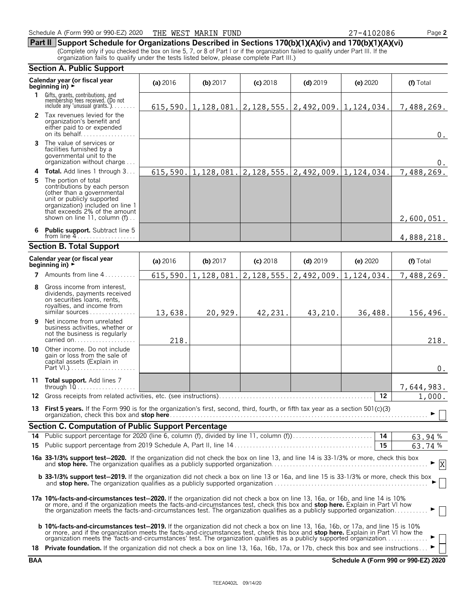**Part II Support Schedule for Organizations Described in Sections 170(b)(1)(A)(iv) and 170(b)(1)(A)(vi)** (Complete only if you checked the box on line 5, 7, or 8 of Part I or if the organization failed to qualify under Part III. If the organization fails to qualify under the tests listed below, please complete Part III.)

### **Section A. Public Support**

|              | Calendar year (or fiscal year<br>beainnina in) ►                                                                                                                                                                                                                                                                                                                                                        | (a) 2016   | (b) $2017$ | $(c)$ 2018 | $(d)$ 2019                                                       | $(e)$ 2020 | (f) Total  |  |
|--------------|---------------------------------------------------------------------------------------------------------------------------------------------------------------------------------------------------------------------------------------------------------------------------------------------------------------------------------------------------------------------------------------------------------|------------|------------|------------|------------------------------------------------------------------|------------|------------|--|
| $\mathbf{1}$ | Gifts, grants, contributions, and<br>membership fees received. (Do not<br>include any 'unusual grants.'). $\dots$                                                                                                                                                                                                                                                                                       |            |            |            | $615, 590.$  1, 128, 081. 2, 128, 555. 2, 492, 009. 1, 124, 034. |            | 7,488,269. |  |
|              | 2 Tax revenues levied for the<br>organization's benefit and<br>either paid to or expended<br>on its behalf                                                                                                                                                                                                                                                                                              |            |            |            |                                                                  |            | $0$ .      |  |
|              | 3 The value of services or<br>facilities furnished by a<br>governmental unit to the<br>organization without charge                                                                                                                                                                                                                                                                                      |            |            |            |                                                                  |            | $0$ .      |  |
|              | 4 Total. Add lines 1 through 3                                                                                                                                                                                                                                                                                                                                                                          |            |            |            | $615, 590.$  1, 128, 081. 2, 128, 555. 2, 492, 009. 1, 124, 034. |            | 7,488,269. |  |
| 5.           | The portion of total<br>contributions by each person<br>(other than a governmental<br>unit or publicly supported<br>organization) included on line 1<br>that exceeds 2% of the amount<br>shown on line 11, column (f)                                                                                                                                                                                   |            |            |            |                                                                  |            | 2,600,051. |  |
|              | 6 Public support. Subtract line 5<br>from line $4$                                                                                                                                                                                                                                                                                                                                                      |            |            |            |                                                                  |            | 4,888,218. |  |
|              | <b>Section B. Total Support</b>                                                                                                                                                                                                                                                                                                                                                                         |            |            |            |                                                                  |            |            |  |
|              | Calendar year (or fiscal year<br>beginning in) $\rightarrow$                                                                                                                                                                                                                                                                                                                                            | (a) $2016$ | (b) $2017$ | $(c)$ 2018 | $(d)$ 2019                                                       | (e) 2020   | (f) Total  |  |
|              | <b>7</b> Amounts from line $4, \ldots, \ldots$                                                                                                                                                                                                                                                                                                                                                          | 615,590.   |            |            | $1, 128, 081.   2, 128, 555.   2, 492, 009.   1, 124, 034.$      |            | 7,488,269. |  |
|              | 8 Gross income from interest,<br>dividends, payments received<br>on securities loans, rents,<br>royalties, and income from<br>$similar$ sources                                                                                                                                                                                                                                                         | 13,638.    | 20,929.    | 42,231.    | 43,210.                                                          | 36,488.    | 156,496.   |  |
| 9            | Net income from unrelated<br>business activities, whether or<br>not the business is regularly<br>carried on                                                                                                                                                                                                                                                                                             | 218.       |            |            |                                                                  |            | 218.       |  |
| 10           | Other income. Do not include<br>gain or loss from the sale of<br>capital assets (Explain in                                                                                                                                                                                                                                                                                                             |            |            |            |                                                                  |            | $0$ .      |  |
|              | 11 Total support. Add lines 7                                                                                                                                                                                                                                                                                                                                                                           |            |            |            |                                                                  |            | 7,644,983. |  |
|              |                                                                                                                                                                                                                                                                                                                                                                                                         |            |            |            |                                                                  | $12 \,$    | 1,000.     |  |
|              | 13 First 5 years. If the Form 990 is for the organization's first, second, third, fourth, or fifth tax year as a section 501(c)(3)                                                                                                                                                                                                                                                                      |            |            |            |                                                                  |            | ►          |  |
|              | <b>Section C. Computation of Public Support Percentage</b>                                                                                                                                                                                                                                                                                                                                              |            |            |            |                                                                  |            |            |  |
|              |                                                                                                                                                                                                                                                                                                                                                                                                         |            |            |            |                                                                  |            | 63.94 %    |  |
|              |                                                                                                                                                                                                                                                                                                                                                                                                         |            |            |            |                                                                  |            | 63.74 %    |  |
|              | 16a 33-1/3% support test-2020. If the organization did not check the box on line 13, and line 14 is 33-1/3% or more, check this box                                                                                                                                                                                                                                                                     |            |            |            |                                                                  |            | X          |  |
|              | <b>b 33-1/3% support test-2019.</b> If the organization did not check a box on line 13 or 16a, and line 15 is 33-1/3% or more, check this box                                                                                                                                                                                                                                                           |            |            |            |                                                                  |            |            |  |
|              | 17a 10%-facts-and-circumstances test-2020. If the organization did not check a box on line 13, 16a, or 16b, and line 14 is 10%<br>or more, and if the organization meets the facts-and-circumstances test, check this box and stop here. Explain in Part VI how<br>the organization meets the facts and circumstances test. The organization qualifies as a publicly supported organization             |            |            |            |                                                                  |            |            |  |
|              | <b>b 10%-facts-and-circumstances test-2019.</b> If the organization did not check a box on line 13, 16a, 16b, or 17a, and line 15 is 10%<br>or more, and if the organization meets the facts-and-circumstances test, check this box and stop here. Explain in Part VI how the<br>organization meets the 'facts-and-circumstances' test. The organization qualifies as a publicly supported organization |            |            |            |                                                                  |            |            |  |
|              | 18 Private foundation. If the organization did not check a box on line 13, 16a, 16b, 17a, or 17b, check this box and see instructions                                                                                                                                                                                                                                                                   |            |            |            |                                                                  |            |            |  |

**BAA Schedule A (Form 990 or 990-EZ) 2020**

| 2086 |  |
|------|--|
|------|--|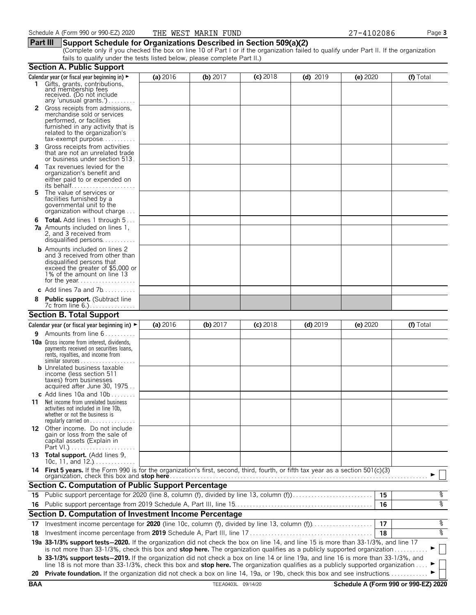### **Part III Support Schedule for Organizations Described in Section 509(a)(2)**

(Complete only if you checked the box on line 10 of Part I or if the organization failed to qualify under Part II. If the organization fails to qualify under the tests listed below, please complete Part II.)

|            | <b>Section A. Public Support</b>                                                                                                                                                                                                                               |          |                    |            |            |          |                                      |
|------------|----------------------------------------------------------------------------------------------------------------------------------------------------------------------------------------------------------------------------------------------------------------|----------|--------------------|------------|------------|----------|--------------------------------------|
|            | Calendar year (or fiscal year beginning in) ►                                                                                                                                                                                                                  | (a) 2016 | (b) $2017$         | $(c)$ 2018 | $(d)$ 2019 | (e) 2020 | (f) Total                            |
|            | 1 Gifts, grants, contributions,<br>and membership fees<br>received. (Do not include<br>any 'unusual grants.')                                                                                                                                                  |          |                    |            |            |          |                                      |
|            | 2 Gross receipts from admissions,<br>merchandise sold or services<br>performed, or facilities<br>furnished in any activity that is<br>related to the organization's<br>$tax\text{-}exempt$ purpose                                                             |          |                    |            |            |          |                                      |
| 3.         | Gross receipts from activities<br>that are not an unrelated trade<br>or business under section 513.                                                                                                                                                            |          |                    |            |            |          |                                      |
| 4          | Tax revenues levied for the<br>organization's benefit and<br>either paid to or expended on                                                                                                                                                                     |          |                    |            |            |          |                                      |
| 5.         | The value of services or<br>facilities furnished by a<br>governmental unit to the<br>organization without charge                                                                                                                                               |          |                    |            |            |          |                                      |
| 6          | <b>Total.</b> Add lines 1 through 5<br><b>7a</b> Amounts included on lines 1,<br>2, and 3 received from<br>disqualified persons                                                                                                                                |          |                    |            |            |          |                                      |
|            | <b>b</b> Amounts included on lines 2<br>and 3 received from other than<br>disqualified persons that<br>exceed the greater of \$5,000 or<br>1% of the amount on line 13                                                                                         |          |                    |            |            |          |                                      |
|            | c Add lines $7a$ and $7b$                                                                                                                                                                                                                                      |          |                    |            |            |          |                                      |
|            | <b>Public support.</b> (Subtract line                                                                                                                                                                                                                          |          |                    |            |            |          |                                      |
|            | <b>Section B. Total Support</b>                                                                                                                                                                                                                                |          |                    |            |            |          |                                      |
|            | Calendar year (or fiscal year beginning in) $\blacktriangleright$                                                                                                                                                                                              | (a) 2016 | (b) 2017           | $(c)$ 2018 | $(d)$ 2019 | (e) 2020 | (f) Total                            |
| 9.         | Amounts from line 6                                                                                                                                                                                                                                            |          |                    |            |            |          |                                      |
|            | <b>10a</b> Gross income from interest, dividends,<br>payments received on securities loans,<br>rents, royalties, and income from<br><b>b</b> Unrelated business taxable<br>income (less section 511<br>taxes) from businesses                                  |          |                    |            |            |          |                                      |
|            | acquired after June 30, 1975                                                                                                                                                                                                                                   |          |                    |            |            |          |                                      |
| 11         | c Add lines 10a and $10b$<br>Net income from unrelated business<br>activities not included in line 10b,<br>whether or not the business is<br>regularly carried on $\dots\dots\dots\dots$                                                                       |          |                    |            |            |          |                                      |
|            | 12 Other income. Do not include<br>gain or loss from the sale of<br>capital assets (Explain in                                                                                                                                                                 |          |                    |            |            |          |                                      |
|            | 13 Total support. (Add lines 9,<br>10c, 11, and $12$                                                                                                                                                                                                           |          |                    |            |            |          |                                      |
|            | 14 First 5 years. If the Form 990 is for the organization's first, second, third, fourth, or fifth tax year as a section 501(c)(3)<br>organization, check this box and stop here                                                                               |          |                    |            |            |          |                                      |
|            | <b>Section C. Computation of Public Support Percentage</b>                                                                                                                                                                                                     |          |                    |            |            |          |                                      |
|            | 15 Public support percentage for 2020 (line 8, column (f), divided by line 13, column (f)                                                                                                                                                                      |          |                    |            |            | 15       | န့                                   |
|            |                                                                                                                                                                                                                                                                |          |                    |            |            | 16       | ०१०                                  |
|            | Section D. Computation of Investment Income Percentage                                                                                                                                                                                                         |          |                    |            |            |          |                                      |
| 17         |                                                                                                                                                                                                                                                                |          |                    |            |            | 17       | %                                    |
| 18         |                                                                                                                                                                                                                                                                |          |                    |            |            | 18       | ०७                                   |
|            | 19a 33-1/3% support tests-2020. If the organization did not check the box on line 14, and line 15 is more than 33-1/3%, and line 17<br>is not more than 33-1/3%, check this box and stop here. The organization qualifies as a publicly supported organization |          |                    |            |            |          |                                      |
|            | <b>b</b> 33-1/3% support tests-2019. If the organization did not check a box on line 14 or line 19a, and line 16 is more than 33-1/3%, and                                                                                                                     |          |                    |            |            |          |                                      |
|            | line 18 is not more than 33-1/3%, check this box and stop here. The organization qualifies as a publicly supported organization<br>Private foundation. If the organization did not check a box on line 14, 19a, or 19b, check this box and see instructions.   |          |                    |            |            |          |                                      |
| 20         |                                                                                                                                                                                                                                                                |          |                    |            |            |          |                                      |
| <b>BAA</b> |                                                                                                                                                                                                                                                                |          | TEEA0403L 09/14/20 |            |            |          | Schedule A (Form 990 or 990-EZ) 2020 |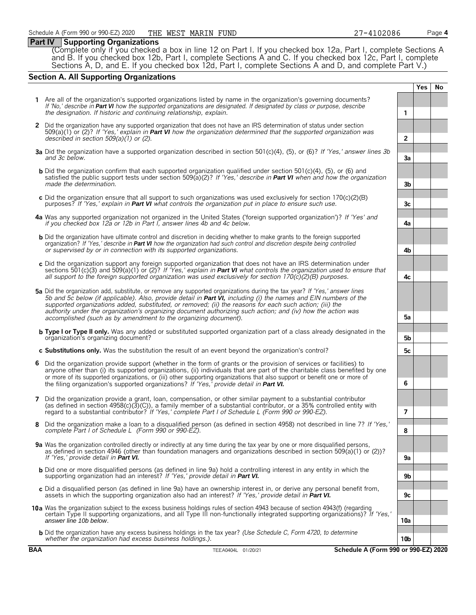### **Part IV Supporting Organizations**

(Complete only if you checked a box in line 12 on Part I. If you checked box 12a, Part I, complete Sections A and B. If you checked box 12b, Part I, complete Sections A and C. If you checked box 12c, Part I, complete Sections A, D, and E. If you checked box 12d, Part I, complete Sections A and D, and complete Part V.)

### **Section A. All Supporting Organizations**

|   |                                                                                                                                                                                                                                                                                                                                                                                                                                                                                                                                                      |                 | <b>Yes</b> | <b>No</b> |
|---|------------------------------------------------------------------------------------------------------------------------------------------------------------------------------------------------------------------------------------------------------------------------------------------------------------------------------------------------------------------------------------------------------------------------------------------------------------------------------------------------------------------------------------------------------|-----------------|------------|-----------|
|   | 1 Are all of the organization's supported organizations listed by name in the organization's governing documents?<br>If 'No,' describe in Part VI how the supported organizations are designated. If designated by class or purpose, describe<br>the designation. If historic and continuing relationship, explain.                                                                                                                                                                                                                                  | 1               |            |           |
|   | 2 Did the organization have any supported organization that does not have an IRS determination of status under section<br>$509(a)(1)$ or (2)? If 'Yes,' explain in <b>Part VI</b> how the organization determined that the supported organization was<br>described in section $509(a)(1)$ or (2).                                                                                                                                                                                                                                                    | $\overline{2}$  |            |           |
|   | 3a Did the organization have a supported organization described in section 501(c)(4), (5), or (6)? If 'Yes,' answer lines 3b<br>and 3c below.                                                                                                                                                                                                                                                                                                                                                                                                        | 3a              |            |           |
|   | <b>b</b> Did the organization confirm that each supported organization qualified under section 501(c)(4), (5), or (6) and<br>satisfied the public support tests under section 509( $a(2)$ ? If 'Yes,' describe in <b>Part VI</b> when and how the organization<br>made the determination.                                                                                                                                                                                                                                                            | 3 <sub>b</sub>  |            |           |
|   | c Did the organization ensure that all support to such organizations was used exclusively for section $170(c)(2)(B)$<br>purposes? If 'Yes,' explain in <b>Part VI</b> what controls the organization put in place to ensure such use.                                                                                                                                                                                                                                                                                                                | 3c              |            |           |
|   | 4a Was any supported organization not organized in the United States ('foreign supported organization')? If 'Yes' and<br>if you checked box 12a or 12b in Part I, answer lines 4b and 4c below.                                                                                                                                                                                                                                                                                                                                                      | 4a              |            |           |
|   | <b>b</b> Did the organization have ultimate control and discretion in deciding whether to make grants to the foreign supported<br>organization? If 'Yes,' describe in Part VI how the organization had such control and discretion despite being controlled<br>or supervised by or in connection with its supported organizations.                                                                                                                                                                                                                   | 4b              |            |           |
|   | c Did the organization support any foreign supported organization that does not have an IRS determination under<br>sections 501(c)(3) and 509(a)(1) or (2)? If 'Yes,' explain in <b>Part VI</b> what controls the organization used to ensure that<br>all support to the foreign supported organization was used exclusively for section $170(c)(2)(B)$ purposes.                                                                                                                                                                                    | 4c              |            |           |
|   | 5a Did the organization add, substitute, or remove any supported organizations during the tax year? If 'Yes,' answer lines<br>5b and 5c below (if applicable). Also, provide detail in <b>Part VI</b> , including (i) the names and EIN numbers of the<br>supported organizations added, substituted, or removed; (ii) the reasons for each such action; (iii) the<br>authority under the organization's organizing document authorizing such action; and (iv) how the action was<br>accomplished (such as by amendment to the organizing document). | 5a              |            |           |
|   | <b>b</b> Type I or Type II only. Was any added or substituted supported organization part of a class already designated in the<br>organization's organizing document?                                                                                                                                                                                                                                                                                                                                                                                | 5b              |            |           |
|   | c Substitutions only. Was the substitution the result of an event beyond the organization's control?                                                                                                                                                                                                                                                                                                                                                                                                                                                 | 5с              |            |           |
| 6 | Did the organization provide support (whether in the form of grants or the provision of services or facilities) to<br>anyone other than (i) its supported organizations, (ii) individuals that are part of the charitable class benefited by one<br>or more of its supported organizations, or (iii) other supporting organizations that also support or benefit one or more of<br>the filing organization's supported organizations? If 'Yes,' provide detail in Part VI.                                                                           | 6               |            |           |
| 7 | Did the organization provide a grant, loan, compensation, or other similar payment to a substantial contributor<br>(as defined in section $4958(c)(3)(c)$ ), a family member of a substantial contributor, or a 35% controlled entity with<br>regard to a substantial contributor? If 'Yes,' complete Part I of Schedule L (Form 990 or 990-EZ).                                                                                                                                                                                                     | 7               |            |           |
| 8 | Did the organization make a loan to a disqualified person (as defined in section 4958) not described in line 7? If 'Yes,'<br>complete Part I of Schedule L (Form 990 or 990-EZ).                                                                                                                                                                                                                                                                                                                                                                     | 8               |            |           |
|   | 9a Was the organization controlled directly or indirectly at any time during the tax year by one or more disqualified persons,<br>as defined in section 4946 (other than foundation managers and organizations described in section 509(a)(1) or (2))?<br>If 'Yes,' provide detail in <b>Part VI.</b>                                                                                                                                                                                                                                                | 9a              |            |           |
|   | <b>b</b> Did one or more disqualified persons (as defined in line 9a) hold a controlling interest in any entity in which the<br>supporting organization had an interest? If 'Yes,' provide detail in Part VI.                                                                                                                                                                                                                                                                                                                                        | 9b              |            |           |
|   | c Did a disqualified person (as defined in line 9a) have an ownership interest in, or derive any personal benefit from,<br>assets in which the supporting organization also had an interest? If 'Yes,' provide detail in <b>Part VI.</b>                                                                                                                                                                                                                                                                                                             | 9c              |            |           |
|   | 10a Was the organization subject to the excess business holdings rules of section 4943 because of section 4943(f) (regarding<br>certain Type II supporting organizations, and all Type III non-functionally integrated supporting organizations)? If 'Yes,'<br>answer line 10b below.                                                                                                                                                                                                                                                                | 10a             |            |           |
|   | <b>b</b> Did the organization have any excess business holdings in the tax year? (Use Schedule C, Form 4720, to determine<br>whether the organization had excess business holdings.).                                                                                                                                                                                                                                                                                                                                                                | 10 <sub>b</sub> |            |           |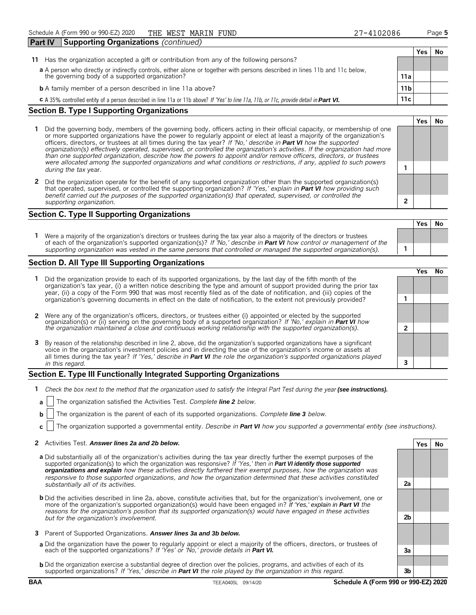| <b>Part IV</b> | <b>Supporting Organizations (continued)</b>                                                                                                                                    |      |      |    |
|----------------|--------------------------------------------------------------------------------------------------------------------------------------------------------------------------------|------|------|----|
|                |                                                                                                                                                                                |      | Yes. | No |
| 11.            | Has the organization accepted a gift or contribution from any of the following persons?                                                                                        |      |      |    |
|                | a A person who directly or indirectly controls, either alone or together with persons described in lines 11b and 11c below,<br>the governing body of a supported organization? | 11a  |      |    |
|                | <b>b</b> A family member of a person described in line 11a above?                                                                                                              | 11 b |      |    |
|                | C A 35% controlled entity of a person described in line 11a or 11b above? If 'Yes' to line 11a, 11b, or 11c, provide detail in Part VI.                                        | 11c  |      |    |
|                |                                                                                                                                                                                |      |      |    |

### **Section B. Type I Supporting Organizations**

- **1** Did the governing body, members of the governing body, officers acting in their official capacity, or membership of one or more supported organizations have the power to regularly appoint or elect at least a majority of the organization's officers, directors, or trustees at all times during the tax year? *If 'No,' describe in* **Part VI** *how the supported organization(s) effectively operated, supervised, or controlled the organization's activities. If the organization had more than one supported organization, describe how the powers to appoint and/or remove officers, directors, or trustees were allocated among the supported organizations and what conditions or restrictions, if any, applied to such powers* **1** *during the tax* year.
- **2** Did the organization operate for the benefit of any supported organization other than the supported organization(s) that operated, supervised, or controlled the supporting organization? *If 'Yes,' explain in* **Part VI** *how providing such benefit carried out the purposes of the supported organization(s) that operated, supervised, or controlled the supporting organization.* **2**

### **Section C. Type II Supporting Organizations**

**Yes No 1** Were a majority of the organization's directors or trustees during the tax year also a majority of the directors or trustees of each of the organization's supported organization(s)? *If 'No,' describe in* **Part VI** *how control or management of the supporting organization was vested in the same persons that controlled or managed the supported organization(s).* **1**

### **Section D. All Type III Supporting Organizations**

|                                                                                                                                                                                                                                                                                                                                                                                       |  | ′e< |  |  |
|---------------------------------------------------------------------------------------------------------------------------------------------------------------------------------------------------------------------------------------------------------------------------------------------------------------------------------------------------------------------------------------|--|-----|--|--|
| 1 Did the organization provide to each of its supported organizations, by the last day of the fifth month of the<br>organization's tax year, (i) a written notice describing the type and amount of support provided during the prior tax<br>year, (ii) a copy of the Form 990 that was most recently filed as of the date of notification, and (iii) copies of the                   |  |     |  |  |
| organization's governing documents in effect on the date of notification, to the extent not previously provided?                                                                                                                                                                                                                                                                      |  |     |  |  |
| 2 Were any of the organization's officers, directors, or trustees either (i) appointed or elected by the supported organization(s) or (ii) serving on the governing body of a supported organization? If 'No,' explain in Part                                                                                                                                                        |  |     |  |  |
|                                                                                                                                                                                                                                                                                                                                                                                       |  |     |  |  |
| 3 By reason of the relationship described in line 2, above, did the organization's supported organizations have a significant<br>voice in the organization's investment policies and in directing the use of the organization's income or assets at<br>all times during the tax year? If 'Yes,' describe in <b>Part VI</b> the role the organization's supported organizations played |  |     |  |  |
| in this regard.                                                                                                                                                                                                                                                                                                                                                                       |  |     |  |  |

### **Section E. Type III Functionally Integrated Supporting Organizations**

- **1** *Check the box next to the method that the organization used to satisfy the Integral Part Test during the year (see instructions).* 
	- **a** The organization satisfied the Activities Test. *Complete line 2 below.*
	- **b** The organization is the parent of each of its supported organizations. *Complete line* 3 *below.*
	- **c** The organization supported a governmental entity. *Describe in* **Part VI** *how you supported a governmental entity (see instructions).*

#### **2** Activities Test. **Answer lines 2a and 2b below. Yes No**

- **a** Did substantially all of the organization's activities during the tax year directly further the exempt purposes of the supported organization(s) to which the organization was responsive? *If 'Yes,' then in* **Part VI identify those supported organizations and explain** *how these activities directly furthered their exempt purposes, how the organization was responsive to those supported organizations, and how the organization determined that these activities constituted substantially all of its activities.* **2a**
- **b** Did the activities described in line 2a, above, constitute activities that, but for the organization's involvement, one or more of the organization's supported organization(s) would have been engaged in? If 'Yes,' explain in **Part VI** *the reasons for the organization's position that its supported organization(s) would have engaged in these activities but for the organization's involvement.* **2b**
- **3** Parent of Supported Organizations. **Answer lines 3a and 3b below.**
- **a** Did the organization have the power to regularly appoint or elect a majority of the officers, directors, or trustees of each of the supported organizations? *If 'Yes' or 'No,' provide details in* **Part VI. 3a**
- **b** Did the organization exercise a substantial degree of direction over the policies, programs, and activities of each of its supported organizations? *If 'Yes,' describe in* **Part VI** *the role played by the organization in this regard.* **3b**

**Yes No**

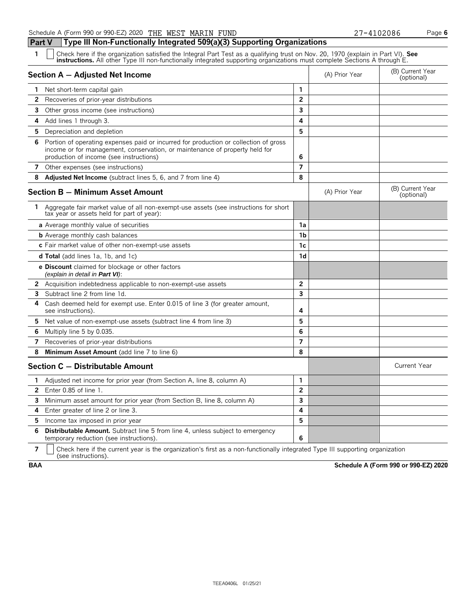**Part V Type III Non-Functionally Integrated 509(a)(3) Supporting Organizations**

| 1<br>Check here if the organization satisfied the Integral Part Test as a qualifying trust on Nov. 20, 1970 (explain in Part VI). See<br>instructions. All other Type III non-functionally integrated supporting organizations must complete Sections A through E. |                |                |                                |
|--------------------------------------------------------------------------------------------------------------------------------------------------------------------------------------------------------------------------------------------------------------------|----------------|----------------|--------------------------------|
| Section A - Adjusted Net Income                                                                                                                                                                                                                                    |                | (A) Prior Year | (B) Current Year<br>(optional) |
| Net short-term capital gain<br>1.                                                                                                                                                                                                                                  | 1              |                |                                |
| Recoveries of prior-year distributions<br>$\mathbf{2}$                                                                                                                                                                                                             | $\overline{2}$ |                |                                |
| 3<br>Other gross income (see instructions)                                                                                                                                                                                                                         | 3              |                |                                |
| 4<br>Add lines 1 through 3.                                                                                                                                                                                                                                        | 4              |                |                                |
| 5.<br>Depreciation and depletion                                                                                                                                                                                                                                   | 5              |                |                                |
| Portion of operating expenses paid or incurred for production or collection of gross<br>6<br>income or for management, conservation, or maintenance of property held for<br>production of income (see instructions)                                                | 6              |                |                                |
| 7<br>Other expenses (see instructions)                                                                                                                                                                                                                             | 7              |                |                                |
| Adjusted Net Income (subtract lines 5, 6, and 7 from line 4)<br>8                                                                                                                                                                                                  | 8              |                |                                |
| Section B - Minimum Asset Amount                                                                                                                                                                                                                                   |                | (A) Prior Year | (B) Current Year<br>(optional) |
| 1.<br>Aggregate fair market value of all non-exempt-use assets (see instructions for short<br>tax year or assets held for part of year):                                                                                                                           |                |                |                                |
| a Average monthly value of securities                                                                                                                                                                                                                              | 1a             |                |                                |
| <b>b</b> Average monthly cash balances                                                                                                                                                                                                                             | 1 <sub>b</sub> |                |                                |
| c Fair market value of other non-exempt-use assets                                                                                                                                                                                                                 | 1c             |                |                                |
| <b>d Total</b> (add lines 1a, 1b, and 1c)                                                                                                                                                                                                                          | 1d             |                |                                |
| <b>e Discount</b> claimed for blockage or other factors<br>(explain in detail in <b>Part VI</b> ):                                                                                                                                                                 |                |                |                                |
| $\mathbf{2}$<br>Acquisition indebtedness applicable to non-exempt-use assets                                                                                                                                                                                       | $\overline{2}$ |                |                                |
| Subtract line 2 from line 1d.                                                                                                                                                                                                                                      | 3              |                |                                |
| Cash deemed held for exempt use. Enter 0.015 of line 3 (for greater amount,<br>4<br>see instructions).                                                                                                                                                             | 4              |                |                                |
| 5.<br>Net value of non-exempt-use assets (subtract line 4 from line 3)                                                                                                                                                                                             | 5              |                |                                |
| Multiply line 5 by 0.035.<br>6                                                                                                                                                                                                                                     | 6              |                |                                |
| Recoveries of prior-year distributions<br>7                                                                                                                                                                                                                        | $\overline{7}$ |                |                                |
| 8<br>Minimum Asset Amount (add line 7 to line 6)                                                                                                                                                                                                                   | 8              |                |                                |
| Section C - Distributable Amount                                                                                                                                                                                                                                   |                |                | <b>Current Year</b>            |
| Adjusted net income for prior year (from Section A, line 8, column A)<br>1                                                                                                                                                                                         | 1              |                |                                |
| 2<br>Enter 0.85 of line 1.                                                                                                                                                                                                                                         | $\overline{2}$ |                |                                |
| 3<br>Minimum asset amount for prior year (from Section B, line 8, column A)                                                                                                                                                                                        | $\overline{3}$ |                |                                |
| Enter greater of line 2 or line 3.<br>4                                                                                                                                                                                                                            | 4              |                |                                |
| Income tax imposed in prior year<br>5                                                                                                                                                                                                                              | 5              |                |                                |
| 6<br><b>Distributable Amount.</b> Subtract line 5 from line 4, unless subject to emergency<br>temporary reduction (see instructions).                                                                                                                              | 6              |                |                                |

**7**  $\mid$  Check here if the current year is the organization's first as a non-functionally integrated Type III supporting organization (see instructions).

**BAA Schedule A (Form 990 or 990-EZ) 2020**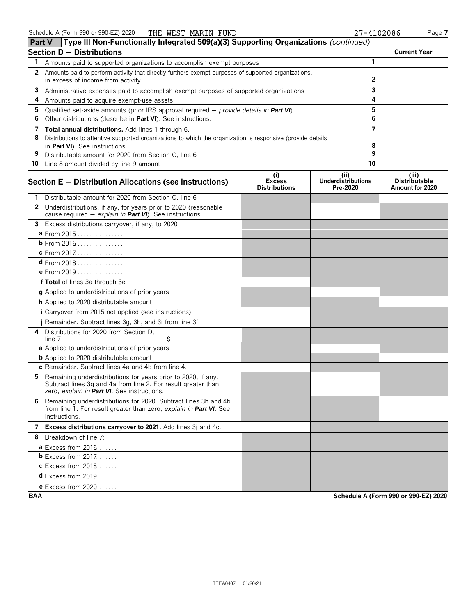| <b>Part V</b> | Type III Non-Functionally Integrated 509(a)(3) Supporting Organizations (continued)                                                                                           |                                              |                                               |                 |                                         |
|---------------|-------------------------------------------------------------------------------------------------------------------------------------------------------------------------------|----------------------------------------------|-----------------------------------------------|-----------------|-----------------------------------------|
|               | <b>Section D - Distributions</b>                                                                                                                                              |                                              |                                               |                 | <b>Current Year</b>                     |
| 1             | Amounts paid to supported organizations to accomplish exempt purposes                                                                                                         |                                              |                                               | $\mathbf{1}$    |                                         |
| 2             | Amounts paid to perform activity that directly furthers exempt purposes of supported organizations,                                                                           |                                              |                                               |                 |                                         |
|               | in excess of income from activity                                                                                                                                             |                                              | $\mathbf{2}$                                  |                 |                                         |
| 3             | Administrative expenses paid to accomplish exempt purposes of supported organizations                                                                                         |                                              | 3                                             |                 |                                         |
| 4             | Amounts paid to acquire exempt-use assets                                                                                                                                     |                                              |                                               | 4               |                                         |
| 5             | Qualified set-aside amounts (prior IRS approval required $-$ provide details in <b>Part VI</b> )                                                                              |                                              |                                               | 5               |                                         |
| 6             | Other distributions (describe in Part VI). See instructions.                                                                                                                  |                                              |                                               | 6               |                                         |
| 7             | Total annual distributions. Add lines 1 through 6.                                                                                                                            |                                              |                                               | $\overline{ }$  |                                         |
| 8             | Distributions to attentive supported organizations to which the organization is responsive (provide details                                                                   |                                              |                                               | 8               |                                         |
| 9             | in Part VI). See instructions.<br>Distributable amount for 2020 from Section C, line 6                                                                                        |                                              |                                               | 9               |                                         |
|               | 10 Line 8 amount divided by line 9 amount                                                                                                                                     |                                              |                                               | $\overline{10}$ |                                         |
|               |                                                                                                                                                                               |                                              |                                               |                 | (iii)                                   |
|               | Section E - Distribution Allocations (see instructions)                                                                                                                       | (i)<br><b>Excess</b><br><b>Distributions</b> | (ii)<br><b>Underdistributions</b><br>Pre-2020 |                 | <b>Distributable</b><br>Amount for 2020 |
|               | Distributable amount for 2020 from Section C, line 6                                                                                                                          |                                              |                                               |                 |                                         |
|               | 2 Underdistributions, if any, for years prior to 2020 (reasonable<br>cause required - explain in Part VI). See instructions.                                                  |                                              |                                               |                 |                                         |
|               | 3 Excess distributions carryover, if any, to 2020                                                                                                                             |                                              |                                               |                 |                                         |
|               | a From 2015                                                                                                                                                                   |                                              |                                               |                 |                                         |
|               | <b>b</b> From 2016                                                                                                                                                            |                                              |                                               |                 |                                         |
|               | c From 2017.                                                                                                                                                                  |                                              |                                               |                 |                                         |
|               | $d$ From 2018                                                                                                                                                                 |                                              |                                               |                 |                                         |
|               | <b>e</b> From 2019                                                                                                                                                            |                                              |                                               |                 |                                         |
|               | f Total of lines 3a through 3e                                                                                                                                                |                                              |                                               |                 |                                         |
|               | g Applied to underdistributions of prior years                                                                                                                                |                                              |                                               |                 |                                         |
|               | h Applied to 2020 distributable amount                                                                                                                                        |                                              |                                               |                 |                                         |
|               | <i>i</i> Carryover from 2015 not applied (see instructions)                                                                                                                   |                                              |                                               |                 |                                         |
|               | j Remainder. Subtract lines 3g, 3h, and 3i from line 3f.                                                                                                                      |                                              |                                               |                 |                                         |
| 4             | Distributions for 2020 from Section D.<br>\$<br>line $7:$                                                                                                                     |                                              |                                               |                 |                                         |
|               | a Applied to underdistributions of prior years                                                                                                                                |                                              |                                               |                 |                                         |
|               | <b>b</b> Applied to 2020 distributable amount                                                                                                                                 |                                              |                                               |                 |                                         |
|               | c Remainder. Subtract lines 4a and 4b from line 4.                                                                                                                            |                                              |                                               |                 |                                         |
| 5.            | Remaining underdistributions for years prior to 2020, if any.<br>Subtract lines 3g and 4a from line 2. For result greater than<br>zero, explain in Part VI. See instructions. |                                              |                                               |                 |                                         |
|               | 6 Remaining underdistributions for 2020. Subtract lines 3h and 4b<br>from line 1. For result greater than zero, explain in Part VI. See<br>instructions.                      |                                              |                                               |                 |                                         |
|               | 7 Excess distributions carryover to 2021. Add lines 3j and 4c.                                                                                                                |                                              |                                               |                 |                                         |
|               | 8 Breakdown of line 7:                                                                                                                                                        |                                              |                                               |                 |                                         |
|               | <b>a</b> Excess from $2016$                                                                                                                                                   |                                              |                                               |                 |                                         |
|               | $b$ Excess from 2017.                                                                                                                                                         |                                              |                                               |                 |                                         |
|               | <b>c</b> Excess from 2018                                                                                                                                                     |                                              |                                               |                 |                                         |
|               | $d$ Excess from 2019.                                                                                                                                                         |                                              |                                               |                 |                                         |
|               | <b>e</b> Excess from 2020                                                                                                                                                     |                                              |                                               |                 |                                         |

**BAA Schedule A (Form 990 or 990-EZ) 2020**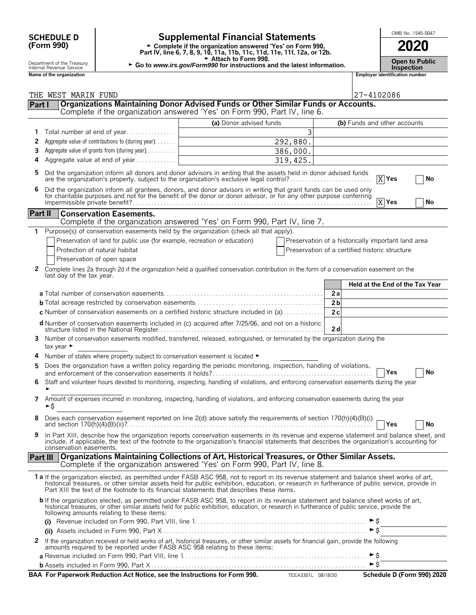### **(Form 990)**

### **SCHEDULE D Supplemental Financial Statements CHEDULE D COOL**

**Part IV, line 6, 7, 8, 9, 10, 11a, 11b, 11c, 11d, 11e, 11f, 12a, or 12b.**<br>
Part IV, line 6, 7, 8, 9, 10, 11a, 11b, 11c, 11d, 11e, 11f, 12a, or 12b.

Attach to Form 990.

Department of the Treasury **Constant Compartment of the Treasury <b>Constant Constant Compart of the Treasury Constant Constant Constant Constant Constant Constant Constant Constant Constant Constant Constant Constant Cons** 

|         | Name of the organization                                                                                                                                                                                                                                                                                                                                                               |                         |           | <b>Employer identification number</b>              |
|---------|----------------------------------------------------------------------------------------------------------------------------------------------------------------------------------------------------------------------------------------------------------------------------------------------------------------------------------------------------------------------------------------|-------------------------|-----------|----------------------------------------------------|
|         |                                                                                                                                                                                                                                                                                                                                                                                        |                         |           |                                                    |
|         | THE WEST MARIN FUND                                                                                                                                                                                                                                                                                                                                                                    |                         |           | 27-4102086                                         |
| Part I  | Organizations Maintaining Donor Advised Funds or Other Similar Funds or Accounts.<br>Complete if the organization answered 'Yes' on Form 990, Part IV, line 6.                                                                                                                                                                                                                         |                         |           |                                                    |
|         |                                                                                                                                                                                                                                                                                                                                                                                        |                         |           |                                                    |
| 1       | Total number at end of year                                                                                                                                                                                                                                                                                                                                                            | (a) Donor advised funds | 3         | (b) Funds and other accounts                       |
| 2       | Aggregate value of contributions to (during year)                                                                                                                                                                                                                                                                                                                                      |                         | 292,880.  |                                                    |
| 3       | Aggregate value of grants from (during year)                                                                                                                                                                                                                                                                                                                                           |                         | 386,000.  |                                                    |
| 4       | Aggregate value at end of year                                                                                                                                                                                                                                                                                                                                                         |                         | 319, 425. |                                                    |
|         |                                                                                                                                                                                                                                                                                                                                                                                        |                         |           |                                                    |
| 5       | Did the organization inform all donors and donor advisors in writing that the assets held in donor advised funds<br>are the organization's property, subject to the organization's exclusive legal control?                                                                                                                                                                            |                         |           | $X$ Yes<br>No                                      |
|         | Did the organization inform all grantees, donors, and donor advisors in writing that grant funds can be used only<br>for charitable purposes and not for the benefit of the donor or donor advisor, or for any other purpose conferring                                                                                                                                                |                         |           | $X$ Yes<br>No                                      |
| Part II | <b>Conservation Easements.</b><br>Complete if the organization answered 'Yes' on Form 990, Part IV, line 7.                                                                                                                                                                                                                                                                            |                         |           |                                                    |
| 1.      | Purpose(s) of conservation easements held by the organization (check all that apply).                                                                                                                                                                                                                                                                                                  |                         |           |                                                    |
|         | Preservation of land for public use (for example, recreation or education)                                                                                                                                                                                                                                                                                                             |                         |           | Preservation of a historically important land area |
|         | Protection of natural habitat                                                                                                                                                                                                                                                                                                                                                          |                         |           | Preservation of a certified historic structure     |
|         | Preservation of open space                                                                                                                                                                                                                                                                                                                                                             |                         |           |                                                    |
| 2       | Complete lines 2a through 2d if the organization held a qualified conservation contribution in the form of a conservation easement on the<br>last day of the tax year.                                                                                                                                                                                                                 |                         |           |                                                    |
|         |                                                                                                                                                                                                                                                                                                                                                                                        |                         |           | Held at the End of the Tax Year                    |
|         |                                                                                                                                                                                                                                                                                                                                                                                        |                         |           | 2a                                                 |
|         |                                                                                                                                                                                                                                                                                                                                                                                        |                         |           | 2 <sub>b</sub>                                     |
|         | c Number of conservation easements on a certified historic structure included in (a)                                                                                                                                                                                                                                                                                                   |                         |           | 2c                                                 |
|         | d Number of conservation easements included in (c) acquired after 7/25/06, and not on a historic                                                                                                                                                                                                                                                                                       |                         |           | 2d                                                 |
| 3.      | Number of conservation easements modified, transferred, released, extinguished, or terminated by the organization during the<br>tax year $\blacktriangleright$                                                                                                                                                                                                                         |                         |           |                                                    |
|         | Number of states where property subject to conservation easement is located ►                                                                                                                                                                                                                                                                                                          |                         |           |                                                    |
| 5       | Does the organization have a written policy regarding the periodic monitoring, inspection, handling of violations,                                                                                                                                                                                                                                                                     |                         |           | Yes<br>No                                          |
| 6       | Staff and volunteer hours devoted to monitoring, inspecting, handling of violations, and enforcing conservation easements during the year                                                                                                                                                                                                                                              |                         |           |                                                    |
| 7       | Amount of expenses incurred in monitoring, inspecting, handling of violations, and enforcing conservation easements during the year<br>►\$                                                                                                                                                                                                                                             |                         |           |                                                    |
|         |                                                                                                                                                                                                                                                                                                                                                                                        |                         |           | Yes<br>No                                          |
| 9       | In Part XIII, describe how the organization reports conservation easements in its revenue and expense statement and balance sheet, and<br>include, if applicable, the text of the footnote to the organization's financial statements that describes the organization's accounting for<br>conservation easements.                                                                      |                         |           |                                                    |
|         | Organizations Maintaining Collections of Art, Historical Treasures, or Other Similar Assets.<br><b>Part III</b><br>Complete if the organization answered 'Yes' on Form 990, Part IV, line 8.                                                                                                                                                                                           |                         |           |                                                    |
|         | 1a If the organization elected, as permitted under FASB ASC 958, not to report in its revenue statement and balance sheet works of art,<br>historical treasures, or other similar assets held for public exhibition, education, or research in furtherance of public service, provide in<br>Part XIII the text of the footnote to its financial statements that describes these items. |                         |           |                                                    |
|         | <b>b</b> If the organization elected, as permitted under FASB ASC 958, to report in its revenue statement and balance sheet works of art,<br>historical treasures, or other similar assets held for public exhibition, education, or research in furtherance of public service, provide the<br>following amounts relating to these items:                                              |                         |           |                                                    |
|         |                                                                                                                                                                                                                                                                                                                                                                                        |                         |           |                                                    |
|         |                                                                                                                                                                                                                                                                                                                                                                                        |                         |           | $\triangleright$ \$                                |
|         | 2 If the organization received or held works of art, historical treasures, or other similar assets for financial gain, provide the following amounts required to be reported under FASB ASC 958 relating to these items:                                                                                                                                                               |                         |           |                                                    |
|         |                                                                                                                                                                                                                                                                                                                                                                                        |                         |           |                                                    |
|         |                                                                                                                                                                                                                                                                                                                                                                                        |                         |           |                                                    |

**BAA For Paperwork Reduction Act Notice, see the Instructions for Form 990.** TEEA3301L 08/18/20 Schedule D (Form 990) 2020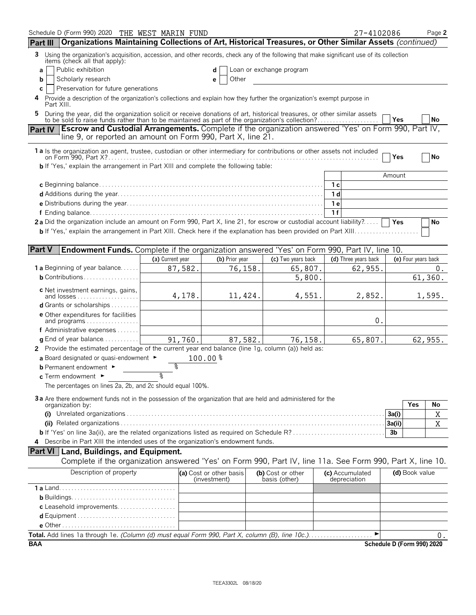| Schedule D (Form 990) 2020 THE WEST MARIN FUND<br>Organizations Maintaining Collections of Art, Historical Treasures, or Other Similar Assets (continued)<br>Part III                                                          |                  |                                         |                                    | 27-4102086                      |                            | Page 2      |
|--------------------------------------------------------------------------------------------------------------------------------------------------------------------------------------------------------------------------------|------------------|-----------------------------------------|------------------------------------|---------------------------------|----------------------------|-------------|
| 3 Using the organization's acquisition, accession, and other records, check any of the following that make significant use of its collection                                                                                   |                  |                                         |                                    |                                 |                            |             |
| items (check all that apply):<br>Public exhibition                                                                                                                                                                             |                  |                                         |                                    |                                 |                            |             |
| a<br>Scholarly research<br>b                                                                                                                                                                                                   |                  | d<br>Other<br>е                         | Loan or exchange program           |                                 |                            |             |
| Preservation for future generations<br>C                                                                                                                                                                                       |                  |                                         |                                    |                                 |                            |             |
| Provide a description of the organization's collections and explain how they further the organization's exempt purpose in<br>Part XIII.                                                                                        |                  |                                         |                                    |                                 |                            |             |
| During the year, did the organization solicit or receive donations of art, historical treasures, or other similar assets to be sold to raise funds rather than to be maintained as part of the organization's collection?<br>5 |                  |                                         |                                    |                                 |                            |             |
| Part IV Escrow and Custodial Arrangements. Complete if the organization answered 'Yes' on Form 990, Part IV,                                                                                                                   |                  |                                         |                                    |                                 | Yes                        | No          |
| line 9, or reported an amount on Form 990, Part X, line 21.                                                                                                                                                                    |                  |                                         |                                    |                                 |                            |             |
| 1a Is the organization an agent, trustee, custodian or other intermediary for contributions or other assets not included                                                                                                       |                  |                                         |                                    |                                 |                            |             |
|                                                                                                                                                                                                                                |                  |                                         |                                    |                                 | Yes                        | No          |
| <b>b</b> If 'Yes,' explain the arrangement in Part XIII and complete the following table:                                                                                                                                      |                  |                                         |                                    |                                 | Amount                     |             |
|                                                                                                                                                                                                                                |                  |                                         |                                    | 1 <sub>c</sub>                  |                            |             |
|                                                                                                                                                                                                                                |                  |                                         |                                    | 1 d                             |                            |             |
|                                                                                                                                                                                                                                |                  |                                         |                                    | 1e                              |                            |             |
|                                                                                                                                                                                                                                |                  |                                         |                                    | 1f                              |                            |             |
| 2a Did the organization include an amount on Form 990, Part X, line 21, for escrow or custodial account liability?                                                                                                             |                  |                                         |                                    |                                 | Yes                        | No          |
|                                                                                                                                                                                                                                |                  |                                         |                                    |                                 |                            |             |
|                                                                                                                                                                                                                                |                  |                                         |                                    |                                 |                            |             |
| <b>Part V</b><br>Endowment Funds. Complete if the organization answered 'Yes' on Form 990, Part IV, line 10.                                                                                                                   |                  |                                         |                                    |                                 |                            |             |
|                                                                                                                                                                                                                                | (a) Current year | (b) Prior year                          | (c) Two years back                 | (d) Three years back            | (e) Four years back        |             |
| <b>1a</b> Beginning of year balance                                                                                                                                                                                            | 87,582.          | 76,158.                                 | 65,807.                            | 62,955.                         |                            | 0.          |
| $b$ Contributions                                                                                                                                                                                                              |                  |                                         | 5,800.                             |                                 | 61, 360.                   |             |
|                                                                                                                                                                                                                                |                  |                                         |                                    |                                 |                            |             |
| <b>c</b> Net investment earnings, gains,<br>and losses                                                                                                                                                                         | 4,178.           | 11,424.                                 | 4,551.                             | 2,852.                          |                            | 1,595.      |
| <b>d</b> Grants or scholarships $\ldots \ldots$                                                                                                                                                                                |                  |                                         |                                    |                                 |                            |             |
| <b>e</b> Other expenditures for facilities                                                                                                                                                                                     |                  |                                         |                                    |                                 |                            |             |
| and programs                                                                                                                                                                                                                   |                  |                                         |                                    | 0.                              |                            |             |
| f Administrative expenses                                                                                                                                                                                                      |                  |                                         |                                    |                                 |                            |             |
| <b>g</b> End of year balance $\dots\dots\dots\dots$                                                                                                                                                                            | 91,760.          | 87,582.                                 | 76,158.                            | 65,807.                         | 62,955.                    |             |
| 2 Provide the estimated percentage of the current year end balance (line 1g, column (a)) held as:                                                                                                                              |                  |                                         |                                    |                                 |                            |             |
| a Board designated or quasi-endowment $\blacktriangleright$                                                                                                                                                                    |                  | $100.00$ $%$                            |                                    |                                 |                            |             |
| <b>b</b> Permanent endowment ►                                                                                                                                                                                                 | နွ               |                                         |                                    |                                 |                            |             |
| c Term endowment ►                                                                                                                                                                                                             | १                |                                         |                                    |                                 |                            |             |
| The percentages on lines 2a, 2b, and 2c should equal 100%.                                                                                                                                                                     |                  |                                         |                                    |                                 |                            |             |
| 3a Are there endowment funds not in the possession of the organization that are held and administered for the                                                                                                                  |                  |                                         |                                    |                                 |                            |             |
| organization by:                                                                                                                                                                                                               |                  |                                         |                                    |                                 | Yes                        | No          |
|                                                                                                                                                                                                                                |                  |                                         |                                    |                                 | 3a(i)                      | Χ           |
|                                                                                                                                                                                                                                |                  |                                         |                                    |                                 | 3a(ii)                     | $\mathbf X$ |
| <b>b</b> If 'Yes' on line 3a(ii), are the related organizations listed as required on Schedule R?                                                                                                                              |                  |                                         |                                    |                                 | 3 <sub>b</sub>             |             |
| 4 Describe in Part XIII the intended uses of the organization's endowment funds.                                                                                                                                               |                  |                                         |                                    |                                 |                            |             |
| <b>Part VI</b> Land, Buildings, and Equipment.                                                                                                                                                                                 |                  |                                         |                                    |                                 |                            |             |
| Complete if the organization answered 'Yes' on Form 990, Part IV, line 11a. See Form 990, Part X, line 10.                                                                                                                     |                  |                                         |                                    |                                 |                            |             |
| Description of property                                                                                                                                                                                                        |                  | (a) Cost or other basis<br>(investment) | (b) Cost or other<br>basis (other) | (c) Accumulated<br>depreciation | (d) Book value             |             |
|                                                                                                                                                                                                                                |                  |                                         |                                    |                                 |                            |             |
|                                                                                                                                                                                                                                |                  |                                         |                                    |                                 |                            |             |
| c Leasehold improvements                                                                                                                                                                                                       |                  |                                         |                                    |                                 |                            |             |
|                                                                                                                                                                                                                                |                  |                                         |                                    |                                 |                            |             |
|                                                                                                                                                                                                                                |                  |                                         |                                    |                                 |                            |             |
| Total. Add lines 1a through 1e. (Column (d) must equal Form 990, Part X, column (B), line 10c.).                                                                                                                               |                  |                                         |                                    |                                 |                            | 0.          |
| <b>BAA</b>                                                                                                                                                                                                                     |                  |                                         |                                    |                                 | Schedule D (Form 990) 2020 |             |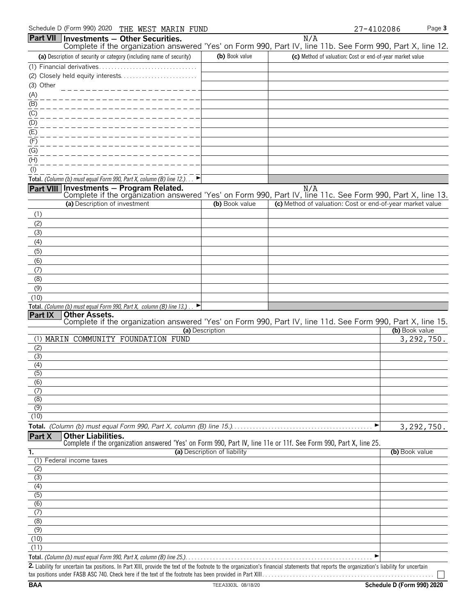|                | Schedule D (Form 990) 2020 THE WEST MARIN FUND                                                                                                         |                              |     | 27-4102086                                                | Page 3         |
|----------------|--------------------------------------------------------------------------------------------------------------------------------------------------------|------------------------------|-----|-----------------------------------------------------------|----------------|
|                | Part VII Investments - Other Securities.<br>Complete if the organization answered 'Yes' on Form 990, Part IV, line 11b. See Form 990, Part X, line 12. |                              | N/A |                                                           |                |
|                | (a) Description of security or category (including name of security)                                                                                   | (b) Book value               |     | (c) Method of valuation: Cost or end-of-year market value |                |
|                |                                                                                                                                                        |                              |     |                                                           |                |
|                |                                                                                                                                                        |                              |     |                                                           |                |
| (3) Other      |                                                                                                                                                        |                              |     |                                                           |                |
| (A)            |                                                                                                                                                        |                              |     |                                                           |                |
| (B)            |                                                                                                                                                        |                              |     |                                                           |                |
| (C)            |                                                                                                                                                        |                              |     |                                                           |                |
| (D)            |                                                                                                                                                        |                              |     |                                                           |                |
| (E)            |                                                                                                                                                        |                              |     |                                                           |                |
| (F)            |                                                                                                                                                        |                              |     |                                                           |                |
| (G)            |                                                                                                                                                        |                              |     |                                                           |                |
| (H)            |                                                                                                                                                        |                              |     |                                                           |                |
| $($ l $)$      | Total. (Column (b) must equal Form 990, Part X, column (B) line 12.). $\Box$                                                                           |                              |     |                                                           |                |
|                | Part VIII Investments - Program Related.                                                                                                               |                              | N/A |                                                           |                |
|                | Complete if the organization answered 'Yes' on Form 990, Part IV, line 11c. See Form 990, Part X, line 13.                                             |                              |     |                                                           |                |
|                | (a) Description of investment                                                                                                                          | (b) Book value               |     | (c) Method of valuation: Cost or end-of-year market value |                |
| (1)            |                                                                                                                                                        |                              |     |                                                           |                |
| (2)            |                                                                                                                                                        |                              |     |                                                           |                |
| (3)            |                                                                                                                                                        |                              |     |                                                           |                |
| (4)            |                                                                                                                                                        |                              |     |                                                           |                |
| (5)            |                                                                                                                                                        |                              |     |                                                           |                |
| (6)            |                                                                                                                                                        |                              |     |                                                           |                |
| (7)            |                                                                                                                                                        |                              |     |                                                           |                |
| (8)            |                                                                                                                                                        |                              |     |                                                           |                |
| (9)            |                                                                                                                                                        |                              |     |                                                           |                |
| (10)           | Total. (Column (b) must equal Form 990, Part X, column (B) line 13.).                                                                                  |                              |     |                                                           |                |
| <b>Part IX</b> | <b>Other Assets.</b>                                                                                                                                   |                              |     |                                                           |                |
|                | Complete if the organization answered 'Yes' on Form 990, Part IV, line 11d. See Form 990, Part X, line 15.                                             |                              |     |                                                           |                |
|                |                                                                                                                                                        | (a) Description              |     |                                                           | (b) Book value |
|                | (1) MARIN COMMUNITY FOUNDATION FUND                                                                                                                    |                              |     |                                                           | 3, 292, 750.   |
| (2)<br>(3)     |                                                                                                                                                        |                              |     |                                                           |                |
| (4)            |                                                                                                                                                        |                              |     |                                                           |                |
| (5)            |                                                                                                                                                        |                              |     |                                                           |                |
| (6)            |                                                                                                                                                        |                              |     |                                                           |                |
| (7)            |                                                                                                                                                        |                              |     |                                                           |                |
| (8)            |                                                                                                                                                        |                              |     |                                                           |                |
| (9)<br>(10)    |                                                                                                                                                        |                              |     |                                                           |                |
|                |                                                                                                                                                        |                              |     | ▶                                                         |                |
| Part X         | <b>Other Liabilities.</b>                                                                                                                              |                              |     |                                                           | 3, 292, 750.   |
|                | Complete if the organization answered 'Yes' on Form 990, Part IV, line 11e or 11f. See Form 990, Part X, line 25.                                      |                              |     |                                                           |                |
| 1.             |                                                                                                                                                        | (a) Description of liability |     |                                                           | (b) Book value |
|                | (1) Federal income taxes                                                                                                                               |                              |     |                                                           |                |
| (2)            |                                                                                                                                                        |                              |     |                                                           |                |
| (3)            |                                                                                                                                                        |                              |     |                                                           |                |
| (4)<br>(5)     |                                                                                                                                                        |                              |     |                                                           |                |
| (6)            |                                                                                                                                                        |                              |     |                                                           |                |
| (7)            |                                                                                                                                                        |                              |     |                                                           |                |
| (8)            |                                                                                                                                                        |                              |     |                                                           |                |
| (9)            |                                                                                                                                                        |                              |     |                                                           |                |
| (10)           |                                                                                                                                                        |                              |     |                                                           |                |
| (11)           |                                                                                                                                                        |                              |     |                                                           |                |
|                |                                                                                                                                                        |                              |     | ▶                                                         |                |

2. Liability for uncertain tax positions. In Part XIII, provide the text of the footnote to the organization's financial statements that reports the organization's liability for uncertain tax positions under FASB ASC 740. Check here if the text of the footnote has been provided in Part XIII. . . . . . . . . . . . . . . . . . . . . . . . . . . . . . . . . . . . . . . . . . . . . . . . . . . . . . . .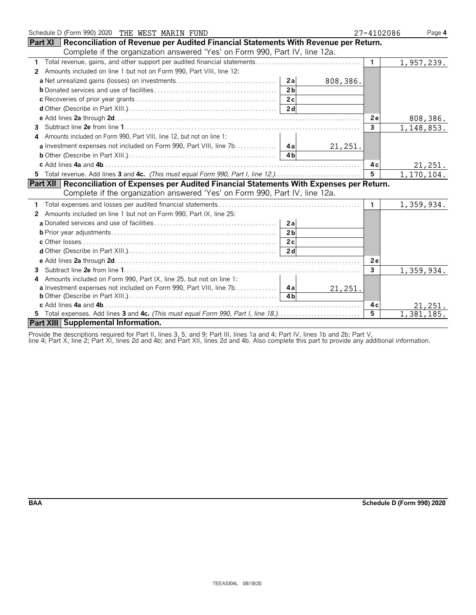| Schedule D (Form 990) 2020 THE WEST MARIN FUND                                                   | 27-4102086     | Page 4     |
|--------------------------------------------------------------------------------------------------|----------------|------------|
| Part XI<br>Reconciliation of Revenue per Audited Financial Statements With Revenue per Return.   |                |            |
| Complete if the organization answered 'Yes' on Form 990, Part IV, line 12a.                      |                |            |
| 1                                                                                                | $\mathbf{1}$   | 1,957,239. |
| Amounts included on line 1 but not on Form 990, Part VIII, line 12:<br>2                         |                |            |
| 2a                                                                                               | 808,386.       |            |
| 2 <sub>h</sub>                                                                                   |                |            |
| 2c                                                                                               |                |            |
| 2d                                                                                               |                |            |
|                                                                                                  | 2e             | 808,386.   |
| 3                                                                                                | $\mathbf{3}$   | 1,148,853. |
| Amounts included on Form 990, Part VIII, line 12, but not on line 1:<br>4                        |                |            |
|                                                                                                  | 21,251.        |            |
|                                                                                                  |                |            |
|                                                                                                  | 4c             | 21,251.    |
| 5 Total revenue. Add lines 3 and 4c. (This must equal Form 990, Part I, line 12.)                | 5 <sup>5</sup> | 1,170,104. |
| Part XII   Reconciliation of Expenses per Audited Financial Statements With Expenses per Return. |                |            |
| Complete if the organization answered 'Yes' on Form 990, Part IV, line 12a.                      |                |            |
|                                                                                                  | 1.             | 1,359,934. |
| Amounts included on line 1 but not on Form 990, Part IX, line 25:<br>2                           |                |            |
| 2a                                                                                               |                |            |
| 2 <sub>b</sub>                                                                                   |                |            |
| 2c                                                                                               |                |            |
| 2d                                                                                               |                |            |
|                                                                                                  | 2e             |            |
| 3                                                                                                | 3              | 1,359,934. |
| Amounts included on Form 990, Part IX, line 25, but not on line 1:<br>4                          |                |            |
|                                                                                                  | 21,251.        |            |
| 4 <sub>b</sub>                                                                                   |                |            |
|                                                                                                  | 4 c            | 21,251.    |
| 5 Total expenses. Add lines 3 and 4c. (This must equal Form 990, Part I, line 18.)               | 5              | 1,381,185. |
| Part XIII Supplemental Information.                                                              |                |            |

Provide the descriptions required for Part II, lines 3, 5, and 9; Part III, lines 1a and 4; Part IV, lines 1b and 2b; Part V,

line 4; Part X, line 2; Part XI, lines 2d and 4b; and Part XII, lines 2d and 4b. Also complete this part to provide any additional information.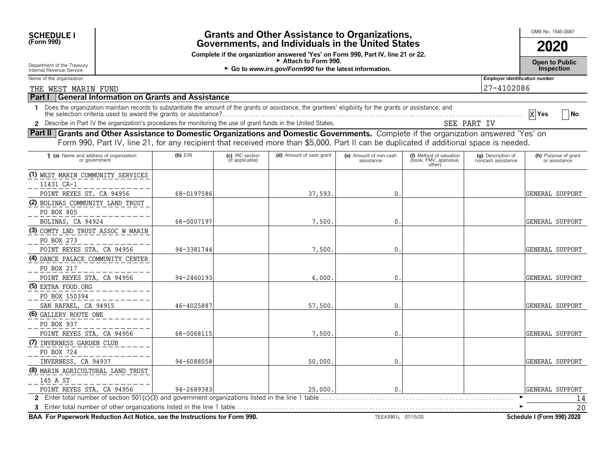| <b>Grants and Other Assistance to Organizations, Governments, and Individuals in the United States</b><br><b>SCHEDULE I</b>            |  |                                                                                                                                                                      |                                    |                                                                                                                                                            |                                      |                                                             |                                          | OMB No. 1545-0047                     |  |
|----------------------------------------------------------------------------------------------------------------------------------------|--|----------------------------------------------------------------------------------------------------------------------------------------------------------------------|------------------------------------|------------------------------------------------------------------------------------------------------------------------------------------------------------|--------------------------------------|-------------------------------------------------------------|------------------------------------------|---------------------------------------|--|
| (Form 990)                                                                                                                             |  |                                                                                                                                                                      | 2020                               |                                                                                                                                                            |                                      |                                                             |                                          |                                       |  |
| Department of the Treasury<br>Internal Revenue Service                                                                                 |  | Complete if the organization answered 'Yes' on Form 990, Part IV, line 21 or 22.<br>► Attach to Form 990.<br>► Go to www.irs.gov/Form990 for the latest information. |                                    |                                                                                                                                                            |                                      |                                                             |                                          |                                       |  |
| Name of the organization                                                                                                               |  |                                                                                                                                                                      |                                    |                                                                                                                                                            |                                      |                                                             | Employer identification number           |                                       |  |
| THE WEST MARIN FUND                                                                                                                    |  |                                                                                                                                                                      |                                    |                                                                                                                                                            |                                      |                                                             | 27-4102086                               |                                       |  |
| <b>Part I</b>                                                                                                                          |  | <b>General Information on Grants and Assistance</b>                                                                                                                  |                                    |                                                                                                                                                            |                                      |                                                             |                                          |                                       |  |
|                                                                                                                                        |  | the selection criteria used to award the grants or assistance?.                                                                                                      |                                    | Does the organization maintain records to substantiate the amount of the grants or assistance, the grantees' eligibility for the grants or assistance, and |                                      |                                                             |                                          | No<br>X Yes                           |  |
|                                                                                                                                        |  |                                                                                                                                                                      |                                    | Describe in Part IV the organization's procedures for monitoring the use of grant funds in the United States.                                              |                                      |                                                             | SEE PART IV                              |                                       |  |
| Part II Grants and Other Assistance to Domestic Organizations and Domestic Governments. Complete if the organization answered 'Yes' on |  |                                                                                                                                                                      |                                    | Form 990, Part IV, line 21, for any recipient that received more than \$5,000. Part II can be duplicated if additional space is needed.                    |                                      |                                                             |                                          |                                       |  |
| (a) Name and address of organization<br>or government                                                                                  |  | $(b)$ EIN                                                                                                                                                            | (c) IRC section<br>(if applicable) | (d) Amount of cash grant                                                                                                                                   | (e) Amount of non-cash<br>assistance | (f) Method of valuation<br>(book, FMV, appraisal,<br>other) | (g) Description of<br>noncash assistance | (h) Purpose of grant<br>or assistance |  |
| (1) WEST MARIN COMMUNITY SERVICES                                                                                                      |  |                                                                                                                                                                      |                                    |                                                                                                                                                            |                                      |                                                             |                                          |                                       |  |

POINT REYES ST, CA 94956 | 68-0197586 | 58-0197586 | 37,593. 0. 0. | 68-010 | GENERAL SUPPORT

BOLINAS, CA 94924 | 68-0007197| | 7,500.| 0.| GENERAL SUPPORT

POINT REYES STA, CA 94956 94-3381744 7,500. 0. GENERAL SUPPORT

POINT REYES STA, CA 94956 94-2460193 94-2460193 (BENERAL SUPPORT

SAN RAFAEL, CA 94915  $46-4025887$   $46-4025887$   $57,500$ .  $0.$ 

POINT REYES STA, CA 94956  $68-0068115$  68-0068115  $7,500.$  0.

INVERNESS, CA 94937 94-6088058 94-6088058 94-6088058 50,000. 0. 0. 0. 1 GENERAL SUPPORT

POINT REYES STA, CA 94956  $94-2689383$   $94-2689383$   $125,000$ .  $0.$ 

**2** Enter total number of section 501(c)(3) and government organizations listed in the line 1 table. . . . . . . . . . . . . . . . . . . . . . . . . . . . . . . . . . . . . . . . . . . . . . . . . . . . . . . . . . . . . . . . G

**BAA For Paperwork Reduction Act Notice, see the Instructions for Form 990.** TEEA3901L 07/15/20 **Schedule I (Form 990) 2020**

**3** Enter total number of other organizations listed in the line 1 table. . . . . . . . . . . . . . . . . . . . . . . . . . . . . . . . . . . . . . . . . . . . . . . . . . . . . . . . . . . . . . . . . . . . . . . . . . . . . . . . . . . . . . . . . . . G

**(2)** BOLINAS COMMUNITY LAND TRUST

**(3)** COMTY LND TRUST ASSOC W MARIN

**(4)** DANCE PALACE COMMUNITY CENTER

**(5)** EXTRA FOOD.ORG

PO BOX 150394

11431 CA-1

PO BOX 805

PO BOX 273

PO BOX 217

**(6)** GALLERY ROUTE ONE

PO BOX 937

PO BOX 724

145 A ST

**(7)** INVERNESS GARDEN CLUB

**(8)** MARIN AGRICULTURAL LAND TRUST

20 14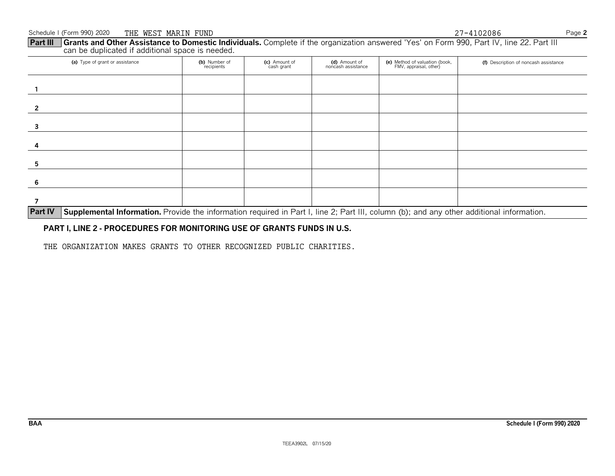**Part III** Grants and Other Assistance to Domestic Individuals. Complete if the organization answered 'Yes' on Form 990, Part IV, line 22. Part III can be duplicated if additional space is needed.

| (a) Type of grant or assistance | (b) Number of<br>recipients | (c) Amount of<br>cash grant | (d) Amount of<br>noncash assistance | (e) Method of valuation (book,<br>FMV, appraisal, other)                                                                       | (f) Description of noncash assistance |
|---------------------------------|-----------------------------|-----------------------------|-------------------------------------|--------------------------------------------------------------------------------------------------------------------------------|---------------------------------------|
|                                 |                             |                             |                                     |                                                                                                                                |                                       |
|                                 |                             |                             |                                     |                                                                                                                                |                                       |
|                                 |                             |                             |                                     |                                                                                                                                |                                       |
|                                 |                             |                             |                                     |                                                                                                                                |                                       |
|                                 |                             |                             |                                     |                                                                                                                                |                                       |
| 6                               |                             |                             |                                     |                                                                                                                                |                                       |
|                                 |                             |                             |                                     | $\mathbf{r}$ , and $\mathbf{r}$ , and $\mathbf{r}$ , and $\mathbf{r}$ , and $\mathbf{r}$ , and $\mathbf{r}$ , and $\mathbf{r}$ |                                       |

**Part IV** Supplemental Information. Provide the information required in Part I, line 2; Part III, column (b); and any other additional information.

### **PART I, LINE 2 - PROCEDURES FOR MONITORING USE OF GRANTS FUNDS IN U.S.**

THE ORGANIZATION MAKES GRANTS TO OTHER RECOGNIZED PUBLIC CHARITIES.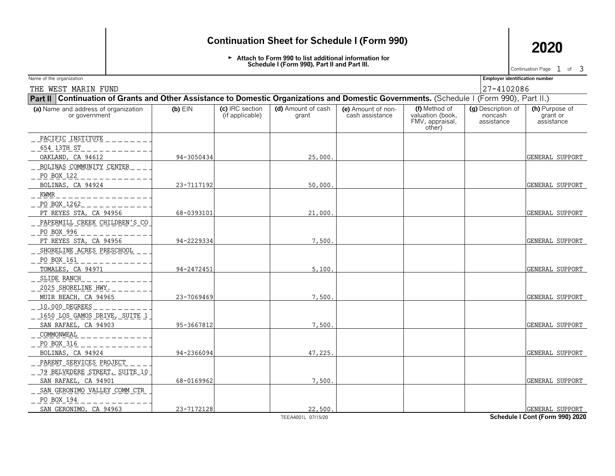## **Continuation Sheet for Schedule I (Form 990) 2020**

Attach to Form 990 to list additional information for **Schedule I (Form 990), Part II and Part III.**

Continuation Page  $1$  of  $3$ 

| Name of the organization                                                                                                                    |            |                                    |                             |                                       |                                                                | <b>Employer identification number</b>       |                                          |  |  |  |
|---------------------------------------------------------------------------------------------------------------------------------------------|------------|------------------------------------|-----------------------------|---------------------------------------|----------------------------------------------------------------|---------------------------------------------|------------------------------------------|--|--|--|
| THE WEST MARIN FUND                                                                                                                         | 27-4102086 |                                    |                             |                                       |                                                                |                                             |                                          |  |  |  |
| Part II   Continuation of Grants and Other Assistance to Domestic Organizations and Domestic Governments. (Schedule I (Form 990), Part II.) |            |                                    |                             |                                       |                                                                |                                             |                                          |  |  |  |
| (a) Name and address of organization<br>or government                                                                                       | $(b)$ EIN  | (c) IRC section<br>(if applicable) | (d) Amount of cash<br>grant | (e) Amount of non-<br>cash assistance | (f) Method of<br>valuation (book,<br>FMV, appraisal,<br>other) | (g) Description of<br>noncash<br>assistance | (h) Purpose of<br>grant or<br>assistance |  |  |  |
| <u>PACIFIC INSTITUTE</u><br>654 13TH ST                                                                                                     |            |                                    |                             |                                       |                                                                |                                             |                                          |  |  |  |
| OAKLAND, CA 94612<br>BOLINAS COMMUNITY CENTER<br>PO BOX 122                                                                                 | 94-3050434 |                                    | 25,000                      |                                       |                                                                |                                             | GENERAL SUPPORT                          |  |  |  |
| BOLINAS, CA 94924                                                                                                                           | 23-7117192 |                                    | 50,000.                     |                                       |                                                                |                                             | GENERAL SUPPORT                          |  |  |  |
| KWMR<br>PO BOX 1262                                                                                                                         |            |                                    |                             |                                       |                                                                |                                             |                                          |  |  |  |
| PT REYES STA, CA 94956                                                                                                                      | 68-0393101 |                                    | 21,000.                     |                                       |                                                                |                                             | GENERAL SUPPORT                          |  |  |  |
| PAPERMILL CREEK CHILDREN'S CO<br>PO BOX 996                                                                                                 | 94-2229334 |                                    | 7,500.                      |                                       |                                                                |                                             |                                          |  |  |  |
| PT REYES STA, CA 94956<br>SHORELINE ACRES PRESCHOOL<br>PO BOX 161                                                                           |            |                                    |                             |                                       |                                                                |                                             | GENERAL SUPPORT                          |  |  |  |
| TOMALES, CA 94971                                                                                                                           | 94-2472451 |                                    | 5,100.                      |                                       |                                                                |                                             | GENERAL SUPPORT                          |  |  |  |
| SLIDE RANCH<br>2025 SHORELINE HWY.                                                                                                          |            |                                    |                             |                                       |                                                                |                                             |                                          |  |  |  |
| MUIR BEACH, CA 94965                                                                                                                        | 23-7069469 |                                    | 7,500.                      |                                       |                                                                |                                             | GENERAL SUPPORT                          |  |  |  |
| 10,000 DEGREES<br>1650 LOS GAMOS DRIVE, SUITE 1                                                                                             |            |                                    | 7,500.                      |                                       |                                                                |                                             | GENERAL SUPPORT                          |  |  |  |
| SAN RAFAEL, CA 94903<br>COMMONWEAL                                                                                                          | 95-3667812 |                                    |                             |                                       |                                                                |                                             |                                          |  |  |  |
| PO BOX 316                                                                                                                                  |            |                                    |                             |                                       |                                                                |                                             |                                          |  |  |  |
| BOLINAS, CA 94924                                                                                                                           | 94-2366094 |                                    | 47,225.                     |                                       |                                                                |                                             | GENERAL SUPPORT                          |  |  |  |
| PARENT SERVICES PROJECT<br>79 BELVEDERE STREET, SUITE 10                                                                                    |            |                                    |                             |                                       |                                                                |                                             |                                          |  |  |  |
| SAN RAFAEL, CA 94901                                                                                                                        | 68-0169962 |                                    | 7,500                       |                                       |                                                                |                                             | GENERAL SUPPORT                          |  |  |  |
| SAN GERONIMO VALLEY COMM CTR<br>PO BOX 194                                                                                                  |            |                                    |                             |                                       |                                                                |                                             |                                          |  |  |  |
| SAN GERONIMO, CA 94963                                                                                                                      | 23-7172128 |                                    | 22,500.                     |                                       |                                                                | $\sim$ $\sim$ $\sim$ $\sim$                 | <b>GENERAL SUPPORT</b>                   |  |  |  |

TEEA4001L 07/15/20 **Schedule I Cont (Form 990) 2020**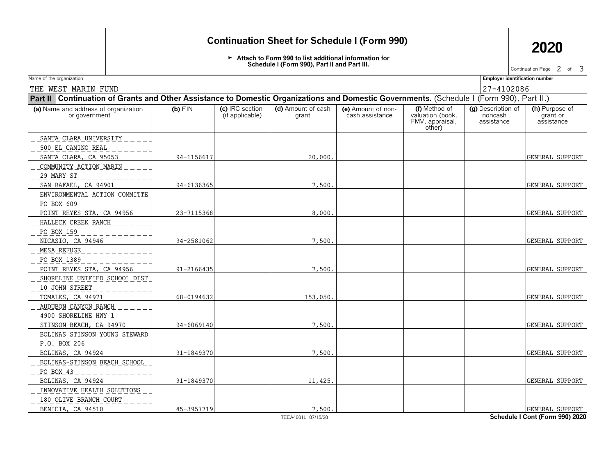## **Continuation Sheet for Schedule I (Form 990) 2020**

Attach to Form 990 to list additional information for **Schedule I (Form 990), Part II and Part III.**

Continuation Page  $2$  of  $3$ 

| Name of the organization                                                                                                                    |            |                                    |                             |                                       |                                                                | <b>Employer identification number</b>       |                                          |  |  |  |  |
|---------------------------------------------------------------------------------------------------------------------------------------------|------------|------------------------------------|-----------------------------|---------------------------------------|----------------------------------------------------------------|---------------------------------------------|------------------------------------------|--|--|--|--|
| 27-4102086<br>THE WEST MARIN FUND                                                                                                           |            |                                    |                             |                                       |                                                                |                                             |                                          |  |  |  |  |
| Part II   Continuation of Grants and Other Assistance to Domestic Organizations and Domestic Governments. (Schedule I (Form 990), Part II.) |            |                                    |                             |                                       |                                                                |                                             |                                          |  |  |  |  |
| (a) Name and address of organization<br>or government                                                                                       | $(b)$ EIN  | (c) IRC section<br>(if applicable) | (d) Amount of cash<br>grant | (e) Amount of non-<br>cash assistance | (f) Method of<br>valuation (book,<br>FMV, appraisal,<br>other) | (g) Description of<br>noncash<br>assistance | (h) Purpose of<br>grant or<br>assistance |  |  |  |  |
| SANTA CLARA UNIVERSITY                                                                                                                      |            |                                    |                             |                                       |                                                                |                                             |                                          |  |  |  |  |
| 500 EL CAMINO REAL<br>SANTA CLARA, CA 95053                                                                                                 | 94-1156617 |                                    | 20,000.                     |                                       |                                                                |                                             | GENERAL SUPPORT                          |  |  |  |  |
| COMMUNITY ACTION MARIN                                                                                                                      |            |                                    |                             |                                       |                                                                |                                             |                                          |  |  |  |  |
| 29 MARY ST<br>SAN RAFAEL, CA 94901                                                                                                          | 94-6136365 |                                    | 7,500.                      |                                       |                                                                |                                             | GENERAL SUPPORT                          |  |  |  |  |
| ENVIRONMENTAL ACTION COMMITTE<br>PO BOX 609                                                                                                 |            |                                    |                             |                                       |                                                                |                                             |                                          |  |  |  |  |
| POINT REYES STA, CA 94956                                                                                                                   | 23-7115368 |                                    | 8.000.                      |                                       |                                                                |                                             | GENERAL SUPPORT                          |  |  |  |  |
| HALLECK CREEK RANCH                                                                                                                         |            |                                    |                             |                                       |                                                                |                                             |                                          |  |  |  |  |
| PO BOX 159<br>NICASIO, CA 94946                                                                                                             | 94-2581062 |                                    | 7,500                       |                                       |                                                                |                                             | GENERAL SUPPORT                          |  |  |  |  |
| MESA REFUGE                                                                                                                                 |            |                                    |                             |                                       |                                                                |                                             |                                          |  |  |  |  |
| PO BOX 1389                                                                                                                                 |            |                                    |                             |                                       |                                                                |                                             |                                          |  |  |  |  |
| POINT REYES STA, CA 94956                                                                                                                   | 91-2166435 |                                    | 7.500                       |                                       |                                                                |                                             | GENERAL SUPPORT                          |  |  |  |  |
| SHORELINE UNIFIED SCHOOL DIST<br>10 JOHN STREET                                                                                             |            |                                    |                             |                                       |                                                                |                                             |                                          |  |  |  |  |
| TOMALES, CA 94971                                                                                                                           | 68-0194632 |                                    | 153,050                     |                                       |                                                                |                                             | GENERAL SUPPORT                          |  |  |  |  |
| AUDUBON CANYON RANCH                                                                                                                        |            |                                    |                             |                                       |                                                                |                                             |                                          |  |  |  |  |
| 4900 SHORELINE HWY 1                                                                                                                        |            |                                    |                             |                                       |                                                                |                                             |                                          |  |  |  |  |
| STINSON BEACH, CA 94970                                                                                                                     | 94-6069140 |                                    | 7,500                       |                                       |                                                                |                                             | GENERAL SUPPORT                          |  |  |  |  |
| BOLINAS STINSON YOUNG STEWARD                                                                                                               |            |                                    |                             |                                       |                                                                |                                             |                                          |  |  |  |  |
| P.O. BOX 206<br>BOLINAS, CA 94924                                                                                                           | 91-1849370 |                                    | 7,500                       |                                       |                                                                |                                             | GENERAL SUPPORT                          |  |  |  |  |
| BOLINAS-STINSON BEACH SCHOOL                                                                                                                |            |                                    |                             |                                       |                                                                |                                             |                                          |  |  |  |  |
| PO BOX 43                                                                                                                                   |            |                                    |                             |                                       |                                                                |                                             |                                          |  |  |  |  |
| BOLINAS, CA 94924                                                                                                                           | 91-1849370 |                                    | 11,425.                     |                                       |                                                                |                                             | GENERAL SUPPORT                          |  |  |  |  |
| INNOVATIVE HEALTH SOLUTIONS                                                                                                                 |            |                                    |                             |                                       |                                                                |                                             |                                          |  |  |  |  |
| 180 OLIVE BRANCH COURT                                                                                                                      |            |                                    |                             |                                       |                                                                |                                             |                                          |  |  |  |  |
| BENICIA, CA 94510                                                                                                                           | 45-3957719 |                                    | 7,500                       |                                       |                                                                |                                             | GENERAL SUPPORT                          |  |  |  |  |
|                                                                                                                                             |            |                                    | TEEA4001L 07/15/20          |                                       |                                                                |                                             | Schedule I Cont (Form 990) 2020          |  |  |  |  |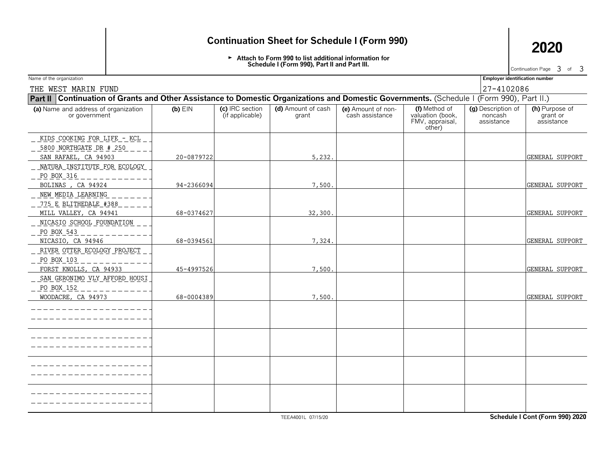## **Continuation Sheet for Schedule I (Form 990) 2020**

Attach to Form 990 to list additional information for **Schedule I (Form 990), Part II and Part III.**

Continuation Page  $\,3\,$  of  $\,3\,$ 

| THE WEST MARIN FUND                                   |                                                                                                                                             |                                    |                             |                                       |                                                                | 27-4102086                                  |                                          |  |  |  |  |
|-------------------------------------------------------|---------------------------------------------------------------------------------------------------------------------------------------------|------------------------------------|-----------------------------|---------------------------------------|----------------------------------------------------------------|---------------------------------------------|------------------------------------------|--|--|--|--|
|                                                       | Part II   Continuation of Grants and Other Assistance to Domestic Organizations and Domestic Governments. (Schedule I (Form 990), Part II.) |                                    |                             |                                       |                                                                |                                             |                                          |  |  |  |  |
| (a) Name and address of organization<br>or government | $(b)$ EIN                                                                                                                                   | (c) IRC section<br>(if applicable) | (d) Amount of cash<br>grant | (e) Amount of non-<br>cash assistance | (f) Method of<br>valuation (book,<br>FMV, appraisal,<br>other) | (g) Description of<br>noncash<br>assistance | (h) Purpose of<br>grant or<br>assistance |  |  |  |  |
| <u>KIDS COOKING FOR LIFE - KCL</u>                    |                                                                                                                                             |                                    |                             |                                       |                                                                |                                             |                                          |  |  |  |  |
| 5800 NORTHGATE DR # 250                               |                                                                                                                                             |                                    |                             |                                       |                                                                |                                             |                                          |  |  |  |  |
| SAN RAFAEL, CA 94903                                  | 20-0879722                                                                                                                                  |                                    | 5,232                       |                                       |                                                                |                                             | GENERAL SUPPORT                          |  |  |  |  |
| NATURA INSTITUTE FOR ECOLOGY                          |                                                                                                                                             |                                    |                             |                                       |                                                                |                                             |                                          |  |  |  |  |
| PO BOX 316                                            |                                                                                                                                             |                                    |                             |                                       |                                                                |                                             |                                          |  |  |  |  |
| BOLINAS, CA 94924                                     | 94-2366094                                                                                                                                  |                                    | 7,500.                      |                                       |                                                                |                                             | <b>GENERAL SUPPORT</b>                   |  |  |  |  |
| NEW MEDIA LEARNING                                    |                                                                                                                                             |                                    |                             |                                       |                                                                |                                             |                                          |  |  |  |  |
| <u>775 E BLITHEDALE #388</u>                          |                                                                                                                                             |                                    |                             |                                       |                                                                |                                             |                                          |  |  |  |  |
| MILL VALLEY, CA 94941                                 | 68-0374627                                                                                                                                  |                                    | 32,300                      |                                       |                                                                |                                             | GENERAL SUPPORT                          |  |  |  |  |
| NICASIO SCHOOL FOUNDATION                             |                                                                                                                                             |                                    |                             |                                       |                                                                |                                             |                                          |  |  |  |  |
| PO BOX 543                                            |                                                                                                                                             |                                    |                             |                                       |                                                                |                                             |                                          |  |  |  |  |
| NICASIO, CA 94946                                     | 68-0394561                                                                                                                                  |                                    | 7,324.                      |                                       |                                                                |                                             | GENERAL SUPPORT                          |  |  |  |  |
| RIVER OTTER ECOLOGY PROJECT                           |                                                                                                                                             |                                    |                             |                                       |                                                                |                                             |                                          |  |  |  |  |
| PO BOX 103                                            |                                                                                                                                             |                                    |                             |                                       |                                                                |                                             |                                          |  |  |  |  |
| FORST KNOLLS, CA 94933                                | 45-4997526                                                                                                                                  |                                    | 7,500                       |                                       |                                                                |                                             | GENERAL SUPPORT                          |  |  |  |  |
| _ SAN_GERONIMO_VLY_AFFORD_HOUSI                       |                                                                                                                                             |                                    |                             |                                       |                                                                |                                             |                                          |  |  |  |  |
| PO BOX 152                                            |                                                                                                                                             |                                    |                             |                                       |                                                                |                                             |                                          |  |  |  |  |
| WOODACRE, CA 94973                                    | 68-0004389                                                                                                                                  |                                    | 7,500                       |                                       |                                                                |                                             | GENERAL SUPPORT                          |  |  |  |  |
|                                                       |                                                                                                                                             |                                    |                             |                                       |                                                                |                                             |                                          |  |  |  |  |
|                                                       |                                                                                                                                             |                                    |                             |                                       |                                                                |                                             |                                          |  |  |  |  |
|                                                       |                                                                                                                                             |                                    |                             |                                       |                                                                |                                             |                                          |  |  |  |  |
|                                                       |                                                                                                                                             |                                    |                             |                                       |                                                                |                                             |                                          |  |  |  |  |
|                                                       |                                                                                                                                             |                                    |                             |                                       |                                                                |                                             |                                          |  |  |  |  |
|                                                       |                                                                                                                                             |                                    |                             |                                       |                                                                |                                             |                                          |  |  |  |  |
|                                                       |                                                                                                                                             |                                    |                             |                                       |                                                                |                                             |                                          |  |  |  |  |
|                                                       |                                                                                                                                             |                                    |                             |                                       |                                                                |                                             |                                          |  |  |  |  |
|                                                       |                                                                                                                                             |                                    |                             |                                       |                                                                |                                             |                                          |  |  |  |  |
|                                                       |                                                                                                                                             |                                    |                             |                                       |                                                                |                                             |                                          |  |  |  |  |
|                                                       |                                                                                                                                             |                                    |                             |                                       |                                                                |                                             |                                          |  |  |  |  |
|                                                       |                                                                                                                                             |                                    |                             |                                       |                                                                |                                             |                                          |  |  |  |  |
|                                                       |                                                                                                                                             |                                    | TEEA4001L 07/15/20          |                                       |                                                                |                                             | Schedule I Cont (Form 990) 2020          |  |  |  |  |

| Name of the organization |  | ---<br><b>Employer identification number</b> |
|--------------------------|--|----------------------------------------------|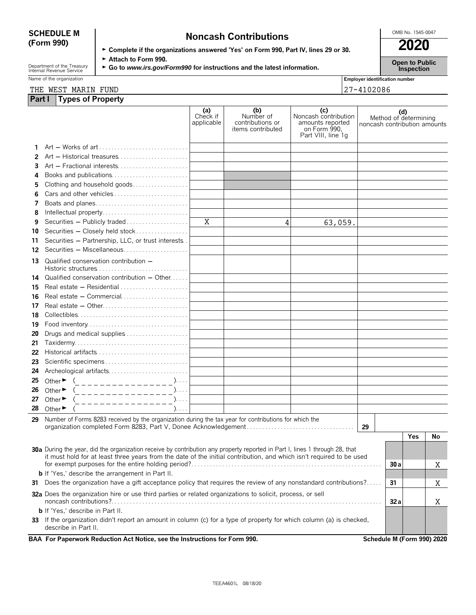# **SCHEDULE M Noncash Contributions Contributions CONDING.** 1545-0047

| ► Complete if the organizations answered 'Yes' on Form 990, Part IV, lines 29 or 30. | 2020 |
|--------------------------------------------------------------------------------------|------|
| $\sim$ 44 $\sim$ $\sim$ $\sim$ $\sim$ 000                                            |      |

Department of the Treasury **Capen to Public**<br>Internal Revenue Service **Capen to Public Copen to Public**<br>Inspection

Name of the organization **Employer identification number Employer identification number** 

| Employer identificati |
|-----------------------|
| $127 - 4102086$       |

**Part I Types of Property** THE WEST MARIN FUND 27-4102086

|    |                                                                                                                                              | (a)<br>Check if<br>applicable | (b)<br>Number of<br>contributions or<br>items contributed | (c)<br>Noncash contribution<br>amounts reported<br>on Form 990.<br>Part VIII, line 1g | noncash contribution amounts | (d)  | Method of determining |    |
|----|----------------------------------------------------------------------------------------------------------------------------------------------|-------------------------------|-----------------------------------------------------------|---------------------------------------------------------------------------------------|------------------------------|------|-----------------------|----|
|    |                                                                                                                                              |                               |                                                           |                                                                                       |                              |      |                       |    |
| 2  | $Art - Historical treasures \dots \dots \dots \dots \dots \dots \dots$                                                                       |                               |                                                           |                                                                                       |                              |      |                       |    |
| 3  |                                                                                                                                              |                               |                                                           |                                                                                       |                              |      |                       |    |
| 4  | Books and publications                                                                                                                       |                               |                                                           |                                                                                       |                              |      |                       |    |
| 5  | Clothing and household goods                                                                                                                 |                               |                                                           |                                                                                       |                              |      |                       |    |
| 6  | Cars and other vehicles                                                                                                                      |                               |                                                           |                                                                                       |                              |      |                       |    |
| 7  | Boats and planes                                                                                                                             |                               |                                                           |                                                                                       |                              |      |                       |    |
| 8  |                                                                                                                                              |                               |                                                           |                                                                                       |                              |      |                       |    |
| 9  | Securities - Publicly traded                                                                                                                 | Χ                             | 4                                                         | 63,059.                                                                               |                              |      |                       |    |
| 10 | Securities - Closely held stock                                                                                                              |                               |                                                           |                                                                                       |                              |      |                       |    |
| 11 | Securities - Partnership, LLC, or trust interests.                                                                                           |                               |                                                           |                                                                                       |                              |      |                       |    |
| 12 | Securities - Miscellaneous                                                                                                                   |                               |                                                           |                                                                                       |                              |      |                       |    |
| 13 | Qualified conservation contribution -<br>$Historic structures \dots \dots \dots \dots \dots \dots \dots \dots \dots \dots$                   |                               |                                                           |                                                                                       |                              |      |                       |    |
| 14 | Qualified conservation contribution - Other                                                                                                  |                               |                                                           |                                                                                       |                              |      |                       |    |
| 15 | Real estate $-$ Residential $\ldots$ , $\ldots$ , $\ldots$ , $\ldots$                                                                        |                               |                                                           |                                                                                       |                              |      |                       |    |
| 16 | Real estate - Commercial                                                                                                                     |                               |                                                           |                                                                                       |                              |      |                       |    |
| 17 |                                                                                                                                              |                               |                                                           |                                                                                       |                              |      |                       |    |
| 18 |                                                                                                                                              |                               |                                                           |                                                                                       |                              |      |                       |    |
| 19 |                                                                                                                                              |                               |                                                           |                                                                                       |                              |      |                       |    |
| 20 |                                                                                                                                              |                               |                                                           |                                                                                       |                              |      |                       |    |
| 21 |                                                                                                                                              |                               |                                                           |                                                                                       |                              |      |                       |    |
| 22 |                                                                                                                                              |                               |                                                           |                                                                                       |                              |      |                       |    |
| 23 |                                                                                                                                              |                               |                                                           |                                                                                       |                              |      |                       |    |
| 24 |                                                                                                                                              |                               |                                                           |                                                                                       |                              |      |                       |    |
| 25 | Other $\bullet$ ( _ _ _ _ _ _ _ _ _ _ _ _ _ _ _ _ )                                                                                          |                               |                                                           |                                                                                       |                              |      |                       |    |
| 26 | Other $\blacktriangleright$<br>(_________________)                                                                                           |                               |                                                           |                                                                                       |                              |      |                       |    |
| 27 | Other $\blacktriangleright$<br>$\sum_{i=1}^{n}$<br>_ _ _ _ _ _ _ _ _ _ _ _ _ _ _ _                                                           |                               |                                                           |                                                                                       |                              |      |                       |    |
| 28 | Other $\blacktriangleright$<br>$). \ldots$                                                                                                   |                               |                                                           |                                                                                       |                              |      |                       |    |
| 29 | Number of Forms 8283 received by the organization during the tax year for contributions for which the                                        |                               |                                                           |                                                                                       |                              |      |                       |    |
|    |                                                                                                                                              |                               |                                                           |                                                                                       | 29                           |      |                       |    |
|    |                                                                                                                                              |                               |                                                           |                                                                                       |                              |      | Yes                   | No |
|    | 30a During the year, did the organization receive by contribution any property reported in Part I, lines 1 through 28, that                  |                               |                                                           |                                                                                       |                              |      |                       |    |
|    | it must hold for at least three years from the date of the initial contribution, and which isn't required to be used                         |                               |                                                           |                                                                                       |                              |      |                       |    |
|    |                                                                                                                                              |                               |                                                           |                                                                                       |                              | 30a  |                       | Χ  |
|    | <b>b</b> If 'Yes,' describe the arrangement in Part II.                                                                                      |                               |                                                           |                                                                                       |                              |      |                       |    |
|    | 31 Does the organization have a gift acceptance policy that requires the review of any nonstandard contributions?                            |                               |                                                           |                                                                                       |                              | 31   |                       | Χ  |
|    | 32a Does the organization hire or use third parties or related organizations to solicit, process, or sell                                    |                               |                                                           |                                                                                       |                              | 32 a |                       | Χ  |
|    | <b>b</b> If 'Yes,' describe in Part II.                                                                                                      |                               |                                                           |                                                                                       |                              |      |                       |    |
|    | 33 If the organization didn't report an amount in column (c) for a type of property for which column (a) is checked,<br>describe in Part II. |                               |                                                           |                                                                                       |                              |      |                       |    |
|    | BAA For Paperwork Reduction Act Notice, see the Instructions for Form 990.                                                                   |                               |                                                           |                                                                                       | Schedule M (Form 990) 2020   |      |                       |    |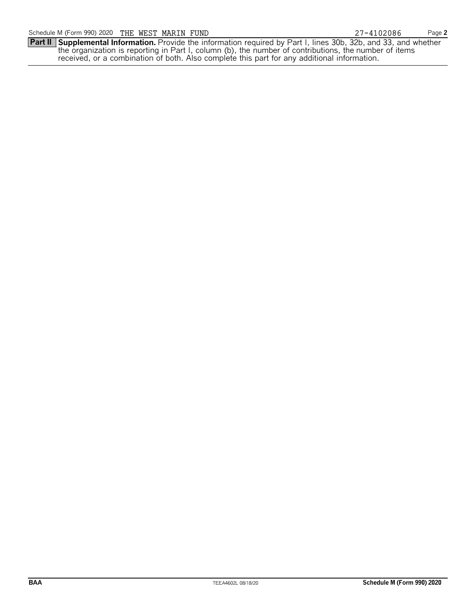**Part II Supplemental Information.** Provide the information required by Part I, lines 30b, 32b, and 33, and whether the organization is reporting in Part I, column (b), the number of contributions, the number of items received, or a combination of both. Also complete this part for any additional information.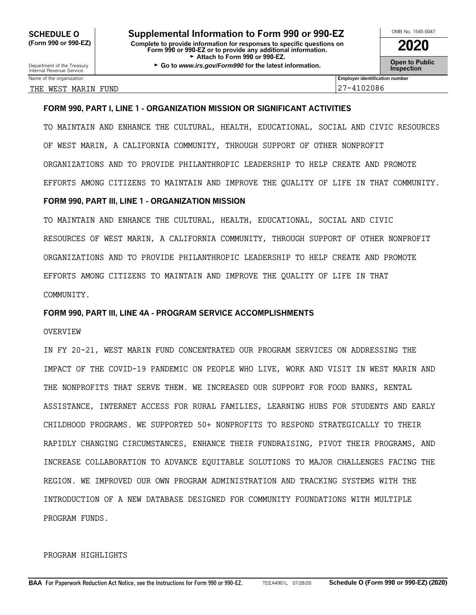Department of the Treasury **Connect Connect Act Connect Connect Connect Connect Connect Connect Connect Connect<br>Internal Revenue Service <b>Inspection** 

### THE WEST MARIN FUND 20086

Name of the organization **Employer identification number Employer identification number** 

### **FORM 990, PART I, LINE 1 - ORGANIZATION MISSION OR SIGNIFICANT ACTIVITIES**

TO MAINTAIN AND ENHANCE THE CULTURAL, HEALTH, EDUCATIONAL, SOCIAL AND CIVIC RESOURCES OF WEST MARIN, A CALIFORNIA COMMUNITY, THROUGH SUPPORT OF OTHER NONPROFIT ORGANIZATIONS AND TO PROVIDE PHILANTHROPIC LEADERSHIP TO HELP CREATE AND PROMOTE EFFORTS AMONG CITIZENS TO MAINTAIN AND IMPROVE THE QUALITY OF LIFE IN THAT COMMUNITY.

### **FORM 990, PART III, LINE 1 - ORGANIZATION MISSION**

TO MAINTAIN AND ENHANCE THE CULTURAL, HEALTH, EDUCATIONAL, SOCIAL AND CIVIC RESOURCES OF WEST MARIN, A CALIFORNIA COMMUNITY, THROUGH SUPPORT OF OTHER NONPROFIT ORGANIZATIONS AND TO PROVIDE PHILANTHROPIC LEADERSHIP TO HELP CREATE AND PROMOTE EFFORTS AMONG CITIZENS TO MAINTAIN AND IMPROVE THE QUALITY OF LIFE IN THAT COMMUNITY.

### **FORM 990, PART III, LINE 4A - PROGRAM SERVICE ACCOMPLISHMENTS**

### OVERVIEW

IN FY 20-21, WEST MARIN FUND CONCENTRATED OUR PROGRAM SERVICES ON ADDRESSING THE IMPACT OF THE COVID-19 PANDEMIC ON PEOPLE WHO LIVE, WORK AND VISIT IN WEST MARIN AND THE NONPROFITS THAT SERVE THEM. WE INCREASED OUR SUPPORT FOR FOOD BANKS, RENTAL ASSISTANCE, INTERNET ACCESS FOR RURAL FAMILIES, LEARNING HUBS FOR STUDENTS AND EARLY CHILDHOOD PROGRAMS. WE SUPPORTED 50+ NONPROFITS TO RESPOND STRATEGICALLY TO THEIR RAPIDLY CHANGING CIRCUMSTANCES, ENHANCE THEIR FUNDRAISING, PIVOT THEIR PROGRAMS, AND INCREASE COLLABORATION TO ADVANCE EQUITABLE SOLUTIONS TO MAJOR CHALLENGES FACING THE REGION. WE IMPROVED OUR OWN PROGRAM ADMINISTRATION AND TRACKING SYSTEMS WITH THE INTRODUCTION OF A NEW DATABASE DESIGNED FOR COMMUNITY FOUNDATIONS WITH MULTIPLE PROGRAM FUNDS.

### PROGRAM HIGHLIGHTS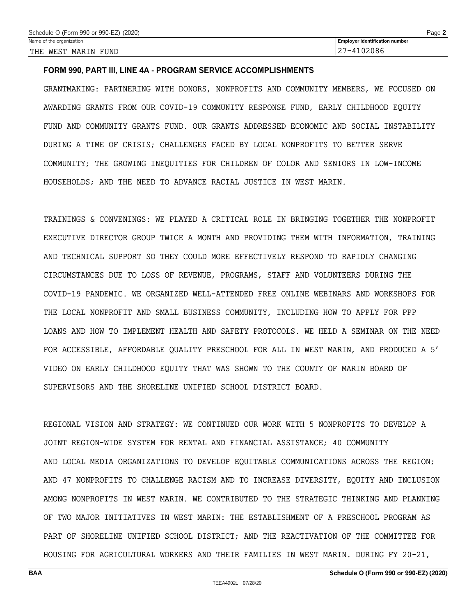### **FORM 990, PART III, LINE 4A - PROGRAM SERVICE ACCOMPLISHMENTS**

GRANTMAKING: PARTNERING WITH DONORS, NONPROFITS AND COMMUNITY MEMBERS, WE FOCUSED ON AWARDING GRANTS FROM OUR COVID-19 COMMUNITY RESPONSE FUND, EARLY CHILDHOOD EQUITY FUND AND COMMUNITY GRANTS FUND. OUR GRANTS ADDRESSED ECONOMIC AND SOCIAL INSTABILITY DURING A TIME OF CRISIS; CHALLENGES FACED BY LOCAL NONPROFITS TO BETTER SERVE COMMUNITY; THE GROWING INEQUITIES FOR CHILDREN OF COLOR AND SENIORS IN LOW-INCOME HOUSEHOLDS; AND THE NEED TO ADVANCE RACIAL JUSTICE IN WEST MARIN.

TRAININGS & CONVENINGS: WE PLAYED A CRITICAL ROLE IN BRINGING TOGETHER THE NONPROFIT EXECUTIVE DIRECTOR GROUP TWICE A MONTH AND PROVIDING THEM WITH INFORMATION, TRAINING AND TECHNICAL SUPPORT SO THEY COULD MORE EFFECTIVELY RESPOND TO RAPIDLY CHANGING CIRCUMSTANCES DUE TO LOSS OF REVENUE, PROGRAMS, STAFF AND VOLUNTEERS DURING THE COVID-19 PANDEMIC. WE ORGANIZED WELL-ATTENDED FREE ONLINE WEBINARS AND WORKSHOPS FOR THE LOCAL NONPROFIT AND SMALL BUSINESS COMMUNITY, INCLUDING HOW TO APPLY FOR PPP LOANS AND HOW TO IMPLEMENT HEALTH AND SAFETY PROTOCOLS. WE HELD A SEMINAR ON THE NEED FOR ACCESSIBLE, AFFORDABLE QUALITY PRESCHOOL FOR ALL IN WEST MARIN, AND PRODUCED A 5' VIDEO ON EARLY CHILDHOOD EQUITY THAT WAS SHOWN TO THE COUNTY OF MARIN BOARD OF SUPERVISORS AND THE SHORELINE UNIFIED SCHOOL DISTRICT BOARD.

REGIONAL VISION AND STRATEGY: WE CONTINUED OUR WORK WITH 5 NONPROFITS TO DEVELOP A JOINT REGION-WIDE SYSTEM FOR RENTAL AND FINANCIAL ASSISTANCE; 40 COMMUNITY AND LOCAL MEDIA ORGANIZATIONS TO DEVELOP EQUITABLE COMMUNICATIONS ACROSS THE REGION; AND 47 NONPROFITS TO CHALLENGE RACISM AND TO INCREASE DIVERSITY, EQUITY AND INCLUSION AMONG NONPROFITS IN WEST MARIN. WE CONTRIBUTED TO THE STRATEGIC THINKING AND PLANNING OF TWO MAJOR INITIATIVES IN WEST MARIN: THE ESTABLISHMENT OF A PRESCHOOL PROGRAM AS PART OF SHORELINE UNIFIED SCHOOL DISTRICT; AND THE REACTIVATION OF THE COMMITTEE FOR HOUSING FOR AGRICULTURAL WORKERS AND THEIR FAMILIES IN WEST MARIN. DURING FY 20-21,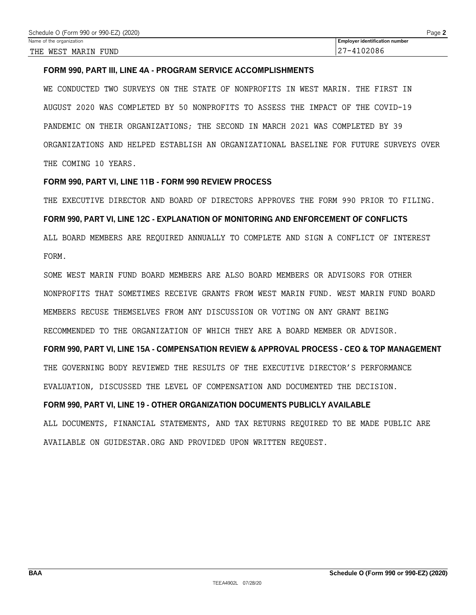### **FORM 990, PART III, LINE 4A - PROGRAM SERVICE ACCOMPLISHMENTS**

WE CONDUCTED TWO SURVEYS ON THE STATE OF NONPROFITS IN WEST MARIN. THE FIRST IN AUGUST 2020 WAS COMPLETED BY 50 NONPROFITS TO ASSESS THE IMPACT OF THE COVID-19 PANDEMIC ON THEIR ORGANIZATIONS; THE SECOND IN MARCH 2021 WAS COMPLETED BY 39 ORGANIZATIONS AND HELPED ESTABLISH AN ORGANIZATIONAL BASELINE FOR FUTURE SURVEYS OVER THE COMING 10 YEARS.

### **FORM 990, PART VI, LINE 11B - FORM 990 REVIEW PROCESS**

THE EXECUTIVE DIRECTOR AND BOARD OF DIRECTORS APPROVES THE FORM 990 PRIOR TO FILING. **FORM 990, PART VI, LINE 12C - EXPLANATION OF MONITORING AND ENFORCEMENT OF CONFLICTS** ALL BOARD MEMBERS ARE REQUIRED ANNUALLY TO COMPLETE AND SIGN A CONFLICT OF INTEREST FORM.

SOME WEST MARIN FUND BOARD MEMBERS ARE ALSO BOARD MEMBERS OR ADVISORS FOR OTHER NONPROFITS THAT SOMETIMES RECEIVE GRANTS FROM WEST MARIN FUND. WEST MARIN FUND BOARD MEMBERS RECUSE THEMSELVES FROM ANY DISCUSSION OR VOTING ON ANY GRANT BEING RECOMMENDED TO THE ORGANIZATION OF WHICH THEY ARE A BOARD MEMBER OR ADVISOR.

**FORM 990, PART VI, LINE 15A - COMPENSATION REVIEW & APPROVAL PROCESS - CEO & TOP MANAGEMENT** THE GOVERNING BODY REVIEWED THE RESULTS OF THE EXECUTIVE DIRECTOR'S PERFORMANCE EVALUATION, DISCUSSED THE LEVEL OF COMPENSATION AND DOCUMENTED THE DECISION.

### **FORM 990, PART VI, LINE 19 - OTHER ORGANIZATION DOCUMENTS PUBLICLY AVAILABLE**

ALL DOCUMENTS, FINANCIAL STATEMENTS, AND TAX RETURNS REQUIRED TO BE MADE PUBLIC ARE AVAILABLE ON GUIDESTAR.ORG AND PROVIDED UPON WRITTEN REQUEST.